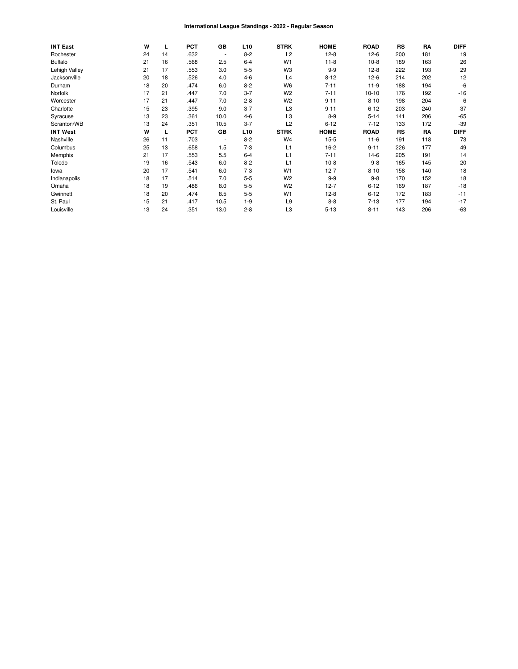#### International League Standings - 2022 - Regular Season

| <b>INT East</b> | W  | ц  | <b>PCT</b> | GB                       | L <sub>10</sub> | <b>STRK</b>    | <b>HOME</b> | <b>ROAD</b> | RS  | RA  | <b>DIFF</b> |
|-----------------|----|----|------------|--------------------------|-----------------|----------------|-------------|-------------|-----|-----|-------------|
| Rochester       | 24 | 14 | .632       | $\overline{\phantom{a}}$ | $8 - 2$         | L <sub>2</sub> | $12-8$      | $12-6$      | 200 | 181 | 19          |
| <b>Buffalo</b>  | 21 | 16 | .568       | 2.5                      | $6 - 4$         | W <sub>1</sub> | $11 - 8$    | $10-8$      | 189 | 163 | 26          |
| Lehigh Valley   | 21 | 17 | .553       | 3.0                      | $5 - 5$         | W <sub>3</sub> | $9 - 9$     | $12-8$      | 222 | 193 | 29          |
| Jacksonville    | 20 | 18 | .526       | 4.0                      | $4 - 6$         | L4             | $8 - 12$    | $12-6$      | 214 | 202 | 12          |
| Durham          | 18 | 20 | .474       | 6.0                      | $8 - 2$         | W <sub>6</sub> | $7 - 11$    | $11-9$      | 188 | 194 | -6          |
| Norfolk         | 17 | 21 | .447       | 7.0                      | $3 - 7$         | W <sub>2</sub> | $7 - 11$    | $10 - 10$   | 176 | 192 | $-16$       |
| Worcester       | 17 | 21 | .447       | 7.0                      | $2 - 8$         | W <sub>2</sub> | $9 - 11$    | $8 - 10$    | 198 | 204 | -6          |
| Charlotte       | 15 | 23 | .395       | 9.0                      | $3 - 7$         | L3             | $9 - 11$    | $6 - 12$    | 203 | 240 | $-37$       |
| Syracuse        | 13 | 23 | .361       | 10.0                     | $4-6$           | L <sub>3</sub> | $8-9$       | $5-14$      | 141 | 206 | $-65$       |
| Scranton/WB     | 13 | 24 | .351       | 10.5                     | $3 - 7$         | L <sub>2</sub> | $6 - 12$    | $7 - 12$    | 133 | 172 | $-39$       |
| <b>INT West</b> | W  | L  | <b>PCT</b> | GB                       | L <sub>10</sub> | <b>STRK</b>    | <b>HOME</b> | <b>ROAD</b> | RS  | RA  | <b>DIFF</b> |
| Nashville       | 26 | 11 | .703       | $\overline{\phantom{a}}$ | $8 - 2$         | W <sub>4</sub> | $15 - 5$    | $11-6$      | 191 | 118 | 73          |
| Columbus        | 25 | 13 | .658       | 1.5                      | $7 - 3$         | L1             | $16-2$      | $9 - 11$    | 226 | 177 | 49          |
| Memphis         | 21 | 17 | .553       | 5.5                      | $6 - 4$         | L1             | $7 - 11$    | 14-6        | 205 | 191 | 14          |
| Toledo          | 19 | 16 | .543       | 6.0                      | $8 - 2$         | L1             | $10-8$      | $9 - 8$     | 165 | 145 | 20          |
| lowa            | 20 | 17 | .541       | 6.0                      | $7 - 3$         | W <sub>1</sub> | $12 - 7$    | $8 - 10$    | 158 | 140 | 18          |
| Indianapolis    | 18 | 17 | .514       | 7.0                      | $5 - 5$         | W <sub>2</sub> | $9 - 9$     | $9 - 8$     | 170 | 152 | 18          |
| Omaha           | 18 | 19 | .486       | 8.0                      | $5 - 5$         | W <sub>2</sub> | $12 - 7$    | $6 - 12$    | 169 | 187 | $-18$       |
| Gwinnett        | 18 | 20 | .474       | 8.5                      | $5 - 5$         | W <sub>1</sub> | $12-8$      | $6 - 12$    | 172 | 183 | $-11$       |
| St. Paul        | 15 | 21 | .417       | 10.5                     | $1 - 9$         | L <sub>9</sub> | $8 - 8$     | $7 - 13$    | 177 | 194 | $-17$       |
| Louisville      | 13 | 24 | .351       | 13.0                     | $2 - 8$         | L3             | $5 - 13$    | $8 - 11$    | 143 | 206 | $-63$       |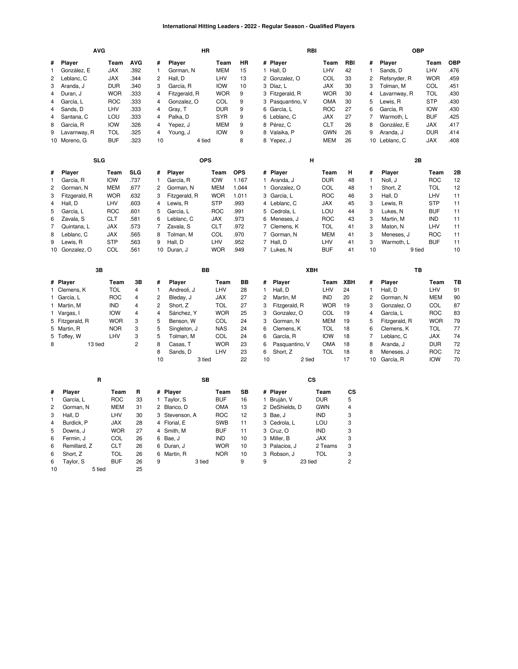#### **International Hitting Leaders - 2022 - Regular Season - Qualified Players**

|                | <b>AVG</b>      |            |                |                |               | HR            |            |             | RBI                  |            |          |                | <b>OBP</b>              |                          |            |
|----------------|-----------------|------------|----------------|----------------|---------------|---------------|------------|-------------|----------------------|------------|----------|----------------|-------------------------|--------------------------|------------|
| #              | Player          | Team       | <b>AVG</b>     | #              | Player        | Team          | HR         |             | # Player             | Team       | RBI      | #              | Player                  | Team                     | <b>OBP</b> |
| 1              | González, E     | <b>JAX</b> | .392           | 1              | Gorman, N     | <b>MEM</b>    | 15         |             | 1 Hall, D            | LHV        | 42       | $\mathbf{1}$   | Sands, D                | LHV                      | .476       |
| 2              | Leblanc, C      | JAX        | .344           | 2              | Hall, D       | LHV           | 13         |             | 2 Gonzalez, O        | COL        | 33       | 2              | Refsnyder, R            | <b>WOR</b>               | .459       |
| 3              | Aranda, J       | <b>DUR</b> | .340           | 3              | García, R     | <b>IOW</b>    | 10         |             | 3 Díaz, L            | <b>JAX</b> | 30       | 3              | Tolman, M               | COL                      | .451       |
| 4              | Duran, J        | <b>WOR</b> | .333           | 4              | Fitzgerald, R | <b>WOR</b>    | 9          |             | 3 Fitzgerald, R      | <b>WOR</b> | 30       | 4              | Lavarnway, R            | <b>TOL</b>               | .430       |
| 4              | García, L       | ROC        | .333           | 4              | Gonzalez, O   | COL           | 9          |             | 3 Pasquantino, V     | OMA        | 30       | 5              | Lewis, R                | <b>STP</b>               | .430       |
| 4              | Sands, D        | LHV        | .333           | 4              | Gray, T       | <b>DUR</b>    | 9          |             | 6 García, L          | <b>ROC</b> | 27       | 6              | García, R               | <b>IOW</b>               | .430       |
| $\overline{4}$ | Santana, C      | LOU        | .333           | 4              | Palka, D      | <b>SYR</b>    | 9          |             | 6 Leblanc, C         | JAX        | 27       | $\overline{7}$ | Warmoth, L              | <b>BUF</b>               | .425       |
| 8              | García, R       | <b>IOW</b> | .326           | 4              | Yepez, J      | <b>MEM</b>    | 9          |             | 8 Pérez, C           | <b>CLT</b> | 26       | 8              | González, E             | <b>JAX</b>               | .417       |
| 9              | Lavarnway, R    | <b>TOL</b> | .325           | 4              | Young, J      | <b>IOW</b>    | 9          |             | 8 Valaika, P         | <b>GWN</b> | 26       | 9              | Aranda, J               | <b>DUR</b>               | .414       |
|                | 10 Moreno, G    | <b>BUF</b> | .323           | 10             |               | 4 tied        | 8          |             | 8 Yepez, J           | <b>MEM</b> | 26       |                | 10 Leblanc, C           | <b>JAX</b>               | .408       |
|                |                 |            |                |                |               |               |            |             |                      |            |          |                |                         |                          |            |
|                | <b>SLG</b>      |            |                |                |               | <b>OPS</b>    |            |             | н                    |            |          |                | 2B                      |                          |            |
| #              | Player          | Team       | <b>SLG</b>     | #              | Player        | Team          | <b>OPS</b> |             | # Player             | Team       | н        | #              | Player                  | Team                     | 2Β         |
| 1              | García, R       | <b>IOW</b> | .737           | 1              | García, R     | <b>IOW</b>    | 1.167      |             | 1 Aranda, J          | <b>DUR</b> | 48       | $\mathbf{1}$   | Noll, J                 | <b>ROC</b>               | 12         |
| $\overline{c}$ | Gorman, N       | MEM        | .677           | 2              | Gorman, N     | <b>MEM</b>    | 1.044      | 1.          | Gonzalez, O          | <b>COL</b> | 48       | $\mathbf{1}$   | Short, Z                | <b>TOL</b>               | 12         |
| 3              | Fitzgerald, R   | <b>WOR</b> | .632           | 3              | Fitzgerald, R | <b>WOR</b>    | 1.011      | 3           | García, L            | <b>ROC</b> | 46       | 3              | Hall, D                 | LHV                      | 11         |
| 4              | Hall, D         | LHV        | .603           | 4              | Lewis, R      | <b>STP</b>    | .993       |             | 4 Leblanc, C         | <b>JAX</b> | 45       | 3              | Lewis, R                | <b>STP</b>               | 11         |
| 5              | García, L       | <b>ROC</b> | .601           | 5              | García, L     | <b>ROC</b>    | .991       |             | 5 Cedrola, L         | LOU        | 44       | 3              | Lukes, N                | <b>BUF</b>               | 11         |
| 6              | Zavala, S       | <b>CLT</b> | .581           | 6              | Leblanc, C    | <b>JAX</b>    | .973       | 6           | Meneses, J           | <b>ROC</b> | 43       | 3              | Martin, M               | <b>IND</b>               | 11         |
| $\overline{7}$ | Quintana, L     | JAX        | .573           | 7              | Zavala, S     | <b>CLT</b>    | .972       |             | 7 Clemens, K         | <b>TOL</b> | 41       | 3              | Maton, N                | LHV                      | 11         |
| 8              | Leblanc, C      | <b>JAX</b> | .565           | 8              | Tolman, M     | COL           | .970       | $7^{\circ}$ | Gorman, N            | MEM        | 41       | 3              | Meneses, J              | <b>ROC</b>               | 11         |
| 9              | Lewis, R        | <b>STP</b> | .563           | 9              | Hall, D       | LHV           | .952       |             | 7 Hall, D            | LHV        | 41       | 3              | Warmoth, L              | <b>BUF</b>               | 11         |
|                | 10 Gonzalez, O  | COL        | .561           |                | 10 Duran, J   | <b>WOR</b>    | .949       |             | 7 Lukes, N           | <b>BUF</b> | 41       | 10             | 9 tied                  |                          | 10         |
|                |                 |            |                |                |               |               |            |             |                      |            |          |                |                         |                          |            |
|                |                 |            |                |                |               |               |            |             |                      |            |          |                |                         |                          |            |
|                | 3B              |            |                |                |               | BB            |            |             | XBH                  |            |          |                | TB                      |                          |            |
|                | # Player        | Team       | 3B             | #              | Player        | Team          | BB         | #           | Player               | Team       | XBH      | #              | Player                  | Team                     | TВ         |
|                | 1 Clemens, K    | <b>TOL</b> | 4              | 1              | Andreoli, J   | LHV           | 28         | 1           | Hall, D              | LHV        | 24       | $\mathbf{1}$   | Hall, D                 | LHV                      | 91         |
|                | 1 García, L     | <b>ROC</b> | 4              | 2              | Bleday, J     | <b>JAX</b>    | 27         | 2           | Martin, M            | <b>IND</b> | 20       | $\overline{c}$ | Gorman, N               | <b>MEM</b>               | 90         |
|                | 1 Martin, M     | <b>IND</b> | 4              | $\overline{c}$ | Short, Z      | <b>TOL</b>    | 27         | 3           | Fitzgerald, R        | <b>WOR</b> | 19       | 3              | Gonzalez, O             | COL                      | 87         |
|                | 1 Vargas, I     | <b>IOW</b> | $\overline{4}$ | 4              | Sánchez, Y    | <b>WOR</b>    | 25         | 3           | Gonzalez, O          | COL        | 19       | 4              | García, L               | <b>ROC</b>               | 83         |
|                | 5 Fitzgerald, R | <b>WOR</b> | 3              | 5              | Benson, W     | COL           | 24         | 3           | Gorman, N            | <b>MEM</b> | 19       | 5              | Fitzgerald, R           | <b>WOR</b>               | 79         |
|                | 5 Martin, R     | <b>NOR</b> | 3              | 5              | Singleton, J  | <b>NAS</b>    | 24         | 6           | Clemens, K           | <b>TOL</b> | 18       | 6              | Clemens, K              | <b>TOL</b>               | 77         |
| 5              | Toffey, W       | LHV        | 3              | 5              | Tolman, M     | COL           | 24         | 6           | García, R            | <b>IOW</b> | 18       | $\overline{7}$ | Leblanc, C              | <b>JAX</b>               | 74         |
| 8              | 13 tied         |            | $\overline{c}$ | 8              | Casas, T      | <b>WOR</b>    | 23         | 6           | Pasquantino, V       | <b>OMA</b> | 18       | 8              | Aranda, J               | <b>DUR</b>               | 72         |
|                |                 |            |                | 8<br>10        | Sands, D      | LHV<br>3 tied | 23<br>22   | 6<br>10     | Short, Z<br>2 tied   | <b>TOL</b> | 18<br>17 | 8<br>10        | Meneses, J<br>García, R | <b>ROC</b><br><b>IOW</b> | 72<br>70   |
|                |                 |            |                |                |               |               |            |             |                      |            |          |                |                         |                          |            |
|                | R               |            |                |                |               | <b>SB</b>     |            |             | $\mathsf{cs}$        |            |          |                |                         |                          |            |
| #              | Player          | Team       | R              |                | # Player      | Team          | SB         |             | # Player             | Team       | СS       |                |                         |                          |            |
| 1              | García, L       | <b>ROC</b> | 33             | $\mathbf{1}$   | Taylor, S     | <b>BUF</b>    | 16         |             | 1 Bruján, V          | <b>DUR</b> | 5        |                |                         |                          |            |
| $\overline{c}$ | Gorman, N       | <b>MEM</b> | 31             |                | 2 Blanco, D   | OMA           | 13         |             | 2 DeShields, D       | <b>GWN</b> | 4        |                |                         |                          |            |
| 3              | Hall, D         | LHV        | 30             | 3              | Stevenson, A  | <b>ROC</b>    | 12         |             | 3 Bae, J             | <b>IND</b> | 3        |                |                         |                          |            |
| 4              | Burdick, P      | <b>JAX</b> | 28             |                | 4 Florial, E  | <b>SWB</b>    | 11         |             | 3 Cedrola, L         | LOU        | 3        |                |                         |                          |            |
| 5              | Downs, J        | <b>WOR</b> | 27             |                | 4 Smith, M    | <b>BUF</b>    | 11         |             | 3 Cruz, O            | <b>IND</b> | 3        |                |                         |                          |            |
| 6              | Fermin, J       | COL        | 26             |                | 6 Bae, J      | <b>IND</b>    | 10         |             | 3 Miller, B          | <b>JAX</b> | 3        |                |                         |                          |            |
| 6              | Remillard, Z    | <b>CLT</b> | 26             |                | 6 Duran, J    | <b>WOR</b>    | 10         |             | 3 Palacios, J        | 2 Teams    | 3        |                |                         |                          |            |
| 6              | Short, Z        | <b>TOL</b> | 26             | 6              | Martin, R     | <b>NOR</b>    | 10         | 3           | Robson, J<br>23 tied | <b>TOL</b> | 3        |                |                         |                          |            |

 [Taylor,](https://research.mlb.com/players/669392/stats#orgId=117) S [BUF](https://research.mlb.com/teams/422/stats#timeframe=2022) 26 5 tied 25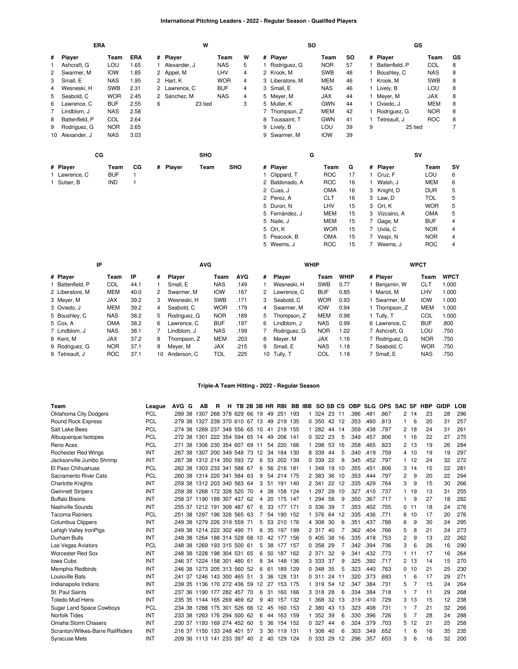## **International Pitching Leaders - 2022 - Regular Season - Qualified Players**

|   | <b>ERA</b><br>Player<br>Team |            |              |   |               | W       |            |                |                 | <b>SO</b> |            |    |    |                | GS      |            |                |
|---|------------------------------|------------|--------------|---|---------------|---------|------------|----------------|-----------------|-----------|------------|----|----|----------------|---------|------------|----------------|
| # |                              |            | ERA          |   | # Player      |         | Team       | W              | # Player        |           | Team       | SO |    | # Player       |         | Team       | GS             |
| 1 | Ashcraft, G                  | LOU        | 1.65         |   | Alexander, J  |         | <b>NAS</b> | 5              | 1 Rodriguez, G  |           | <b>NOR</b> | 57 |    | Battenfield, P |         | COL        | 8              |
| 2 | Swarmer, M                   | <b>IOW</b> | 1.85         |   | 2 Appel, M    |         | LHV        | $\overline{4}$ | 2 Krook. M      |           | <b>SWB</b> | 48 |    | Boushley, C    |         | <b>NAS</b> | 8              |
| 3 | Small, E                     | <b>NAS</b> | 1.95         |   | 2 Hart, K     |         | <b>WOR</b> | 4              | 3 Liberatore, M |           | <b>MEM</b> | 46 |    | 1 Krook, M     |         | <b>SWB</b> | 8              |
| 4 | Wesneski, H                  | <b>SWB</b> | 2.31         |   | 2 Lawrence, C |         | <b>BUF</b> | 4              | 3 Small, E      |           | <b>NAS</b> | 46 |    | 1 Lively, B    |         | LOU        | 8              |
| 5 | Seabold, C                   | <b>WOR</b> | 2.45         |   | Sánchez, M    |         | <b>NAS</b> | 4              | 5 Meyer, M      |           | <b>JAX</b> | 44 |    | 1 Meyer, M     |         | JAX        | 8              |
| 6 | Lawrence, C                  | <b>BUF</b> | 2.55         | 6 |               | 23 tied |            | 3              | 5 Muller, K     |           | <b>GWN</b> | 44 |    | 1 Oviedo, J    |         | <b>MEM</b> | 8              |
| 7 | Lindblom. J                  | <b>NAS</b> | 2.58         |   |               |         |            |                | 7 Thompson, Z   |           | MEM        | 42 |    | 1 Rodriguez, G |         | <b>NOR</b> | 8              |
| 8 | Battenfield, P               | COL        | 2.64         |   |               |         |            |                | 8 Toussaint, T  |           | <b>GWN</b> | 41 |    | 1 Tetreault, J |         | <b>ROC</b> | 8              |
| 9 | Rodriguez, G                 | <b>NOR</b> | 2.65         |   |               |         |            |                | 9 Lively, B     |           | LOU        | 39 | 9  |                | 25 tied |            | $\overline{7}$ |
|   | 10 Alexander, J              | <b>NAS</b> | 3.03         |   |               |         |            |                | 9 Swarmer, M    |           | <b>IOW</b> | 39 |    |                |         |            |                |
|   | CG                           |            |              |   |               | SHO     |            |                |                 | G         |            |    |    |                | SV      |            |                |
|   | # Player                     | Team       | СG           |   | # Player      | Team    | <b>SHO</b> |                | # Player        |           | Team       | G  |    | # Player       |         | Team       | S٧             |
|   | 1 Lawrence, C                | <b>BUF</b> | $\mathbf{1}$ |   |               |         |            |                | 1 Clippard, T   |           | <b>ROC</b> | 17 |    | 1 Cruz, F      |         | LOU        | 6              |
|   | 1 Sulser, B                  | <b>IND</b> |              |   |               |         |            |                | 2 Baldonado, A  |           | <b>ROC</b> | 16 | 1. | Walsh, J       |         | <b>MEM</b> | 6              |
|   |                              |            |              |   |               |         |            |                | 2 Cuas, J       |           | <b>OMA</b> | 16 |    | 3 Knight, D    |         | <b>DUR</b> | 5              |
|   |                              |            |              |   |               |         |            |                | 2 Perez, A      |           | <b>CLT</b> | 16 |    | 3 Law, D       |         | <b>TOL</b> | 5              |
|   |                              |            |              |   |               |         |            |                | 5 Duron, N      |           | LHV        | 15 |    | 3 Ort, K       |         | <b>WOR</b> | 5              |
|   |                              |            |              |   |               |         |            |                | 5 Fernández, J  |           | MEM        | 15 |    | 3 Vizcaíno, A  |         | <b>OMA</b> | 5              |
|   |                              |            |              |   |               |         |            |                | 5 Naile, J      |           | <b>MEM</b> | 15 | 7  | Gage, M        |         | <b>BUF</b> | 4              |
|   |                              |            |              |   |               |         |            |                | 5 Ort, K        |           | <b>WOR</b> | 15 |    | 7 Uvila, C     |         | <b>NOR</b> | 4              |

|                  | IP         |      |    |               | <b>AVG</b> |            |    |               | <b>WHIP</b> |             |                | <b>WPCT</b> |             |
|------------------|------------|------|----|---------------|------------|------------|----|---------------|-------------|-------------|----------------|-------------|-------------|
| # Player         | Team       | IP   | #  | <b>Plaver</b> | Team       | <b>AVG</b> | #  | <b>Plaver</b> | Team        | <b>WHIP</b> | # Plaver       | Team        | <b>WPCT</b> |
| 1 Battenfield, P | COL        | 44.1 |    | Small, E      | <b>NAS</b> | .149       |    | Wesneski, H   | <b>SWB</b>  | 0.77        | Beniamin, W    | CLT         | 1.000       |
| 2 Liberatore, M  | <b>MEM</b> | 40.0 | 2  | Swarmer, M    | <b>IOW</b> | .167       | 2  | Lawrence, C   | <b>BUF</b>  | 0.85        | Mariot. M      | LHV         | 1.000       |
| 3 Meyer, M       | <b>JAX</b> | 39.2 | 3  | Wesneski, H   | <b>SWB</b> | .171       | 3  | Seabold, C    | <b>WOR</b>  | 0.93        | Swarmer. M     | <b>IOW</b>  | 1.000       |
| 3 Oviedo, J      | <b>MEM</b> | 39.2 | 4  | Seabold, C    | <b>WOR</b> | .179       | 4  | Swarmer, M    | <b>IOW</b>  | 0.94        | Thompson, Z    | <b>MEM</b>  | 1.000       |
| 5 Boushley, C    | <b>NAS</b> | 38.2 | 5  | Rodriguez, G  | <b>NOR</b> | .189       | 5. | Thompson, Z   | <b>MEM</b>  | 0.98        | Tully. T       | COL         | 1.000       |
| 5 Cox. A         | <b>OMA</b> | 38.2 | 6  | Lawrence, C   | <b>BUF</b> | .197       | 6  | Lindblom, J   | <b>NAS</b>  | 0.99        | 6 Lawrence, C  | <b>BUF</b>  | .800        |
| 7 Lindblom, J    | <b>NAS</b> | 38.1 |    | Lindblom. J   | <b>NAS</b> | .199       |    | Rodriguez, G  | <b>NOR</b>  | 1.02        | 7 Ashcraft, G  | LOU         | .750        |
| 8 Kent. M        | <b>JAX</b> | 37.2 | 8  | Thompson. Z   | <b>MEM</b> | .203       | 8  | Mever, M      | <b>JAX</b>  | 1.16        | 7 Rodriguez, G | <b>NOR</b>  | .750        |
| 9 Rodriguez, G   | <b>NOR</b> | 37.1 | 9  | Mever. M      | <b>JAX</b> | .215       | 9  | Small, E      | <b>NAS</b>  | 1.18        | 7 Seabold, C   | <b>WOR</b>  | .750        |
| 9 Tetreault. J   | <b>ROC</b> | 37.1 | 10 | Anderson, C   | TOL        | .225       | 10 | Tully, T      | COL         | 1.18        | 7 Small, E     | <b>NAS</b>  | .750        |

000 VOR<br>15 OMA 15<br>ROC 15

 [Gage,](https://research.mlb.com/players/657424/stats#orgId=117) M [BUF](https://research.mlb.com/teams/422/stats#timeframe=2022) 4 [Uvila,](https://research.mlb.com/players/664114/stats#orgId=117) C [NOR](https://research.mlb.com/teams/568/stats#timeframe=2022) 4 [Vespi,](https://research.mlb.com/players/663989/stats#orgId=117) N [NOR](https://research.mlb.com/teams/568/stats#timeframe=2022) 4 [Weems,](https://research.mlb.com/players/607179/stats#orgId=117) J [ROC](https://research.mlb.com/teams/534/stats#timeframe=2022) 4

[Peacock,](https://research.mlb.com/players/502748/stats#orgId=117) B [OMA](https://research.mlb.com/teams/541/stats#timeframe=2022)<br>5 Weems, J ROC

[Weems,](https://research.mlb.com/players/607179/stats#orgId=117) J

## **Triple-A Team Hitting - 2022 - Regular Season**

| Team                             | League     | AVG G                          | AВ                     | R | н |  |   |    | TB 2B 3B HR RBI |     | BB IBB SO SB CS |     |     | <b>OBP</b> |      | SLG OPS SAC SF |    |     | HBP | <b>GIDP</b> | LOB |
|----------------------------------|------------|--------------------------------|------------------------|---|---|--|---|----|-----------------|-----|-----------------|-----|-----|------------|------|----------------|----|-----|-----|-------------|-----|
| Oklahoma City Dodgers            | <b>PCL</b> | .289 38 1307 268 378 629 66 19 |                        |   |   |  |   | 49 | 251 193         |     | 324             | -23 | -11 | .386       | .481 | .867           | 2  | -14 | 23  | 28          | 296 |
| <b>Round Rock Express</b>        | <b>PCL</b> | .279 38                        | 1327 239 370 610 67 13 |   |   |  |   | 49 | 219 135         |     | 0 350           | 42  | 12  | .353       | .460 | .813           | 1  | 6   | 20  | 31          | 257 |
| Salt Lake Bees                   | <b>PCL</b> | 274 38 1269 237 348 556 65 10  |                        |   |   |  |   | 41 | 218 155         |     | 1 282           | 44  | 14  | .359       | .438 | .797           | 2  | 18  | 24  | 31          | 261 |
| Albuquerque Isotopes             | <b>PCL</b> | .272 38 1301 222 354 594 65 14 |                        |   |   |  |   | 49 | 206 141         |     | 0.322           | 23  | 5   | .349       | .457 | .806           | 1. | 16  | 22  | 27          | 275 |
| Reno Aces                        | <b>PCL</b> | 38<br>271                      | 1306 230 354 607 69 11 |   |   |  |   | 54 | 220 166         |     | 298             | 53  | 16  | .358       | .465 | .823           | 2  | 13  | 19  | 26          | 284 |
| <b>Rochester Red Wings</b>       | INT        | .267 38                        | 1307 200 349 548 73 12 |   |   |  |   |    | 34 184 130      |     | 8 339           | 44  | 5   | .340       | .419 | .759           | 4  | 10  | 19  | 19          | 297 |
| Jacksonville Jumbo Shrimp        | INT        | .267 38                        | 1312 214 350 593 72    |   |   |  | 6 | 53 | 202 139         |     | 0 339           | 22  | 8   | .345       | .452 | .797           | 1  | -12 | 24  | 32          | 272 |
| El Paso Chihuahuas               | <b>PCL</b> | 262 38 1303 233 341 588 67     |                        |   |   |  | 6 | 56 | 216 181         |     | 1 348           | 19  | 10  | .355       | .451 | .806           | 3  | 14  | 15  | 22          | 281 |
| Sacramento River Cats            | <b>PCL</b> | .260 38 1314 220 341 584 63    |                        |   |   |  | 9 |    | 54 214 175      |     | 2 383           | 36  | 10  | .353       | .444 | .797           | 2  | 9   | 20  | 22          | 294 |
| <b>Charlotte Knights</b>         | INT        | .259 38 1312 203 340 563 64    |                        |   |   |  | 3 | 51 | 191             | 140 | 2 3 4 1         | 22  | 12  | .335       | .429 | .764           | 3  | 9   | 15  | 30          | 266 |
| <b>Gwinnett Stripers</b>         | INT        | .259 38 1268 172 328 520 70    |                        |   |   |  | 4 | 38 | 158 124         |     | 1 297           | 29  | 10  | .327       | .410 | .737           |    | 19  | 13  | 31          | 255 |
| <b>Buffalo Bisons</b>            | INT        | .258 37 1190 189 307 437 62    |                        |   |   |  | 4 | 20 | 175 147         |     | 1 294           | 58  | 9   | .350       | .367 | .717           | 1  | 9   | 27  | 18          | 282 |
| Nashville Sounds                 | INT        | .255 37 1212 191 309 487 67    |                        |   |   |  | 6 | 33 | 177 171         |     | 0 336           | -39 |     | .353       | .402 | .755           | 0  | 11  | 18  | 24          | 276 |
| <b>Tacoma Rainiers</b>           | <b>PCL</b> | .251 38 1297 196 326 565 63    |                        |   |   |  |   |    | 54 190 152      |     | 1 376           | 64  | 12  | .335       | .436 | .771           | 6  | 10  | 17  | 20          | 276 |
| <b>Columbus Clippers</b>         | INT        | .249 38                        | 1279 226 319 559 71    |   |   |  | 5 | 53 | 210 176         |     | 4 308           | 30  | 6   | .351       | .437 | .788           | 6  | 9   | 30  | 24          | 295 |
| Lehigh Valley IronPigs           | INT        | .249 38 1214 222 302 490 71    |                        |   |   |  | 6 |    | 35 197 199      |     | 2 3 1 7         | 40  |     | .362       | .404 | .766           | 5  | 8   | 21  | 24          | 273 |
| Durham Bulls                     | INT        | 248 38 1264 188 314 528 68 10  |                        |   |   |  |   |    | 42 177 156      |     | 0.405           | 38  | 16  | .335       | .418 | .753           | 2  | 9   | 13  | 22          | 262 |
| Las Vegas Aviators               | <b>PCL</b> | 248 38 1269 193 315 500 61     |                        |   |   |  | 5 | 38 | 177 157         |     | 0 358           | 29  | 7   | .342       | .394 | .736           | 3  | 6   | 26  | 16          | 290 |
| <b>Worcester Red Sox</b>         | INT        | .248 38 1228 198 304 531 65    |                        |   |   |  | 6 |    | 50 187 162      |     | 2 371           | 32  | 9   | .341       | .432 | .773           |    | 11  | 17  | 16          | 264 |
| Iowa Cubs                        | INT        | .246 37                        | 1224 158 301 480 61    |   |   |  | 8 | 34 | 148             | 136 | 3 3 3 3 3       | 37  | 9   | .325       | .392 | .717           | 2  | 13  | 14  | 15          | 270 |
| <b>Memphis Redbirds</b>          | INT        | .246 38 1273 205 313 560 52    |                        |   |   |  | 6 |    | 61 189 129      |     | 0.348           | 35  | 5   | .323       | .440 | .763           | 0  | 10  | 21  | 25          | 230 |
| Louisville Bats                  | INT        | .241 37 1246 143 300 465 51    |                        |   |   |  | 3 | 36 | 128 131         |     | 0.311           | 24  | 11  | .320       | .373 | .693           | 1  | 6   | 17  | 29          | 271 |
| Indianapolis Indians             | INT        | .239 35 1136 170 272 436 59 12 |                        |   |   |  |   | 27 | 153 175         |     | 1 319           | 54  | 12  | .347       | .384 | .731           | 5  |     | 15  | 24          | 264 |
| St. Paul Saints                  | INT        | 237 36 1190 177 282 457 70     |                        |   |   |  | 6 | 31 | 160 166         |     | 3 3 1 8         | 28  | 6   | .334       | .384 | .718           | 1  |     | 11  | 29          | 268 |
| <b>Toledo Mud Hens</b>           | INT        | .235 35                        | 1144 165 269 469 62    |   |   |  | 9 | 40 | 157             | 132 | 368             | 32  | 13  | .319       | .410 | .729           | 3  | 13  | 15  | 12          | 238 |
| <b>Sugar Land Space Cowboys</b>  | <b>PCL</b> | 234 38 1288 175 301 526 66 12  |                        |   |   |  |   | 45 | 160 153         |     | 2 380           | 43  | 13  | .323       | .408 | .731           |    |     | 21  | 32          | 266 |
| <b>Norfolk Tides</b>             | INT        | .233 38 1263 176 294 500 62    |                        |   |   |  | 6 | 44 | 163 159         |     | 1 352           | 39  | 6   | .330       | .396 | .726           | 5  |     | 28  | 24          | 288 |
| Omaha Storm Chasers              | INT        | 230 37 1193 169 274 452 60     |                        |   |   |  | 5 | 36 | 154 152         |     | 0.327           | 44  | 6   | .324       | .379 | .703           | 5  | 12  | 21  | 25          | 258 |
| Scranton/Wilkes-Barre RailRiders | INT        | .216 37 1150 133 248 401 57    |                        |   |   |  | 3 |    | 30 119 131      |     | 1 308           | 40  | 6   | .303       | .349 | .652           |    | 6   | 16  | 35          | 235 |
| <b>Syracuse Mets</b>             | INT        | 209 36 1113 141 233 397 40     |                        |   |   |  |   |    | 2 40 129        | 124 | 0 333           | 29  | 12  | .296       | .357 | .653           | 3  | ĥ   | 16  | 32          | 200 |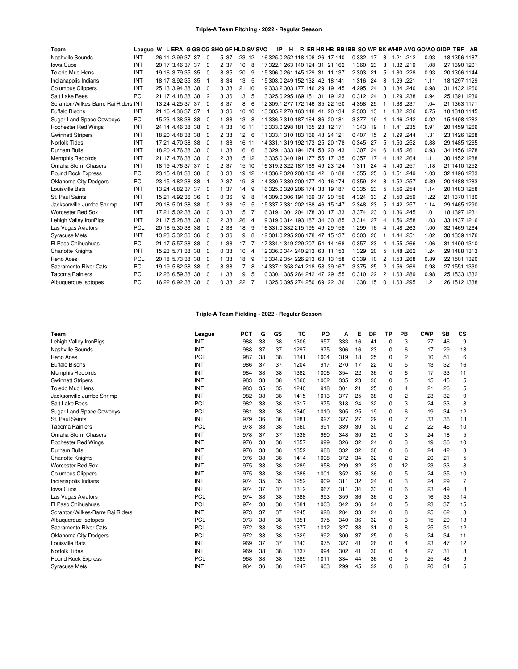## **Triple-A Team Pitching - 2022 - Regular Season**

| Team                                 | League W L ERA G GS CG SHO GF HLD SV SVO |                  |     |                |       |       |     |                         | IP | H |  |                                | R ER HR HB BB IBB SO WP BK WHIP AVG GO/AO GIDP TBF AB |    |                |           |      |      |              |  |
|--------------------------------------|------------------------------------------|------------------|-----|----------------|-------|-------|-----|-------------------------|----|---|--|--------------------------------|-------------------------------------------------------|----|----------------|-----------|------|------|--------------|--|
| Nashville Sounds                     | <b>INT</b>                               | 26 11 2.99 37 37 |     | $\Omega$       | 5 37  | 23 12 |     |                         |    |   |  | 16 325.0 252 118 108 26 17 140 | 0 3 32 17                                             |    | 3              | 1.21 .212 |      | 0.93 | 18 1356 1187 |  |
| Iowa Cubs                            | <b>INT</b>                               | 20 17 3.46 37 37 |     | $\Omega$       | 2 37  | 10    | 8   |                         |    |   |  | 17 322.1 263 140 124 31 21 162 | 1 3 6 0                                               | 23 | 3              | 1.32 .219 |      | 1.08 | 27 1390 1201 |  |
| <b>Toledo Mud Hens</b>               | <b>INT</b>                               | 19 16 3.79 35 35 |     | $\Omega$       | 3 3 5 | 20    | 9   |                         |    |   |  | 15 306 0 261 145 129 31 11 137 | 2 3 0 3                                               | 21 | 5              | 1.30 228  |      | 0.93 | 20 1306 1144 |  |
| Indianapolis Indians                 | INT                                      | 18 17 3.92 35 35 |     |                | 3 3 4 | 13    | 5   |                         |    |   |  | 15 303.0 249 152 132 42 18 141 | 1316                                                  | 24 | 3              | 1.29 .221 |      | 1.11 | 18 1297 1129 |  |
| <b>Columbus Clippers</b>             | INT                                      | 25 13 3.94 38 38 |     | $\Omega$       | 3 3 8 | 21    | -10 |                         |    |   |  | 19 333.2 303 177 146 29 19 145 | 4 2 9 5                                               | 24 | 3              | 1.34 .240 |      | 0.98 | 31 1432 1260 |  |
| Salt Lake Bees                       | PCL                                      | 21 17 4.18 38 38 |     | $\overline{2}$ | 3 36  | 13    | 5   |                         |    |   |  | 13 325 0 295 169 151 31 19 123 | 0 3 1 2                                               | 24 | 3              | 1.29 .238 |      | 0.94 | 25 1391 1239 |  |
| Scranton/Wilkes-Barre RailRiders INT |                                          | 13 24 4.25 37 37 |     | $\Omega$       | 3 37  | 8     | 6   |                         |    |   |  | 12 309 1 277 172 146 35 22 150 | 4 3 5 8                                               | 25 |                | 1.38 .237 |      | 1.04 | 21 1363 1171 |  |
| <b>Buffalo Bisons</b>                | <b>INT</b>                               | 21 16 4.36 37 37 |     | -1             | 3 36  | 10 10 |     |                         |    |   |  | 13 305 2 270 163 148 41 20 134 | 2 3 0 3                                               | 13 |                | 1.32 .236 |      | 0.75 | 18 1310 1145 |  |
| <b>Sugar Land Space Cowboys</b>      | <b>PCL</b>                               | 15 23 4.38 38 38 |     | $\Omega$       | 1 38  | 13    | 8   |                         |    |   |  | 11 336.2 310 187 164 36 20 181 | 3 3 7 7                                               | 19 | 4              | 1.46 .242 |      | 0.92 | 15 1498 1282 |  |
| <b>Rochester Red Wings</b>           | <b>INT</b>                               | 24 14 4.46 38 38 |     | $\Omega$       | 4 38  | 16    | 11  |                         |    |   |  | 13 333.0 298 181 165 28 12 171 | 1 3 4 3                                               | 19 | 1              | 1.41      | .235 | 0.91 | 20 1459 1266 |  |
| <b>Gwinnett Stripers</b>             | INT                                      | 18 20 4.48 38 38 |     | $\Omega$       | 2 38  | 12    | 6   |                         |    |   |  | 11 333.1 310 183 166 43 24 121 | 0407                                                  | 15 | 2              | 1.29 .244 |      | 1.31 | 23 1426 1268 |  |
| Norfolk Tides                        | INT                                      | 17 21 4.70 38 38 |     | $\Omega$       | 1 38  | 16    | -11 |                         |    |   |  | 14 331 1 319 192 173 25 20 178 | 0 3 4 5                                               | 27 | 5              | 1.50 .252 |      | 0.88 | 29 1485 1265 |  |
| Durham Bulls                         | INT                                      | 18 20 4.76 38 38 |     | $\Omega$       | 1 38  | 16    | 6   |                         |    |   |  | 13 329.1 333 194 174 58 20 143 | 1 3 0 7                                               | 24 | 6              | 1.45 .261 |      | 0.93 | 34 1456 1278 |  |
| <b>Memphis Redbirds</b>              | <b>INT</b>                               | 21 17 4.76 38 38 |     | $\Omega$       | 2 38  | 15 12 |     |                         |    |   |  | 13 335 0 340 191 177 55 17 135 | 0 3 5 7                                               | 17 | 4              | 1.42 .264 |      | 1.11 | 30 1452 1288 |  |
| Omaha Storm Chasers                  | INT                                      | 18 19 4.76 37 37 |     | $\Omega$       | 2 37  | 15 10 |     |                         |    |   |  | 16 319 2 322 187 169 49 23 124 | 1311                                                  | 24 | 4              | 1.40 .257 |      | 1.18 | 21 1410 1252 |  |
| <b>Round Rock Express</b>            | <b>PCL</b>                               | 23 15 4.81 38 38 |     | $\Omega$       | 0.38  | 19    | 12  | 14 336 2 320 208 180 42 |    |   |  | 6 188                          | 1 3 5 5                                               | 25 | 6              | 1.51 .249 |      | 1.03 | 32 1496 1283 |  |
| Oklahoma City Dodgers                | <b>PCL</b>                               | 23 15 4.82 38 38 |     | -1             | 2 37  | 19    | 8   |                         |    |   |  | 14 330.2 330 200 177 40 16 174 | 0 3 5 9                                               | 24 | 3              | 1.52 .257 |      | 0.89 | 20 1488 1283 |  |
| Louisville Bats                      | INT                                      | 13 24 4.82 37    | -37 | $\Omega$       | 1 37  | 14    | 9   |                         |    |   |  | 16 325 0 320 206 174 38 19 187 | 0 3 3 5                                               | 23 | 5              | 1.56 .254 |      | 1.14 | 20 1483 1258 |  |
| St. Paul Saints                      | INT                                      | 15 21 4.92 36 36 |     | $\Omega$       | 0.36  | 9     | 8   |                         |    |   |  | 14 309 0 306 194 169 37 20 156 | 4 3 2 4                                               | 33 | $\overline{2}$ | 1.50 .259 |      | 1.22 | 21 1370 1180 |  |
| Jacksonville Jumbo Shrimp            | INT                                      | 20 18 5.01 38 38 |     | $\Omega$       | 2 38  | 15    | 5   |                         |    |   |  | 15 337.2 331 202 188 46 15 147 | 2 3 4 8                                               | 23 | 5              | 1.42 .257 |      | 1.14 | 29 1465 1290 |  |
| <b>Worcester Red Sox</b>             | INT                                      | 17 21 5.02 38 38 |     | $\Omega$       | 0.38  | 15    | 7   |                         |    |   |  | 16 319 1 301 204 178 30 17 133 | 3 3 7 4                                               | 23 | $\Omega$       | 1.36 .245 |      | 1.01 | 18 1397 1231 |  |
| Lehigh Valley IronPigs               | INT                                      | 21 17 5.28 38 38 |     | $\Omega$       | 2 38  | 26    | 4   |                         |    |   |  | 9319.0314 193 187 34 30 185    | 3 3 1 4                                               | 27 | 4              | 1.56 .258 |      | 1.03 | 33 1437 1216 |  |
| Las Vegas Aviators                   | <b>PCL</b>                               | 20 18 5.30 38 38 |     | $\Omega$       | 2 38  | 18    | 9   |                         |    |   |  | 16 331.0 332 215 195 49 29 158 | 1 2 9 9                                               | 16 | 4              | 1.48 .263 |      | 1.00 | 32 1469 1264 |  |
| <b>Syracuse Mets</b>                 | INT                                      | 13 23 5.32 36    | -36 | $\Omega$       | 3 3 6 | 9     | 8   |                         |    |   |  | 12 301 0 295 206 178 47 15 137 | 0 3 0 3                                               | 20 | 1              | 1.44 .251 |      | 1.02 | 30 1339 1176 |  |
| El Paso Chihuahuas                   | PCL                                      | 21 17 5.57 38 38 |     | $\Omega$       | 1 38  | 17    |     |                         |    |   |  | 17 334.1 349 229 207 54 14 168 | 0 3 5 7                                               | 23 | 4              | 1.55 .266 |      | 1.06 | 31 1499 1310 |  |
| <b>Charlotte Knights</b>             | INT                                      | 15 23 5.71 38 38 |     | $\Omega$       | 0.38  | 10    | 4   |                         |    |   |  | 12 336.0 344 240 213 63 11 153 | 1 3 2 9                                               | 20 | 5              | 1.48 .262 |      | 1.24 | 29 1488 1313 |  |
| Reno Aces                            | <b>PCL</b>                               | 20 18 5.73 38 38 |     | $\Omega$       | 1 38  | 18    | 9   |                         |    |   |  | 13 334.2 354 226 213 63 13 158 | 0 3 3 9                                               | 10 | 2              | 1.53 .268 |      | 0.89 | 22 1501 1320 |  |
| Sacramento River Cats                | <b>PCL</b>                               | 19 19 5.82 38 38 |     | $\Omega$       | 3 3 8 |       | 8   |                         |    |   |  | 14 337.1 358 241 218 58 39 167 | 3 3 7 5                                               | 25 | 2              | 1.56 .269 |      | 0.98 | 27 1551 1330 |  |
| <b>Tacoma Rainiers</b>               | PCL                                      | 12 26 6.59 38 38 |     | $\Omega$       | 1 38  | 9     | 5   |                         |    |   |  | 10 330 1 385 264 242 47 29 155 | 0310                                                  | 22 | 2              | 1.63 .289 |      | 0.98 | 25 1533 1332 |  |
| Albuquerque Isotopes                 | <b>PCL</b>                               | 16 22 6.92 38 38 |     | $\Omega$       | 0.38  | 22    | 7   |                         |    |   |  | 11 325.0 395 274 250 69 22 136 | 1 3 3 8                                               | 15 | $\Omega$       | 1.63 .295 |      | 1.21 | 26 1512 1338 |  |

# **Triple-A Team Fielding - 2022 - Regular Season**

| Team                             | League     | <b>PCT</b> | G  | GS | TC   | PO   | A   | Е  | <b>DP</b> | TP | PB             | <b>CWP</b> | <b>SB</b> | CS             |
|----------------------------------|------------|------------|----|----|------|------|-----|----|-----------|----|----------------|------------|-----------|----------------|
| Lehigh Valley IronPigs           | INT        | .988       | 38 | 38 | 1306 | 957  | 333 | 16 | 41        | 0  | 3              | 27         | 46        | g              |
| Nashville Sounds                 | INT        | .988       | 37 | 37 | 1297 | 975  | 306 | 16 | 23        | 0  | 6              | 17         | 29        | 13             |
| Reno Aces                        | <b>PCL</b> | .987       | 38 | 38 | 1341 | 1004 | 319 | 18 | 25        | 0  | $\overline{c}$ | 10         | 51        | 6              |
| <b>Buffalo Bisons</b>            | INT        | .986       | 37 | 37 | 1204 | 917  | 270 | 17 | 22        | 0  | 5              | 13         | 32        | 16             |
| Memphis Redbirds                 | INT        | .984       | 38 | 38 | 1382 | 1006 | 354 | 22 | 36        | 0  | 6              | 17         | 33        | 11             |
| <b>Gwinnett Stripers</b>         | INT        | .983       | 38 | 38 | 1360 | 1002 | 335 | 23 | 30        | 0  | 5              | 15         | 45        | 5              |
| <b>Toledo Mud Hens</b>           | INT        | .983       | 35 | 35 | 1240 | 918  | 301 | 21 | 25        | 0  | 4              | 21         | 26        | 5              |
| Jacksonville Jumbo Shrimp        | INT        | .982       | 38 | 38 | 1415 | 1013 | 377 | 25 | 38        | 0  | 2              | 23         | 32        | 9              |
| Salt Lake Bees                   | PCL        | .982       | 38 | 38 | 1317 | 975  | 318 | 24 | 32        | 0  | 3              | 24         | 33        | 8              |
| <b>Sugar Land Space Cowboys</b>  | <b>PCL</b> | .981       | 38 | 38 | 1340 | 1010 | 305 | 25 | 19        | 0  | 6              | 19         | 34        | 12             |
| St. Paul Saints                  | INT        | .979       | 36 | 36 | 1281 | 927  | 327 | 27 | 29        | 0  |                | 33         | 36        | 13             |
| <b>Tacoma Rainiers</b>           | <b>PCL</b> | .978       | 38 | 38 | 1360 | 991  | 339 | 30 | 30        | 0  | 2              | 22         | 46        | 10             |
| Omaha Storm Chasers              | INT        | .978       | 37 | 37 | 1338 | 960  | 348 | 30 | 25        | 0  | 3              | 24         | 18        | 5              |
| <b>Rochester Red Wings</b>       | INT        | .976       | 38 | 38 | 1357 | 999  | 326 | 32 | 24        | 0  | 3              | 19         | 36        | 10             |
| Durham Bulls                     | INT        | .976       | 38 | 38 | 1352 | 988  | 332 | 32 | 38        | 0  | 6              | 24         | 42        | 8              |
| <b>Charlotte Knights</b>         | INT        | .976       | 38 | 38 | 1414 | 1008 | 372 | 34 | 32        | 0  | $\overline{c}$ | 20         | 21        | 5              |
| <b>Worcester Red Sox</b>         | INT        | .975       | 38 | 38 | 1289 | 958  | 299 | 32 | 23        | 0  | 12             | 23         | 33        | 8              |
| <b>Columbus Clippers</b>         | INT        | .975       | 38 | 38 | 1388 | 1001 | 352 | 35 | 36        | 0  | 5              | 24         | 35        | 10             |
| Indianapolis Indians             | INT        | .974       | 35 | 35 | 1252 | 909  | 311 | 32 | 24        | 0  | 3              | 24         | 29        | $\overline{7}$ |
| Iowa Cubs                        | INT        | .974       | 37 | 37 | 1312 | 967  | 311 | 34 | 33        | 0  | 6              | 23         | 49        | 8              |
| Las Vegas Aviators               | <b>PCL</b> | .974       | 38 | 38 | 1388 | 993  | 359 | 36 | 36        | 0  | 3              | 16         | 33        | 14             |
| El Paso Chihuahuas               | <b>PCL</b> | .974       | 38 | 38 | 1381 | 1003 | 342 | 36 | 34        | 0  | 5              | 23         | 37        | 15             |
| Scranton/Wilkes-Barre RailRiders | INT        | .973       | 37 | 37 | 1245 | 928  | 284 | 33 | 24        | 0  | 8              | 25         | 62        | 8              |
| Albuquerque Isotopes             | <b>PCL</b> | .973       | 38 | 38 | 1351 | 975  | 340 | 36 | 32        | 0  | 3              | 15         | 29        | 13             |
| Sacramento River Cats            | <b>PCL</b> | .972       | 38 | 38 | 1377 | 1012 | 327 | 38 | 31        | 0  | 8              | 25         | 31        | 12             |
| <b>Oklahoma City Dodgers</b>     | <b>PCL</b> | .972       | 38 | 38 | 1329 | 992  | 300 | 37 | 25        | 0  | 6              | 24         | 34        | 11             |
| Louisville Bats                  | INT        | .969       | 37 | 37 | 1343 | 975  | 327 | 41 | 26        | 0  | 4              | 23         | 47        | 12             |
| <b>Norfolk Tides</b>             | INT        | .969       | 38 | 38 | 1337 | 994  | 302 | 41 | 30        | 0  | 4              | 27         | 31        | 8              |
| Round Rock Express               | PCL        | .968       | 38 | 38 | 1389 | 1011 | 334 | 44 | 36        | 0  | 5              | 25         | 48        | 9              |
| <b>Syracuse Mets</b>             | INT        | .964       | 36 | 36 | 1247 | 903  | 299 | 45 | 32        | 0  | 6              | 20         | 34        | 5              |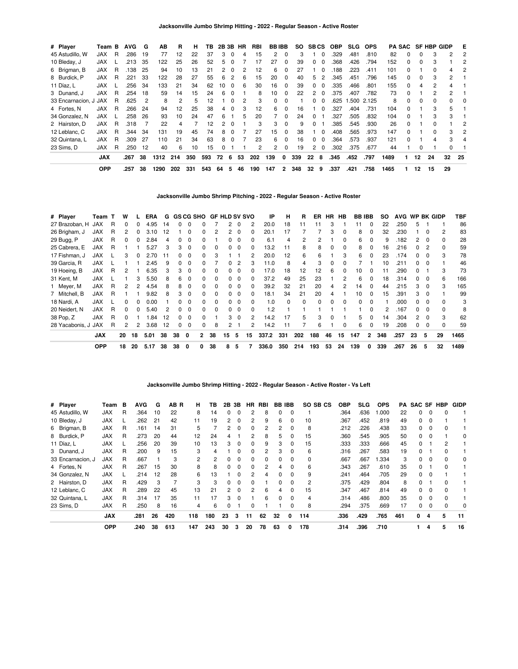| # Player              | Team B     |    | <b>AVG</b> | G  | ΑВ   | R   | н   | тв  |    |              | 2B 3B HR | RBI | <b>BBIBB</b> |              | SO. |              | <b>SBCS</b>  | <b>OBP</b> | <b>SLG</b> | <b>OPS</b> |      | <b>PA SAC</b> |    | <b>SF HBP GIDP</b> |              | Е  |
|-----------------------|------------|----|------------|----|------|-----|-----|-----|----|--------------|----------|-----|--------------|--------------|-----|--------------|--------------|------------|------------|------------|------|---------------|----|--------------------|--------------|----|
| 45 Astudillo, W       | JAX.       | R  | .286       | 19 | 77   | 12  | 22  | 37  | 3  | $\Omega$     | 4        | 15  | 2            |              | З   |              |              | .329       | .481       | .810       | 82   | 0             |    | 3                  | 2            | 2  |
| 10 Bleday, J          | <b>JAX</b> |    | .213       | 35 | 122  | 25  | 26  | 52  | 5  |              |          | 17  | 27           | 0            | 39  | 0            | 0            | .368       | .426       | .794       | 152  | 0             | 0  |                    |              |    |
| 6 Brigman, B          | <b>JAX</b> | R. | .138       | 25 | 94   | 10  | 13  | 21  | 2  | $\Omega$     |          | 12  | 6            | 0            | 27  |              | 0            | .188       | .223       | .411       | 101  | 0             |    | 0                  | 4            | 2  |
| 8 Burdick, P          | <b>JAX</b> | R  | 221        | 33 | 122  | 28  | 27  | 55  | 6  | 2            | 6        | 15  | 20           | $\Omega$     | 40  | 5            | 2            | .345       | .451       | .796       | 145  | $\Omega$      | 0  | 3                  | $\mathbf{2}$ |    |
| 11 Díaz, L            | <b>JAX</b> |    | 256        | 34 | 133  | 21  | 34  | 62  | 10 | $\Omega$     | 6        | 30  | 16           | $\Omega$     | 39  | 0            | $\Omega$     | .335       | .466       | .801       | 155  | $\Omega$      | 4  | 2                  | 4            |    |
| 3 Dunand, J           | <b>JAX</b> | R  | 254        | 18 | 59   | 14  | 15  | 24  | 6  | $\Omega$     |          | 8   | 10           | <sup>0</sup> | 22  | 2            | <sup>0</sup> | .375       | .407       | .782       | 73   | <sup>0</sup>  |    | 2                  | 2            |    |
| 33 Encarnacion, J JAX |            | R  | .625       | 2  | 8    | 2   | 5   | 12  |    |              |          | 3   | 0            |              |     |              | 0            | .625       | .500       | 2.125      | 8    |               | 0  |                    |              | 0  |
| 4 Fortes, N           | JAX        | R  | .266       | 24 | 94   | 12  | 25  | 38  | 4  | $\Omega$     | 3        | 12  | 6            | $\Omega$     | 16  |              | $\Omega$     | .327       | .404       | .731       | 104  | $\Omega$      |    |                    | 5            |    |
| 34 Gonzalez, N        | <b>JAX</b> |    | 258        | 26 | 93   | 10  | 24  | 47  | 6  |              | 5        | 20  |              | $\Omega$     | 24  | 0            |              | .327       | .505       | .832       | 104  | $\Omega$      |    | 3                  | 3            |    |
| 2 Hairston, D         | <b>JAX</b> | R  | 318        |    | 22   | 4   |     | 12  | 2  | $\Omega$     |          | 3   | 3            | $\Omega$     | 9   | <sup>0</sup> |              | .385       | .545       | .930       | 26   | $\Omega$      |    | U                  |              |    |
| 12 Leblanc, C         | <b>JAX</b> | R  | .344       | 34 | 131  | 19  | 45  | 74  | 8  | <sup>0</sup> |          | 27  | 15           |              | 38  |              | $\Omega$     | .408       | .565       | .973       | 147  | <sup>0</sup>  |    |                    | 3            | 2  |
| 32 Quintana, L        | <b>JAX</b> | R  | .309       | 27 | 110  | 21  | 34  | 63  | 8  | $\Omega$     |          | 23  | 6            |              | 16  | <sup>o</sup> | <sup>0</sup> | .364       | .573       | .937       | 121  | <sup>0</sup>  |    |                    | 3            | 4  |
| 23 Sims. D            | <b>JAX</b> | R  | .250       | 12 | 40   | 6   | 10  | 15  |    |              |          | 2   | 2            | $\Omega$     | 19  | 2            | $\Omega$     | .302       | .375       | .677       | 44   |               |    |                    | 0            |    |
|                       | <b>JAX</b> |    | .267       | 38 | 1312 | 214 | 350 | 593 | 72 | 6            | 53       | 202 | 139          | 0            | 339 | 22           | 8            | .345       | .452       | .797       | 1489 |               | 12 | 24                 | 32           | 25 |
|                       | <b>OPP</b> |    | .257       | 38 | 1290 | 202 | 331 | 543 | 64 | 5            | 46       | 190 | 147          | 2            | 348 | 32           | 9            | .337       | .421       | .758       | 1465 |               | 12 | 15                 | 29           |    |

**Jacksonville Jumbo Shrimp Pitching - 2022 - Regular Season - Active Roster**

| # Player            | Team T     |   | w        |              | ERA  | G   |              |             |                | GS CG SHO GF HLD SV SVO |              |          |          | IP    | н        | R        | ER       |    | HR HB    | <b>BB IBB</b> |                | SO. | <b>AVG</b> |              |          | WP BK GIDP | TBF  |
|---------------------|------------|---|----------|--------------|------|-----|--------------|-------------|----------------|-------------------------|--------------|----------|----------|-------|----------|----------|----------|----|----------|---------------|----------------|-----|------------|--------------|----------|------------|------|
| 27 Brazoban, H      | <b>JAX</b> | R | $\Omega$ |              | 4.95 | 14  |              | 0           |                |                         | 2            | 0        | 2        | 20.0  | 18       | 11       | 11       | 3  |          | 11            | $\Omega$       | 22  | .250       | 5            |          |            | 86   |
| 26 Brigham, J       | <b>JAX</b> | R | 2        |              | 3.10 | 12  |              | $\Omega$    | <sup>0</sup>   |                         | 2            | $\Omega$ | $\Omega$ | 20.1  | 17       |          |          | 3  | $\Omega$ | 8             | <sup>0</sup>   | 32  | .230       |              | n        | 2          | 83   |
| 29 Bugg, P          | <b>JAX</b> | R | 0        |              | 2.84 | 4   |              | 0           | ŋ              |                         | <sup>0</sup> | $\Omega$ | $\Omega$ | 6.1   | 4        | 2        | 2        |    | $\Omega$ | 6             | <sup>0</sup>   | 9   | 182        | 2            | - 0      | $\Omega$   | 28   |
| 25 Cabrera, E       | <b>JAX</b> | R |          |              | 5.27 | 3   | 3            | $\Omega$    |                |                         | <sup>0</sup> |          | 0        | 13.2  | 11       | 8        | 8        | 0  | $\Omega$ | 8             |                | 16  | .216       |              |          | $\Omega$   | 59   |
| 17 Fishman, J       | <b>JAX</b> |   |          |              | 2.70 | -11 |              | 0           |                |                         |              |          | 2        | 20.0  | 12       | 6        | 6        |    | 3        | 6             |                | 23  | .174       |              |          | 3          | 78   |
| 39 Garcia, R        | <b>JAX</b> |   |          |              | 2.45 | 9   |              | 0           |                |                         |              |          |          | 11.0  | 8        | 4        | 3        | O  |          |               |                | 10  | .211       |              |          |            | 46   |
| 19 Hoeing, B        | <b>JAX</b> | R | 2        |              | 6.35 | 3   | 3            | $\Omega$    |                |                         | 0            |          |          | 17.0  | 18       | 12       | 12       | 6  | $\Omega$ | 10            | $\Omega$       | 11  | .290       |              |          | 3          | 73   |
| 31 Kent, M          | <b>JAX</b> |   |          | 3            | 5.50 | 8   | 6            | $\Omega$    | <sup>0</sup>   |                         | 0            | $\Omega$ | 0        | 37.2  | 49       | 25       | 23       |    |          | 6             | $\Omega$       | 18  | .314       | $\Omega$     | 0        | 6          | 166  |
| 1 Meyer, M          | <b>JAX</b> | R | 2        | 2            | 4.54 | 8   | 8            | 0           | <sup>0</sup>   |                         | $\Omega$     | $\Omega$ | $\Omega$ | 39.2  | 32       | 21       | 20       | 4  | 2        | 14            | $\Omega$       | 44  | .215       | 3            | 0        | 3          | 165  |
| 7 Mitchell, B       | <b>JAX</b> | R |          |              | 9.82 | 8   | 3            | $\Omega$    | 0              | $\Omega$                | $\Omega$     | $\Omega$ | $\Omega$ | 18.1  | 34       | 21       | 20       | 4  |          | 10            | $\Omega$       | 15  | .391       | 3            | $\Omega$ |            | 99   |
| 18 Nardi, A         | <b>JAX</b> |   | $\Omega$ | <sup>0</sup> | 0.00 |     | <sup>0</sup> | $\Omega$    | 0              | $\Omega$                | $\Omega$     | $\Omega$ | $\Omega$ | 1.0   | $\Omega$ | $\Omega$ | $\Omega$ | 0  | $\Omega$ | $\Omega$      | $\Omega$       |     | .000       | $^{\circ}$   | - 0      | $\Omega$   | 3    |
| 20 Neidert. N       | <b>JAX</b> | R | $\Omega$ | <sup>0</sup> | 5.40 | 2   | 0            | 0           | <sup>0</sup>   | $\Omega$                | <sup>0</sup> | $\Omega$ | $\Omega$ | 1.2   |          |          |          |    |          |               | <sup>n</sup>   | 2   | .167       | $^{\circ}$   | $\Omega$ | 0          | 8    |
| 38 Pop, Z           | <b>JAX</b> | R | $\Omega$ |              | .84  | 12  | <sup>0</sup> | $\Omega$    | <sup>0</sup>   |                         | 3            | $\Omega$ | 2        | 14.2  | 17       | 5        | 3        | 0  |          | 5             | n              | 14  | .304       | $\mathbf{2}$ | - 0      | 3          | 62   |
| 28 Yacabonis, J JAX |            | R | 2        | 2            | 3.68 | 12  | 0            | $\mathbf 0$ | 0              | 8                       | 2            |          | 2        | 14.2  | 11       |          | 6        |    | $\Omega$ | 6             |                | 19  | .208       | $\Omega$     | $\Omega$ | $\Omega$   | 59   |
|                     | <b>JAX</b> |   | 20       | 18           | 5.01 | 38  | 38           | 0           | $\overline{2}$ | 38                      | 15           | 5        | 15       | 337.2 | 331      | 202      | 188      | 46 | 15       | 147           | $\overline{2}$ | 348 | .257       | 23           | 5        | 29         | 1465 |
|                     | <b>OPP</b> |   | 18       | 20           | 5.17 | 38  | 38           | 0           | 0              | 38                      | 8            | 5        |          | 336.0 | 350      | 214      | 193      | 53 | 24       | 139           | $\mathbf{0}$   | 339 | .267       | 26           | 5        | 32         | 1489 |

**Jacksonville Jumbo Shrimp Hitting - 2022 - Regular Season - Active Roster - Vs Left**

| # Player          | Team       | в | AVG  | G  | AB R | н              | ΤВ  | 2Β | 3В           | НR           | RBI      |          | <b>BB IBB</b> | SO SB CS | OBP  | <b>SLG</b> | <b>OPS</b> | PA  | SAC SF       |          | <b>HBP</b> | <b>GIDP</b> |
|-------------------|------------|---|------|----|------|----------------|-----|----|--------------|--------------|----------|----------|---------------|----------|------|------------|------------|-----|--------------|----------|------------|-------------|
| 45 Astudillo, W   | <b>JAX</b> | R | .364 | 10 | 22   | 8              | 14  | 0  |              |              | 8        | 0        | 0             |          | .364 | .636       | 1.000      | 22  | 0            | 0        |            |             |
| 10 Bleday, J      | <b>JAX</b> |   | .262 | 21 | 42   | 11             | 19  | 2  | $\Omega$     | 2            | 9        | 6        | $\Omega$      | 10       | .367 | .452       | .819       | 49  | $\Omega$     | $\Omega$ |            |             |
| 6 Brigman, B      | <b>JAX</b> | R | .161 | 14 | 31   | 5              |     | 2  | $\Omega$     | $\Omega$     | 2        | 2        | <sup>0</sup>  | 8        | .212 | .226       | .438       | 33  | 0            | $\Omega$ |            |             |
| 8 Burdick, P      | <b>JAX</b> | R | .273 | 20 | 44   | 12             | 24  |    |              |              | 8        | 5.       |               | 15       | .360 | .545       | .905       | 50  | $\Omega$     | $\Omega$ |            | $\Omega$    |
| 11 Díaz, L        | <b>JAX</b> |   | .256 | 20 | 39   | 10             | 13  | 3  |              | 0            | 9        | 3        |               | 15       | .333 | .333       | .666       | 45  |              |          |            |             |
| 3 Dunand, J       | <b>JAX</b> | R | .200 | 9  | 15   | 3              | 4   |    | <sup>0</sup> | $\Omega$     | 2        | 3        | $\Omega$      | 6        | .316 | .267       | .583       | 19  | <sup>0</sup> |          | 0          |             |
| 33 Encarnacion, J | <b>JAX</b> | R | .667 |    | 3    | $\overline{2}$ | 2   | 0  | <sup>n</sup> | <sup>0</sup> | $\Omega$ | $\Omega$ | <sup>0</sup>  | 0        | .667 | .667       | .334       | 3   | <sup>0</sup> | $\Omega$ | 0          | $\Omega$    |
| 4 Fortes, N       | <b>JAX</b> | R | 267  | 15 | 30   | 8              | 8   | 0  |              | <sup>0</sup> | 2        | 4        |               | 6        | .343 | .267       | .610       | 35  | 0            |          |            |             |
| 34 Gonzalez, N    | <b>JAX</b> |   | .214 | 12 | 28   | 6              | 13  |    |              | 2            |          | $\Omega$ |               | 9        | .241 | .464       | .705       | 29  | 0            | $\Omega$ |            |             |
| 2 Hairston, D     | <b>JAX</b> | R | .429 | 3  |      | 3              | 3   | 0  |              | 0            |          | 0        | 0             | 2        | .375 | .429       | .804       | 8   | 0            |          |            |             |
| 12 Leblanc, C     | <b>JAX</b> | R | .289 | 22 | 45   | 13             | 21  | 2  | $\Omega$     | 2            | 6        | 4        | $\Omega$      | 15       | .347 | .467       | .814       | 49  | $\Omega$     | $\Omega$ | 0          |             |
| 32 Quintana, L    | <b>JAX</b> | R | .314 | 17 | 35   | 11             | 17  | 3  | $\Omega$     |              | 6        | $\Omega$ | <sup>0</sup>  | 4        | .314 | .486       | .800       | 35  | 0            | $\Omega$ |            |             |
| 23 Sims, D        | <b>JAX</b> | R | .250 | 8  | 16   | 4              | 6   | 0  |              | 0            |          |          |               | 8        | .294 | .375       | .669       | 17  | 0            | 0        | 0          | 0           |
|                   | <b>JAX</b> |   | .281 | 26 | 420  | 118            | 180 | 23 | 3            | 11           | 62       | 32       | 0             | 114      | .336 | .429       | .765       | 461 | 0            | 4        | 5          | 11          |
|                   | OPP        |   | .240 | 38 | 613  | 147            | 243 | 30 | 3            | 20           | 78       | 63       | 0             | 178      | .314 | .396       | .710       |     |              | 4        | 5          | 16          |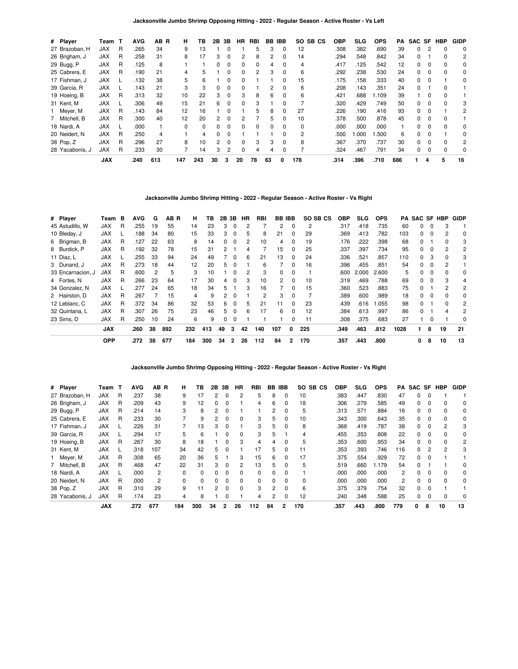| # Player        | Team       | $\mathbf{T}$ | <b>AVG</b> | AB R | н        | ΤВ       | 2В             | 3B | HR           | RBI | BB       | <b>IBB</b>   | SO SB CS | <b>OBP</b> | SLG  | <b>OPS</b> | PA  | SAC SF |          | <b>HBP</b> | <b>GIDP</b> |
|-----------------|------------|--------------|------------|------|----------|----------|----------------|----|--------------|-----|----------|--------------|----------|------------|------|------------|-----|--------|----------|------------|-------------|
| 27 Brazoban, H  | <b>JAX</b> | R            | .265       | 34   | 9        | 13       |                |    |              | 5   | 3        | 0            | 12       | .308       | .382 | .690       | 39  | 0      |          |            | $\Omega$    |
| 26 Brigham, J   | <b>JAX</b> | R            | .258       | 31   | 8        | 17       | 3              | 0  | 2            | 8   | 2        |              | 14       | .294       | .548 | .842       | 34  | 0      |          |            | 2           |
| 29 Bugg, P      | JAX        | R            | .125       | 8    |          |          | 0              | 0  | 0            | 0   | 4        |              | 4        | .417       | .125 | .542       | 12  | 0      | 0        | $\Omega$   | 0           |
| 25 Cabrera, E   | <b>JAX</b> | R            | .190       | 21   | 4        | 5        |                | 0  | <sup>0</sup> | 2   | 3        | $\Omega$     | 6        | .292       | .238 | .530       | 24  | 0      |          | $\Omega$   | 0           |
| 17 Fishman, J   | <b>JAX</b> |              | .132       | 38   | 5        | 6        |                | 0  |              |     |          |              | 15       | .175       | .158 | .333       | 40  | 0      |          |            | 0           |
| 39 Garcia, R    | <b>JAX</b> |              | .143       | 21   | 3        | 3        | 0              | 0  | 0            |     | 2        | 0            | 6        | .208       | .143 | .351       | 24  | 0      |          | $\Omega$   |             |
| 19 Hoeing, B    | <b>JAX</b> | R            | .313       | 32   | 10       | 22       | 3              | 0  | 3            | 8   | 6        | $\Omega$     | 6        | .421       | .688 | .109       | 39  |        | $\Omega$ |            |             |
| 31 Kent, M      | <b>JAX</b> |              | .306       | 49   | 15       | 21       | 6              | 0  | <sup>0</sup> | 3   |          |              |          | .320       | .429 | .749       | 50  | 0      |          |            | 3           |
| 1 Meyer, M      | <b>JAX</b> | R            | .143       | 84   | 12       | 16       |                | 0  |              | 5   | 8        | 0            | 27       | .226       | .190 | .416       | 93  | 0      |          |            | 2           |
| 7 Mitchell, B   | <b>JAX</b> | R            | .300       | 40   | 12       | 20       | 2              | 0  |              |     | 5        | $\Omega$     | 10       | .378       | .500 | .878       | 45  | 0      | $\Omega$ | $\Omega$   |             |
| 18 Nardi, A     | <b>JAX</b> |              | .000       |      | $\Omega$ | $\Omega$ |                | 0  | <sup>0</sup> | 0   | $\Omega$ | <sup>0</sup> | $\Omega$ | .000       | .000 | .000       |     | O.     |          | n          | 0           |
| 20 Neidert, N   | <b>JAX</b> | R            | .250       | 4    |          | 4        |                | 0  |              |     |          |              | 2        | .500       | .000 | .500       | 6   | 0      |          |            | 0           |
| 38 Pop, Z       | <b>JAX</b> | R            | .296       | 27   | 8        | 10       | $\overline{2}$ | 0  | 0            | 3   | 3        | 0            | 8        | .367       | .370 | .737       | 30  | 0      | $\Omega$ | $\Omega$   | 2           |
| 28 Yacabonis, J | <b>JAX</b> | R            | .233       | 30   |          | 14       | 3              | 2  | $\Omega$     | 4   | 4        | 0            |          | .324       | .467 | .791       | 34  | 0      |          |            | 0           |
|                 | <b>JAX</b> |              | .240       | 613  | 147      | 243      | 30             | 3  | 20           | 78  | 63       | 0            | 178      | .314       | .396 | .710       | 686 |        | 4        | 5          | 16          |

## **Jacksonville Jumbo Shrimp Hitting - 2022 - Regular Season - Active Roster - Vs Right**

| # Player          | Team       | в | <b>AVG</b> | G  | AB R | н   | ΤВ  |                | 2B 3B    | HR | <b>RBI</b> | <b>BB IBB</b> |              | SO SB CS       | OBP  | <b>SLG</b> | <b>OPS</b> | PA   |              |          | SAC SF HBP   | <b>GIDP</b> |
|-------------------|------------|---|------------|----|------|-----|-----|----------------|----------|----|------------|---------------|--------------|----------------|------|------------|------------|------|--------------|----------|--------------|-------------|
| 45 Astudillo, W   | <b>JAX</b> | R | 255        | 19 | 55   | 14  | 23  | 3              | $\Omega$ | 2  |            | 2             | 0            | $\overline{c}$ | .317 | .418       | .735       | 60   | 0            | 0        | 3            |             |
| 10 Bleday, J      | <b>JAX</b> |   | .188       | 34 | 80   | 15  | 33  | 3              | $\Omega$ | 5  | 8          | 21            | 0            | 29             | .369 | .413       | .782       | 103  | 0            | $\Omega$ | 2            | 0           |
| 6 Brigman, B      | <b>JAX</b> | R | .127       | 22 | 63   | 8   | 14  | $\Omega$       | $\Omega$ | 2  | 10         | 4             | 0            | 19             | .176 | .222       | .398       | 68   | 0            |          | 0            | 3           |
| 8 Burdick, P      | <b>JAX</b> | R | .192       | 32 | 78   | 15  | 31  | $\overline{2}$ |          |    |            | 15            | 0            | 25             | .337 | .397       | .734       | 95   | 0            | $\Omega$ | 2            | 2           |
| 11 Díaz, L        | <b>JAX</b> |   | .255       | 33 | 94   | 24  | 49  |                | $\Omega$ | 6  | 21         | 13            | 0            | 24             | .336 | .521       | .857       | 110  | 0            | 3        | 0            | 3           |
| 3 Dunand, J       | <b>JAX</b> | R | .273       | 18 | 44   | 12  | 20  | 5              | $\Omega$ |    | 6          |               | $\Omega$     | 16             | .396 | .455       | .851       | 54   | 0            | $\Omega$ | 2            |             |
| 33 Encarnacion, J | <b>JAX</b> | R | .600       |    | 5    | 3   | 10  |                | $\Omega$ | 2  | 3          | 0             | $\Omega$     |                | .600 | 2.000      | 2.600      | 5    | 0            | $\Omega$ | 0            | 0           |
| 4 Fortes, N       | <b>JAX</b> | R | .266       | 23 | 64   | 17  | 30  | 4              | 0        | 3  | 10         | 2             | 0            | 10             | .319 | .469       | .788       | 69   | 0            | $\Omega$ | 3            | 4           |
| 34 Gonzalez, N    | <b>JAX</b> |   | .277       | 24 | 65   | 18  | 34  | 5              |          | 3  | 16         |               | 0            | 15             | .360 | .523       | .883       | 75   | 0            |          | 2            | 2           |
| 2 Hairston, D     | <b>JAX</b> | R | .267       |    | 15   | 4   | 9   | $\overline{2}$ | $\Omega$ |    | 2          | 3             | 0            |                | .389 | .600       | .989       | 18   | <sup>0</sup> | $\Omega$ | <sup>0</sup> | $\Omega$    |
| 12 Leblanc, C     | <b>JAX</b> | R | .372       | 34 | 86   | 32  | 53  | 6              | $\Omega$ | 5  | 21         | 11            | 0            | 23             | .439 | .616       | .055       | 98   | 0            |          | 0            | 2           |
| 32 Quintana, L    | <b>JAX</b> | R | .307       | 26 | 75   | 23  | 46  | 5              | $\Omega$ | 6  | 17         | 6             | 0            | 12             | .384 | .613       | .997       | 86   | 0            |          | 4            | 2           |
| 23 Sims, D        | <b>JAX</b> | R | .250       | 10 | 24   | 6   | 9   | $\Omega$       | 0        |    |            |               | 0            | 11             | .308 | .375       | .683       | 27   |              | $\Omega$ |              | 0           |
|                   | <b>JAX</b> |   | .260       | 38 | 892  | 232 | 413 | 49             | 3        | 42 | 140        | 107           | 0            | 225            | .349 | .463       | .812       | 1028 | 1.           | 8        | 19           | 21          |
|                   | <b>OPP</b> |   | .272       | 38 | 677  | 184 | 300 | 34             | 2        | 26 | 112        | 84            | $\mathbf{2}$ | 170            | .357 | .443       | .800       |      | 0            | 8        | 10           | 13          |

**Jacksonville Jumbo Shrimp Opposing Hitting - 2022 - Regular Season - Active Roster - Vs Right**

| # Player        | Team       |   | AVG  | AB R | н.  | ΤВ       | 2В       | 3В       | ΗR       | RBI | BB | IBB      | SO. | SB CS | OBP  | <b>SLG</b> | <b>OPS</b> | PA  |    |   | SAC SF HBP | <b>GIDP</b> |
|-----------------|------------|---|------|------|-----|----------|----------|----------|----------|-----|----|----------|-----|-------|------|------------|------------|-----|----|---|------------|-------------|
| 27 Brazoban, H  | <b>JAX</b> | R | .237 | 38   | 9   |          |          | 0        | 2        | 5   | 8  | 0        | 10  |       | .383 | .447       | .830       | 47  | 0  |   |            |             |
| 26 Brigham, J   | JAX        | R | .209 | 43   | 9   | 12       | $\Omega$ | 0        |          | 4   | 6  | 0        | 18  |       | .306 | .279       | .585       | 49  | 0  |   |            | 0           |
| 29 Bugg, P      | <b>JAX</b> | R | .214 | 14   | 3   | 8        | 2        | $\Omega$ |          |     | 2  | $\Omega$ | 5   |       | .313 | .571       | .884       | 16  | 0  |   |            | 0           |
| 25 Cabrera, E   | <b>JAX</b> | R | .233 | 30   |     | 9        |          |          | $\Omega$ | 3   | 5. | $\Omega$ | 10  |       | .343 | .300       | .643       | 35  | 0  |   |            | 0           |
| 17 Fishman, J   | <b>JAX</b> |   | .226 | 31   |     | 13       | 3        | 0        |          | 3   | 5  | $\Omega$ | 8   |       | .368 | .419       | .787       | 38  | 0  |   |            | 3           |
| 39 Garcia, R    | <b>JAX</b> |   | .294 | 17   | 5   | 6        |          | $\Omega$ | $\Omega$ | 3   | 5  |          | 4   |       | .455 | .353       | .808       | 22  | 0  |   |            | 0           |
| 19 Hoeing, B    | <b>JAX</b> | R | .267 | 30   | 8   | 18       |          |          | 3        | 4   | 4  | $\Omega$ | 5   |       | .353 | .600       | .953       | 34  | O. |   |            | 2           |
| 31 Kent, M      | <b>JAX</b> |   | .318 | 107  | 34  | 42       | 5.       | 0        |          |     | 5. | 0        | 11  |       | .353 | .393       | .746       | 116 | 0  |   |            | 3           |
| 1 Meyer, M      | <b>JAX</b> | R | .308 | 65   | 20  | 36       | 5.       |          | 3        | 15  | 6  | $\Omega$ | 17  |       | .375 | .554       | .929       | 72  | 0  |   |            |             |
| 7 Mitchell, B   | <b>JAX</b> | R | .468 | 47   | 22  | 31       | 3        | $\Omega$ | 2        | 13  | 5  | $\Omega$ | 5   |       | .519 | .660       | .179       | 54  | 0  |   |            | 0           |
| 18 Nardi, A     | <b>JAX</b> |   | .000 | 2    | 0   | $\Omega$ | 0        |          | $\Omega$ | 0   | 0  | $\Omega$ |     |       | .000 | .000       | .000       | 2   | O. |   |            | 0           |
| 20 Neidert. N   | <b>JAX</b> | R | .000 | 2    | 0   | 0        | 0        | $\Omega$ | $\Omega$ | 0   | 0  | $\Omega$ | 0   |       | .000 | .000       | .000       | 2   | 0  |   |            | 0           |
| 38 Pop, Z       | <b>JAX</b> | R | .310 | 29   | 9   | 11       | 2        | $\Omega$ | $\Omega$ | 3   | 2  | $\Omega$ | 6   |       | .375 | .379       | .754       | 32  | 0  |   |            |             |
| 28 Yacabonis, J | <b>JAX</b> | R | .174 | 23   | 4   | 8        |          |          |          | 4   | 2  | $\Omega$ | 12  |       | .240 | .348       | .588       | 25  | 0  |   |            | 0           |
|                 | <b>JAX</b> |   | .272 | 677  | 184 | 300      | 34       |          | 26       | 112 | 84 |          | 170 |       | .357 | .443       | .800       | 779 | 0  | 8 | 10         | 13          |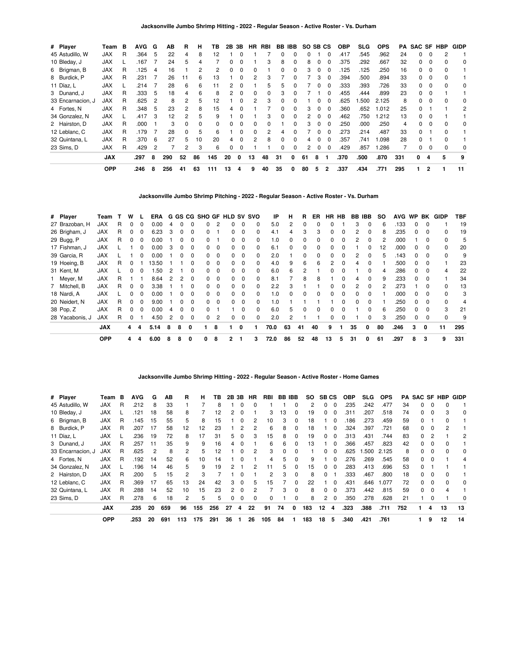| # Player          | Team       | в | <b>AVG</b> | G              | ΑВ  | R            | н            | ΤВ  | 2В | 3В           | <b>HR</b> | RBI          |    | BB IBB   | SO SB CS |          |              | <b>OBP</b> | <b>SLG</b> | <b>OPS</b> | PA  | <b>SAC SF HBP</b> |                |   | <b>GIDP</b> |
|-------------------|------------|---|------------|----------------|-----|--------------|--------------|-----|----|--------------|-----------|--------------|----|----------|----------|----------|--------------|------------|------------|------------|-----|-------------------|----------------|---|-------------|
| 45 Astudillo, W   | <b>JAX</b> | R | .364       | -5             | 22  | 4            | 8            | 12  |    |              |           |              |    |          |          |          |              | .417       | .545       | .962       | 24  |                   |                |   |             |
| 10 Bleday, J      | <b>JAX</b> |   | .167       |                | 24  | 5            |              |     |    |              |           | 3            | 8  |          | 8        |          |              | .375       | .292       | .667       | 32  | 0                 |                |   | 0           |
| 6 Brigman, B      | <b>JAX</b> | R | .125       | 4              | 16  |              |              | 2   |    |              |           |              |    |          | з        |          |              | .125       | .125       | .250       | 16  | 0                 | 0              |   |             |
| 8 Burdick, P      | <b>JAX</b> | R | .231       |                | 26  | 11           | 6            | 13  |    | <sup>0</sup> | 2         | 3            |    |          |          | 3        | <sup>0</sup> | .394       | .500       | .894       | 33  | 0                 | $\Omega$       |   |             |
| 11 Díaz. L        | <b>JAX</b> |   | .214       |                | 28  | -6           | 6            | 11  | 2  | $\Omega$     |           | 5            | 5  |          |          | 0        | 0            | .333       | .393       | .726       | 33  | 0                 | $\Omega$       | 0 | 0           |
| 3 Dunand, J       | <b>JAX</b> | R | .333       | 5              | 18  | 4            | 6            | 8   |    | $\Omega$     | 0         | 0            | з  |          |          |          |              | .455       | .444       | .899       | 23  | O.                |                |   |             |
| 33 Encarnacion, J | <b>JAX</b> | R | .625       |                | 8   |              | 'n.          | 12  |    |              |           | 3            |    |          |          |          |              | .625       | .500       | 2.125      | 8   |                   |                |   | 0           |
| 4 Fortes, N       | <b>JAX</b> | R | .348       | 5              | 23  | 2            | 8            | 15  |    |              |           |              |    |          |          |          | 0            | .360       | .652       | .012       | 25  | 0                 |                |   | 2           |
| 34 Gonzalez. N    | <b>JAX</b> |   | .417       | -3             | 12  |              | 'n.          | 9   |    | 0            |           | 3            | 0  | $\Omega$ | 2        | 0        | $\Omega$     | .462       | .750       | .212       | 13  | 0                 | $\Omega$       |   |             |
| 2 Hairston, D     | <b>JAX</b> | R | .000       |                | 3   | $\Omega$     | <sup>n</sup> | 0   |    | <sup>0</sup> | $\Omega$  | <sup>0</sup> |    |          | 3        | $\Omega$ | $\Omega$     | .250       | .000       | .250       | 4   | <sup>0</sup>      | $\Omega$       | U | 0           |
| 12 Leblanc, C     | <b>JAX</b> | R | .179       |                | 28  | <sup>0</sup> | 5            | 6   |    | 0            |           | 2            |    |          |          |          |              | .273       | .214       | .487       | 33  | 0                 |                |   |             |
| 32 Quintana, L    | <b>JAX</b> | R | .370       | - 6            | 27  | 5            | 10           | 20  |    | $\Omega$     |           | 8            |    |          |          |          |              | .357       | .741       | .098       | 28  | 0                 |                |   |             |
| 23 Sims. D        | <b>JAX</b> | R | .429       | $\overline{2}$ |     | 2            | 3            | 6   |    | 0            |           |              | 0  |          |          | 0        | 0            | .429       | .857       | .286       |     | 0                 | 0              |   | 0           |
|                   | <b>JAX</b> |   | .297       | 8              | 290 | 52           | 86           | 145 | 20 | 0            | 13        | 48           | 31 | 0        | 61       | 8        |              | .370       | .500       | .870       | 331 | 0                 |                | 5 | 9           |
|                   | <b>OPP</b> |   | .246       | 8              | 256 | 41           | 63           | 111 | 13 | 4            | 9         | 40           | 35 | 0        | 80       | 5        | 2            | .337       | .434       | .771       | 295 |                   | $\overline{2}$ |   | 11          |

**Jacksonville Jumbo Shrimp Pitching - 2022 - Regular Season - Active Roster - Vs. Durham**

| # Player      |                 | Team       |   | w            |              | <b>ERA</b> |   |   |              |              |                | G GS CG SHO GF HLD SV SVO |              |              | IP   | н            | R            | ER.          | HR HB    |   | BB IBB |              | SO. | <b>AVG</b> |              | WP BK    | GIDP         | TBF |
|---------------|-----------------|------------|---|--------------|--------------|------------|---|---|--------------|--------------|----------------|---------------------------|--------------|--------------|------|--------------|--------------|--------------|----------|---|--------|--------------|-----|------------|--------------|----------|--------------|-----|
|               | 27 Brazoban, H  | <b>JAX</b> | R | <sup>0</sup> | <sup>0</sup> | 0.00       | 4 |   |              | O.           |                |                           | $\Omega$     | $\Omega$     | 5.0  | 2            | <sup>0</sup> | 0            | 0        |   | 3      | 0            | 6   | .133       | <sup>0</sup> | $\Omega$ |              | 19  |
| 26 Brigham, J |                 | <b>JAX</b> | R |              |              | 6.23       | 3 |   |              | 0            |                | O.                        | $\Omega$     | 0            | 4.1  |              | з            | 3            | 0        | 0 | 2      |              |     | .235       |              |          |              | 19  |
| 29 Bugg, P    |                 | <b>JAX</b> | R |              |              | 0.00       |   |   |              | O.           |                |                           | 0            | 0            | 1.0  |              |              | 0            | ი        | 0 |        |              |     | .000       |              |          |              | 5   |
| 17 Fishman, J |                 | JAX        |   |              |              | 0.00       | 3 | O |              | 0            | 0              | <sup>o</sup>              | $\Omega$     | 0            | 6.1  |              |              | 0            | 0        | 0 |        | 0            | 12  | .000       |              |          | 0            | 20  |
| 39 Garcia, R  |                 | <b>JAX</b> |   |              | <sup>0</sup> | 0.00       |   | O | 0            | 0            | $\Omega$       | 0                         | $\Omega$     | $\Omega$     | 2.0  |              | $\Omega$     | 0            | 0        | 0 | 2      | $\Omega$     | 5   | .143       | 0            | $\Omega$ | <sup>0</sup> | 9   |
| 19 Hoeing, B  |                 | <b>JAX</b> | R |              |              | 13.50      |   |   | <sup>0</sup> | <sup>o</sup> | $\Omega$       | <sup>n</sup>              | $\Omega$     | <sup>0</sup> | 4.0  | 9            | 6            | 6            | 2        | 0 | 4      | <sup>0</sup> |     | .500       | <sup>n</sup> | $\Omega$ |              | 23  |
| 31 Kent, M    |                 | <b>JAX</b> |   |              |              | .50        |   |   |              | O.           | <sup>0</sup>   | n.                        | <sup>0</sup> | <sup>0</sup> | 6.0  | 6            |              |              |          |   |        | 0            |     | .286       |              |          |              | 22  |
| 1 Meyer, M    |                 | <b>JAX</b> | R |              |              | 8.64       | 2 |   | 0            | 0            | $\Omega$       | <sup>o</sup>              | 0            | $\Omega$     | 8.1  |              | 8            | 8            |          | 0 | 4      | 0            |     | .233       |              |          |              | 34  |
| 7 Mitchell, B |                 | <b>JAX</b> | R | <sup>0</sup> | <sup>0</sup> | 3.38       |   |   |              | 0            | $\Omega$       | 0                         | $\Omega$     | $\Omega$     | 2.2  | 3            |              |              | 0        | 0 | 2      | 0            |     | .273       |              | 0        | 0            | 13  |
| 18 Nardi, A   |                 | <b>JAX</b> |   | <sup>0</sup> |              | 0.00       |   | O | $\Omega$     | 0            | $\Omega$       | <sup>n</sup>              | $\Omega$     | <sup>0</sup> | 1.0  | <sup>0</sup> | <sup>n</sup> | <sup>0</sup> | $\Omega$ | 0 | O.     | <sup>0</sup> |     | .000       | <sup>n</sup> | $\Omega$ | <sup>n</sup> | 3   |
| 20 Neidert, N |                 | <b>JAX</b> | R |              |              | 9.00       |   |   |              | 0            | $\Omega$       |                           | $\Omega$     | 0            | 1.0  |              |              |              |          | O | n      |              |     | .250       |              |          |              | 4   |
| 38 Pop, Z     |                 | <b>JAX</b> | R |              |              | 0.00       |   |   |              | O.           |                |                           | 0            | $\Omega$     | 6.0  | 5            |              | 0            | 0        | 0 |        | 0            |     | .250       |              |          | 3            | 21  |
|               | 28 Yacabonis, J | <b>JAX</b> | R |              |              | 4.50       | 2 | 0 | 0            | 0            | $\overline{c}$ | O.                        | 0            | $\Omega$     | 2.0  |              |              |              | 0        | 0 |        | 0            | 3   | .250       | <sup>0</sup> | $\Omega$ | 0            | 9   |
|               |                 | <b>JAX</b> |   | 4            | 4            | 5.14       | 8 | 8 | 0            |              | 8              |                           | 0            |              | 70.0 | 63           | 41           | 40           | 9        |   | 35     | 0            | 80  | .246       | 3            | 0        | 11           | 295 |
|               |                 | <b>OPP</b> |   | 4            | 4            | 6.00       | 8 | 8 | 0            |              | 8              |                           |              | 3            | 72.0 | 86           | 52           | 48           | 13       | 5 | 31     | 0            | 61  | .297       | 8            | 3        | 9            | 331 |

## **Jacksonville Jumbo Shrimp Hitting - 2022 - Regular Season - Active Roster - Home Games**

| # Player          | Team       | в | <b>AVG</b> | G  | AB  | R   | н   | тв  | 2В | 3В       | НR       | RBI           | BB | <b>IBB</b> | SO. | <b>SBCS</b> |          | <b>OBP</b> | <b>SLG</b> | <b>OPS</b> |     |              |   | <b>PA SAC SF HBP</b> | <b>GIDP</b> |
|-------------------|------------|---|------------|----|-----|-----|-----|-----|----|----------|----------|---------------|----|------------|-----|-------------|----------|------------|------------|------------|-----|--------------|---|----------------------|-------------|
| 45 Astudillo, W   | <b>JAX</b> | R | .212       |    | 33  |     |     | 8   |    |          |          |               |    | 0          | 2   | 0           | $\Omega$ | .235       | .242       | .477       | 34  |              | 0 | <sup>0</sup>         |             |
| 10 Bleday, J      | <b>JAX</b> |   | .121       | 18 | 58  | 8   |     | 12  |    |          |          | 3             | 13 | 0          | 19  | 0           |          | .311       | .207       | .518       | 74  | 0            | 0 | 3                    | 0           |
| 6 Brigman, B      | <b>JAX</b> | R | .145       | 15 | 55  | 5   | 8   | 15  |    | 0        | 2        | 10            | 3  | 0          | 18  |             | $\Omega$ | .186       | .273       | .459       | 59  | 0            |   | 0                    |             |
| 8 Burdick, P      | <b>JAX</b> | R | .207       | 17 | 58  | 12  | 12  | 23  |    | 2        |          | 6             | 8  | $\Omega$   | 18  |             | $\Omega$ | .324       | .397       | .721       | 68  | 0            | 0 | 2                    |             |
| 11 Díaz, L        | <b>JAX</b> |   | .236       | 19 | 72  | 8   | 17  | 31  | 5  |          | 3        | 15            | 8  | $\Omega$   | 19  | 0           | $\Omega$ | .313       | .431       | .744       | 83  | 0            | 2 |                      |             |
| 3 Dunand, J       | <b>JAX</b> | R | 257        | 11 | 35  | 9   | 9   | 16  |    |          |          | 6             | 6  | $\Omega$   | 13  |             | $\Omega$ | .366       | .457       | .823       | 42  | 0            | 0 |                      |             |
| 33 Encarnacion, J | <b>JAX</b> | R | .625       | 2  | 8   | 2   | 5   | 12  |    | 0        |          | 3             | 0  | 0          |     | 0           | $\Omega$ | .625       | .500       | 2.125      | 8   | 0            | 0 | 0                    | $\Omega$    |
| 4 Fortes, N       | <b>JAX</b> | R | .192       | 14 | 52  | 6   | 10  | 14  |    |          |          | 4             | 5  | $\Omega$   | 9   |             | $\Omega$ | .276       | .269       | .545       | 58  | <sup>0</sup> | 0 |                      | 4           |
| 34 Gonzalez, N    | <b>JAX</b> |   | .196       | 14 | 46  | 5   | 9   | 19  |    |          | 2        | 11            | 5  | 0          | 15  | 0           |          | .283       | .413       | .696       | 53  |              |   |                      |             |
| 2 Hairston, D     | <b>JAX</b> | R | .200       | 5  | 15  | 2   | 3   |     |    |          |          | $\mathcal{P}$ | З  | 0          | 8   | 0           |          | .333       | .467       | .800       | 18  | <sup>0</sup> | 0 | <sup>0</sup>         |             |
| 12 Leblanc, C     | <b>JAX</b> | R | .369       | 17 | 65  | 13  | 24  | 42  | 3  | $\Omega$ | 5.       | 15            |    | 0          | 22  |             | $\Omega$ | .431       | .646       | 1.077      | 72  | 0            | 0 | 0                    | $\Omega$    |
| 32 Quintana, L    | <b>JAX</b> | R | .288       | 14 | 52  | 10  | 15  | 23  |    | 0        |          |               | 3  | $\Omega$   | 8   | $\Omega$    | $\Omega$ | .373       | .442       | .815       | 59  | 0            | 0 | 4                    |             |
| 23 Sims, D        | <b>JAX</b> | R | .278       | 6  | 18  | 2   | 5   | 5   | 0  | 0        | $\Omega$ | 0             |    | $\Omega$   | 8   | 2           | $\Omega$ | .350       | .278       | .628       | 21  |              | 0 |                      | $\Omega$    |
|                   | <b>JAX</b> |   | .235       | 20 | 659 | 96  | 155 | 256 | 27 | 4        | 22       | 91            | 74 | 0          | 183 | 12          | 4        | .323       | .388       | .711       | 752 | 1.           | 4 | 13                   | 13          |
|                   | <b>OPP</b> |   | .253       | 20 | 691 | 113 | 175 | 291 | 36 |          | 26       | 105           | 84 |            | 183 | 18          | 5        | .340       | .421       | .761       |     |              | 9 | 12                   | 14          |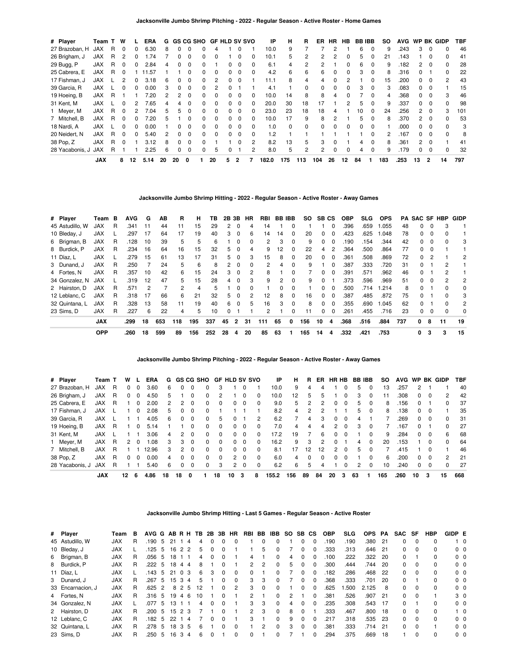| # Player        | Team T     |   | W        |    | <b>ERA</b> | G  |               |              |              | GS CG SHO GF HLD SV SVO |              |              |          | IP    | н        | R   | ER             | HR. | HB | <b>BB IBB</b> |          | SO.          | <b>AVG</b> |    |          | WP BK GIDP   | TBF |
|-----------------|------------|---|----------|----|------------|----|---------------|--------------|--------------|-------------------------|--------------|--------------|----------|-------|----------|-----|----------------|-----|----|---------------|----------|--------------|------------|----|----------|--------------|-----|
| 27 Brazoban, H  | <b>JAX</b> | R | $\Omega$ | 0  | 6.30       | 8  | 0             | $\Omega$     | 0            | 4                       |              |              |          | 10.0  | 9        |     |                | 2   |    | 6             | 0        | 9            | .243       | 3  | $\Omega$ |              | 46  |
| 26 Brigham, J   | <b>JAX</b> | R | 2        | 0  | .74        |    | 0             | 0            | <sup>0</sup> |                         |              |              |          | 10.1  | 5        | 2   |                |     |    | 5.            | 0        | 21           | 143        |    | $\Omega$ |              | 41  |
| 29 Bugg, P      | <b>JAX</b> | R | 0        | 0  | 2.84       | 4  | 0             | $\Omega$     | 0            |                         | 0            | 0            | 0        | 6.1   | 4        | 2   |                |     | 0  | 6.            | $\Omega$ | 9            | .182       | 2  | $\Omega$ | 0            | 28  |
| 25 Cabrera, E   | <b>JAX</b> | R | $\Omega$ |    | .57        |    |               | 0            | <sup>0</sup> | $\Omega$                | 0            | $\Omega$     | 0        | 4.2   | 6        | 6   | 6              | 0   | 0  | 3             | $\Omega$ | 8            | .316       |    |          | <sup>0</sup> | 22  |
| 17 Fishman, J   | <b>JAX</b> |   | 2        | O. | 3.18       | 6  | 0             | 0            | 0            |                         |              |              |          | 11.1  | 8        | 4   | 4              |     |    |               |          | 15           | .200       |    | $\Omega$ | 2            | 43  |
| 39 Garcia, R    | <b>JAX</b> |   | $\Omega$ | 0  | 0.00       | 3  | 0             | $\Omega$     | 0            |                         |              |              |          | 4.1   |          | 0   | 0              | 0   | 0  | 3             | 0        | 3            | .083       | 0  | $\Omega$ |              | 15  |
| 19 Hoeing, B    | <b>JAX</b> | R |          |    | 7.20       | 2  | $\mathcal{P}$ | $\Omega$     | 0            | $\Omega$                | 0            | 0            | 0        | 10.0  | 14       | 8   | 8              | 4   | U  |               | $\Omega$ | 4            | .368       | n. | $\Omega$ | 3            | 46  |
| 31 Kent, M      | <b>JAX</b> |   | $\Omega$ |    | 7.65       | 4  | 4             | <sup>0</sup> | 0            | $\Omega$                | O.           | 0            |          | 20.0  | 30       | 18  | 17             |     |    | 5             | $\Omega$ | 9            | .337       |    | $\Omega$ |              | 98  |
| Meyer, M        | <b>JAX</b> | R | $\Omega$ | 2  | 7.04       | 5  | 5             | 0            | 0            | $\Omega$                | 0            | 0            | 0        | 23.0  | 23       | 18  | 18             | 4   |    | 10            | 0        | 24           | .256       | 2  | $\Omega$ | 3            | 101 |
| 7 Mitchell, B   | <b>JAX</b> | R | $\Omega$ | 0  | 7.20       | 5  |               | 0            | 0            | $\Omega$                | $\Omega$     | $\Omega$     | 0        | 10.0  | 17       | 9   | 8              | 2   |    | 5             | $\Omega$ | 8            | .370       | 2  | $\Omega$ | 0            | 53  |
| 18 Nardi. A     | <b>JAX</b> |   | $\Omega$ | n  | 0.00       |    | 0             | 0            | $\Omega$     | $\Omega$                | <sup>0</sup> | <sup>0</sup> | $\Omega$ | 1.0   | $\Omega$ | 0   |                |     | n  | n             |          |              | .000       |    | $\Omega$ | U            | 3   |
| 20 Neidert, N   | <b>JAX</b> | R | $\Omega$ | 0  | 5.40       | 2  | 0             | 0            | 0            | $\Omega$                | O.           | 0            | 0        | 1.2   |          |     |                |     |    |               |          | $\mathbf{2}$ | .167       | 0  | $\Omega$ | <sup>0</sup> | 8   |
| 38 Pop, Z       | <b>JAX</b> | R | $\Omega$ |    | 3.12       | 8  | 0             | $\Omega$     | <sup>0</sup> |                         |              | $\Omega$     | 2        | 8.2   | 13       | 5   | 3              | 0   |    | 4             | $\Omega$ | 8            | .361       | 2  | $\Omega$ |              | 41  |
| 28 Yacabonis, J | <b>JAX</b> | R |          |    | 2.25       | 6  | 0             | 0            | 0            | 5                       | 0            |              | 2        | 8.0   | 5        | 2   | $\overline{2}$ | 0   | 0  | 4             | $\Omega$ | 9            | .179       |    | $\Omega$ | 0            | 32  |
|                 | <b>JAX</b> |   | 8        | 12 | 5.14       | 20 | 20            | 0            |              | 20                      | 5.           | 2            |          | 182.0 | 175      | 113 | 104            | 26  | 12 | 84            |          | 183          | .253       | 13 | 2        | 14           | 797 |

**Jacksonville Jumbo Shrimp Hitting - 2022 - Regular Season - Active Roster - Away Games**

| # Player        | Team       | в | <b>AVG</b> | G  | AВ  | R   | н   | тв  |    | 2B 3B          | HR | RBI | <b>BB IBB</b> |   | SO. | SB CS        |          | <b>OBP</b> | SLG. | <b>OPS</b> |     |              |          | <b>PA SAC SF HBP</b> | GIDP |
|-----------------|------------|---|------------|----|-----|-----|-----|-----|----|----------------|----|-----|---------------|---|-----|--------------|----------|------------|------|------------|-----|--------------|----------|----------------------|------|
| 45 Astudillo, W | <b>JAX</b> | R | .341       | 11 | 44  | 11  | 15  | 29  | 2  | 0              | 4  | 14  |               | 0 |     |              | $\Omega$ | .396       | .659 | 1.055      | 48  | 0            | $\Omega$ | 3                    |      |
| 10 Bleday, J    | <b>JAX</b> |   | .297       | 17 | 64  | 17  | 19  | 40  | 3  | 0              | 6  | 14  | 14            | 0 | 20  | 0            | $\Omega$ | .423       | .625 | 1.048      | 78  | 0            | $\Omega$ |                      |      |
| 6 Brigman, B    | <b>JAX</b> | R | .128       | 10 | 39  | 5   | 5   | 6   |    | $\Omega$       | 0  | 2   | 3             | 0 | 9   | 0            | $\Omega$ | .190       | .154 | .344       | 42  | 0            | $\Omega$ | 0                    | 3    |
| 8 Burdick, P    | <b>JAX</b> | R | .234       | 16 | 64  | 16  | 15  | 32  | 5  | 0              | 4  | 9   | 12            | 0 | 22  | 4            | 2        | .364       | .500 | .864       | 77  | 0            |          |                      |      |
| 11 Díaz, L      | <b>JAX</b> |   | .279       | 15 | 61  | 13  | 17  | 31  | 5. | $\Omega$       | 3  | 15  | 8             | 0 | 20  | $\Omega$     | $\Omega$ | .361       | .508 | .869       | 72  | 0            | 2        |                      | 2    |
| 3 Dunand, J     | <b>JAX</b> | R | .250       |    | 24  | 5   | 6   | 8   | 2  | $\Omega$       | 0  | 2   | 4             | 0 | 9   |              | $\Omega$ | .387       | .333 | .720       | 31  | 0            |          | 2                    |      |
| 4 Fortes, N     | <b>JAX</b> | R | .357       | 10 | 42  | 6   | 15  | 24  | 3  | 0              | 2  | 8   |               | 0 |     | 0            | $\Omega$ | .391       | .571 | .962       | 46  | 0            |          |                      |      |
| 34 Gonzalez, N  | <b>JAX</b> |   | .319       | 12 | 47  | 5   | 15  | 28  | 4  | $\Omega$       | 3  | 9   | 2             | 0 | 9   | <sup>0</sup> |          | .373       | .596 | .969       | 51  | 0            | $\Omega$ | 2                    | 2    |
| 2 Hairston, D   | <b>JAX</b> | R | .571       | 2  |     | 2   | 4   | 5   |    |                | 0  |     |               | 0 |     | <sup>0</sup> | $\Omega$ | .500       | .714 | 1.214      | 8   | 0            |          |                      | 0    |
| 12 Leblanc, C   | <b>JAX</b> | R | .318       | 17 | 66  | 6   | 21  | 32  | 5. | $\Omega$       | 2  | 12  | 8             | 0 | 16  | $\Omega$     | $\Omega$ | .387       | .485 | .872       | 75  | 0            |          | <sup>0</sup>         | 3    |
| 32 Quintana, L  | <b>JAX</b> | R | .328       | 13 | 58  | 11  | 19  | 40  | 6  | $\Omega$       | 5  | 16  | 3             | 0 | 8   | <sup>0</sup> | $\Omega$ | .355       | .690 | 1.045      | 62  | 0            |          |                      | 2    |
| 23 Sims. D      | <b>JAX</b> | R | .227       | 6  | 22  | 4   | 5   | 10  | 0  |                |    | 2   |               | 0 | 11  | 0            | 0        | .261       | .455 | .716       | 23  | 0            | $\Omega$ | 0                    | 0    |
|                 | <b>JAX</b> |   | .299       | 18 | 653 | 118 | 195 | 337 | 45 | $\overline{2}$ | 31 | 111 | 65            | 0 | 156 | 10           | 4        | .368       | .516 | .884       | 737 | $\mathbf{0}$ | 8        | 11                   | 19   |
|                 | <b>OPP</b> |   | .260       | 18 | 599 | 89  | 156 | 252 | 28 | 4              | 20 | 85  | 63            |   | 165 | 14           | 4        | .332       | .421 | .753       |     | 0            | 3        | 3                    | 15   |

**Jacksonville Jumbo Shrimp Pitching - 2022 - Regular Season - Active Roster - Away Games**

| # Player        | Team T     |   | w  |          | ERA   | G  |          |          | GS CG SHO |          | <b>GF HLD SV SVO</b> |          |              | ΙP    | н   | R  | ER. | HR HB          |          | <b>BB IBB</b> |          | so  | <b>AVG</b> | <b>WP</b> |          | <b>BK GIDP</b> | TBF |
|-----------------|------------|---|----|----------|-------|----|----------|----------|-----------|----------|----------------------|----------|--------------|-------|-----|----|-----|----------------|----------|---------------|----------|-----|------------|-----------|----------|----------------|-----|
| 27 Brazoban, H  | <b>JAX</b> | R | 0  | 0        | 3.60  | 6  | 0        | 0        | 0         | 3        |                      |          |              | 10.0  | 9   | 4  | 4   |                | 0        | 5             | $\Omega$ | 13  | .257       | 2         |          |                | 40  |
| 26 Brigham, J   | JAX        | R | 0  | 0        | 4.50  | 5  |          | 0        | 0         | 2        |                      |          | 0            | 10.0  | 12  | 5  |     |                | 0        |               | 0        |     | .308       | 0         | $\Omega$ | 2              | 42  |
| 25 Cabrera, E   | JAX        | R |    | $\Omega$ | 2.00  | 2  | 2        | 0        | $\Omega$  | 0        | $\Omega$             | $\Omega$ | 0            | 9.0   | 5   | 2  | 2   | 0              | $\Omega$ | 5             | $\Omega$ | 8   | .156       | $\Omega$  |          | $\Omega$       | 37  |
| 17 Fishman, J   | JAX        |   |    | $\Omega$ | 2.08  | 5  | $\Omega$ | $\Omega$ | $\Omega$  |          |                      |          |              | 8.2   | 4   | 2  |     |                |          | 5             | $\Omega$ | 8   | 138        | $\Omega$  | $\Omega$ |                | 35  |
| 39 Garcia, R    | JAX        |   |    |          | 4.05  | 6  | 0        | 0        | 0         | 5        |                      |          | 2            | 6.2   |     | 4  |     | 0              | 0        | 4             |          |     | .269       | 0         | 0        | 0              | 31  |
| 19 Hoeing, B    | JAX        | R |    | 0        | 5.14  |    |          | 0        | $\Omega$  | $\Omega$ | 0                    | $\Omega$ |              | 7.0   | 4   | 4  | 4   | $\overline{2}$ | $\Omega$ | з             | $\Omega$ |     | 167        | 0         |          | 0              | 27  |
| 31 Kent, M      | JAX        |   |    |          | 3.06  | 4  | 2        | 0        | $\Omega$  | $\Omega$ | 0                    | $\Omega$ | <sup>0</sup> | 17.2  | 19  |    | 6   | 0              | 0        |               | $\Omega$ | 9   | .284       | 0         | $\Omega$ | 6              | 68  |
| 1 Meyer, M      | JAX        | R | 2  | $\Omega$ | 80.1  | 3  | 3        | 0        | $\Omega$  | 0        | 0                    | $\Omega$ | <sup>0</sup> | 16.2  | 9   | 3  | 2   | 0              |          | 4             | $\Omega$ | 20  | .153       |           | 0        | $\Omega$       | 64  |
| 7 Mitchell, B   | <b>JAX</b> | R |    |          | 12.96 | з  | 2        | $\Omega$ | $\Omega$  | 0        | $\Omega$             | $\Omega$ | $\Omega$     | 8.1   | 17  | 12 | 12  | $\mathcal{P}$  | $\Omega$ | 5             | $\Omega$ |     | .415       |           |          |                | 46  |
| 38 Pop, Z       | JAX        | R | 0  | $\Omega$ | 0.00  | 4  | 0        | 0        | $\Omega$  | 0        | $\mathbf{2}$         | $\Omega$ | 0            | 6.0   | 4   | 0  |     | 0              | 0        |               | 0        | 6   | .200       | 0         | 0        | 2              | 21  |
| 28 Yacabonis, J | <b>JAX</b> | R |    |          | 5.40  | 6  | 0        | 0        | 0         | 3        | $\mathbf{2}$         | $\Omega$ | 0            | 6.2   | 6   | 5  |     |                | 0        |               | $\Omega$ | 10  | .240       | 0         |          | $\Omega$       | 27  |
|                 | <b>JAX</b> |   | 12 | 6        | 4.86  | 18 | 18       | 0        |           | 18       | 10                   | 3        | 8            | 155.2 | 156 | 89 | 84  | 20             | 3        | 63            |          | 165 | .260       | 10        | 3        | 15             | 668 |

**Jacksonville Jumbo Shrimp Hitting - Last 5 Games - Regular Season - Active Roster**

| # Player          | Team       | в | AVG G AB R H |               |    |                    | TB. | 2B     | 3B           | HR       | RBI BB        |          | IBB          | <b>SO</b> | SB CS        |              | <b>OBP</b> | <b>SLG</b> | <b>OPS</b> | <b>PA</b> | <b>SAC</b> | SF       | HBP          | GIDP E |                |
|-------------------|------------|---|--------------|---------------|----|--------------------|-----|--------|--------------|----------|---------------|----------|--------------|-----------|--------------|--------------|------------|------------|------------|-----------|------------|----------|--------------|--------|----------------|
| 45 Astudillo, W   | <b>JAX</b> | R | .190         | 5             | 21 | 4                  |     | 4      |              |          |               | 0        |              |           |              | 0            | .190       | .190       | .380       | $-21$     | 0          | $\Omega$ | 0            |        | $1\quad$ 0     |
| 10 Bleday, J      | <b>JAX</b> |   | .125         | -5            | 16 | 2 2                |     | 5      | 0            |          |               | 5        |              |           | <sup>n</sup> | 0            | .333       | .313       | .646       | - 21      | 0          | $\Omega$ | 0            |        | $0\quad 0$     |
| 6 Brigman, B      | <b>JAX</b> | R | .056         | 5             | 18 |                    |     | 4      | 0            |          | 4             |          |              | 4         |              |              | .100       | .222       | .322       | 20        | 0          |          | 0            |        | 0 <sub>0</sub> |
| 8 Burdick, P      | <b>JAX</b> | R | .222         | -5            | 18 | 4<br>4             |     | 8      |              |          | $\mathcal{P}$ | 2        |              | 5         | n            | 0            | .300       | .444       | .744       | 20        | 0          | $\Omega$ | 0            |        | 0 <sub>0</sub> |
| 11 Díaz, L        | <b>JAX</b> |   | .143         | 5             | 21 | 0 <sub>3</sub>     |     | 6<br>3 | 0            | $\Omega$ | $\Omega$      |          |              |           |              | $\Omega$     | .182       | .286       | .468       | 22        | 0          | $\Omega$ | 0            |        | 0 <sub>0</sub> |
| 3 Dunand, J       | <b>JAX</b> | R | .267         | 5             | 15 | 3<br>4             |     | 5      | 0            |          | 3             | 3        | <sup>0</sup> |           |              | 0            | .368       | .333       | .701       | 20        | 0          |          | 0            |        | 0 <sub>0</sub> |
| 33 Encarnacion, J | <b>JAX</b> | R | .625         | $\mathcal{P}$ | 8  | $\mathcal{P}$<br>5 | 12  |        | $\Omega$     | 2        | 3             | $\Omega$ |              |           |              | <sup>0</sup> | .625       | .500       | 2.125      | 8         | $\Omega$   | $\Omega$ | 0            |        | 0 <sub>0</sub> |
| 4 Fortes, N       | <b>JAX</b> | R | .316         | -5            | 19 | 46                 | 10  |        | 0            |          | $\mathcal{P}$ |          | 0            | 2         |              | 0            | .381       | .526       | .907       | - 21      | 0          | $\Omega$ |              |        | 3 <sub>0</sub> |
| 34 Gonzalez, N    | <b>JAX</b> |   | .077         | 5             | 13 |                    |     | 4      | 0            |          | 3             | 3        |              | 4         |              | 0            | .235       | .308       | .543       | 17        | 0          |          | 0            |        | 0 <sub>0</sub> |
| 2 Hairston, D     | <b>JAX</b> | R | .200         | 5             | 15 | 2 3                |     |        | 0            |          | $\mathcal{P}$ | 3        | <sup>0</sup> | 8         |              |              | .333       | .467       | .800       | 18        | 0          | $\Omega$ | 0            |        | $1\quad$ 0     |
| 12 Leblanc, C     | <b>JAX</b> | R | .182         | -5            | 22 | -4                 |     |        | <sup>0</sup> |          | 3             |          | 0            | 9         | <sup>n</sup> | $\Omega$     | .217       | .318       | .535       | -23       | 0          | $\Omega$ | <sup>0</sup> |        | 0 <sub>0</sub> |
| 32 Quintana, L    | <b>JAX</b> | R | .278         | 5             | 18 | 35                 |     | 6      | O            |          |               | 2        |              | 3         |              | $\Omega$     | .381       | .333       | 714        | 21        | 0          | $\Omega$ |              |        | $0\quad 0$     |
| 23 Sims, D        | <b>JAX</b> | R | .250         | 5             | 16 | 3<br>4             |     | 6      |              |          | 0             |          |              |           |              | <sup>0</sup> | .294       | .375       | .669       | 18        |            | $\Omega$ | 0            |        | 0 <sub>0</sub> |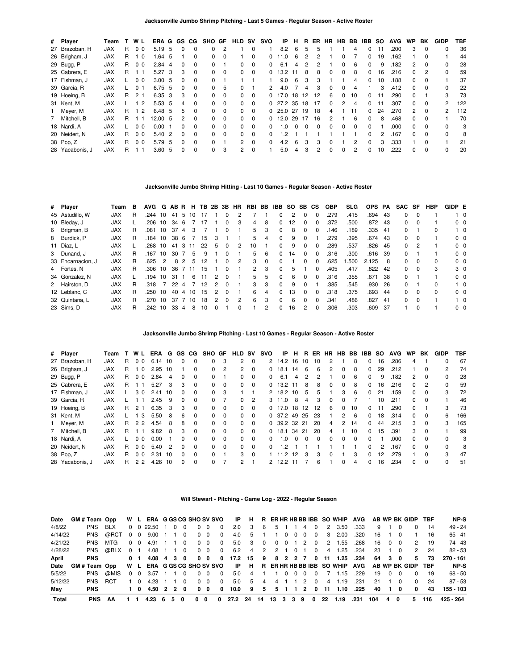| # Player        | Team       |    | WL             | ERA      | G   | GS.      | CG.      | SHO      | GF       | HLD      | <b>SV</b> | svo          | ΙP             | н            | R  | ER.          | <b>HR</b>    | HB BB         |          | IBB          | -SO | <b>AVG</b> | <b>WP</b>      | BK       | GIDP         | TBF |
|-----------------|------------|----|----------------|----------|-----|----------|----------|----------|----------|----------|-----------|--------------|----------------|--------------|----|--------------|--------------|---------------|----------|--------------|-----|------------|----------------|----------|--------------|-----|
| 27 Brazoban, H  | <b>JAX</b> | R  | 0 <sub>0</sub> | 5.19 5   |     | 0        | $\Omega$ | 0        | 2        |          | 0         |              | 8.2            | 6            | 5  | 5            |              |               | 4        | 0            |     | .200       | 3              | $\Omega$ | 0            | 36  |
| 26 Brigham, J   | <b>JAX</b> | R  | 1 <sub>0</sub> | 1.64 5   |     |          | $\Omega$ | $\Omega$ | $\Omega$ |          | $\Omega$  | 0            | 11.0           | 6            | 2  | 2            |              | 0             |          | 0            | 19  | .162       |                | $\Omega$ |              | 44  |
| 29 Bugg, P      | <b>JAX</b> | R  | 0 <sub>0</sub> | $2.84$ 4 |     | 0        | $\Omega$ | 0        |          | 0        | $\Omega$  | 0            | 6.1            | 4            | 2  | 2            |              | $\Omega$      | 6        | $\Omega$     | 9   | .182       | $\overline{2}$ | 0        | 0            | 28  |
| 25 Cabrera, E   | <b>JAX</b> | R. |                | 5.27     | - 3 | 3        | $\Omega$ | $\Omega$ | $\Omega$ | 0        | $\Omega$  | <sup>0</sup> | 13.2           | 11           | 8  | 8            | <sup>0</sup> | $\Omega$      | 8        | 0            | 16  | .216       | $\Omega$       | 2        | <sup>0</sup> | 59  |
| 17 Fishman, J   | <b>JAX</b> |    | 0 <sub>0</sub> | 3.00, 5  |     | 0        | $\Omega$ | 0        |          |          |           |              | 9.0            | 6            | 3  | 3            |              |               | 4        | 0            | 10  | .188       | 0              | 0        |              | 37  |
| 39 Garcia, R    | <b>JAX</b> |    | 0 <sub>1</sub> | 6.75 5   |     | $\Omega$ | $\Omega$ | $\Omega$ | 5        | $\Omega$ |           | 2            | 4.0            |              | 4  | 3            | $\Omega$     | $\Omega$      | 4        |              | 3   | .412       | $\Omega$       | $\Omega$ | 0            | 22  |
| 19 Hoeing, B    | <b>JAX</b> | R. | 2 <sub>1</sub> | 6.35 3   |     | 3        | $\Omega$ | 0        | $\Omega$ | 0        | $\Omega$  |              | 0, 17.0        | 18           | 12 | 12           | 6            | $\Omega$      | 10       | 0            |     | .290       | 0              |          | 3            | 73  |
| 31 Kent, M      | <b>JAX</b> |    | 12             | 5.53, 5  |     | 4        | $\Omega$ | $\Omega$ | $\Omega$ | $\Omega$ | $\Omega$  |              | $0\quad27.2$   | 35           | 18 | 17           | $\Omega$     | $\mathcal{P}$ | 4        | <sup>0</sup> |     | .307       | $\Omega$       | $\Omega$ | 2            | 122 |
| 1 Meyer, M      | <b>JAX</b> | R. | 1 <sub>2</sub> | 6.48 5   |     | 5        | $\Omega$ | 0        | $\Omega$ | 0        | 0         |              | 025.0          | -27          | 19 | 18           | 4            |               | 11       | 0            | 24  | .270       | $\mathcal{P}$  | $\Omega$ | 2            | 112 |
| 7 Mitchell, B   | <b>JAX</b> | R  |                | 12.00 5  |     | 2        | $\Omega$ | $\Omega$ | $\Omega$ | 0        | $\Omega$  |              | 0, 12.0        | 29           | 17 | 16           | 2            |               | 6        | $\Omega$     | 8   | .468       | $\Omega$       | $\Omega$ |              | 70  |
| 18 Nardi, A     | <b>JAX</b> |    | 0 <sub>0</sub> | 0.00     |     | O.       | $\Omega$ | 0        | $\Omega$ | 0        | $\Omega$  | 0            | $\overline{0}$ | <sup>0</sup> | 0  | <sup>0</sup> | <sup>n</sup> | <sup>0</sup>  | $\Omega$ | <sup>0</sup> |     | .000       | 0              | $\Omega$ |              | 3   |
| 20 Neidert, N   | <b>JAX</b> | R. | 0 <sub>0</sub> | 5.40 2   |     | 0        | $\Omega$ | $\Omega$ | $\Omega$ | 0        | $\Omega$  | $\Omega$     | -2             |              |    |              |              |               |          | <sup>0</sup> | 2   | .167       | $\Omega$       | $\Omega$ | 0            | 8   |
| 38 Pop, Z       | <b>JAX</b> | R. | 0 <sub>0</sub> | 5.79 5   |     | 0        | $\Omega$ | $\Omega$ |          | 2        | $\Omega$  | <sup>n</sup> | 4.2            | 6            | 3  | 3            |              |               | 2        | <sup>n</sup> | 3   | .333       |                | $\Omega$ |              | 21  |
| 28 Yacabonis, J | <b>JAX</b> | R  |                | 3.60     | - 5 | 0        | $\Omega$ | $\Omega$ | 3        | 2        | $\Omega$  |              | 5.0            | 4            | 3  | 2            | <sup>0</sup> | <sup>0</sup>  | 2        | <sup>0</sup> | 10  | .222       | 0              | 0        | 0            | 20  |

#### **Jacksonville Jumbo Shrimp Hitting - Last 10 Games - Regular Season - Active Roster**

| # Player          | Team       | в | <b>AVG</b> | G             | AB R |               | н  | TB. | 2B            | 3B           | <b>HR</b> | RBI BB        |          | IBB          | SO. | SB CS        |              | <b>OBP</b> | SLG. | <b>OPS</b> | PA  | <b>SAC</b> | SF                      | HBP          | GIDP E |                |
|-------------------|------------|---|------------|---------------|------|---------------|----|-----|---------------|--------------|-----------|---------------|----------|--------------|-----|--------------|--------------|------------|------|------------|-----|------------|-------------------------|--------------|--------|----------------|
| 45 Astudillo, W   | <b>JAX</b> | R | .244       | 10            | 41   | -5            | 10 | 17  |               |              |           |               |          | <sup>0</sup> | 2   | $\Omega$     | $\Omega$     | .279       | .415 | .694       | 43  | $\Omega$   | $\Omega$                |              |        | $1\quad 0$     |
| 10 Bleday, J      | <b>JAX</b> |   | .206       | 10            | 34 6 |               |    | 17  |               | 0            | 3         | 4             | 8        | $\Omega$     | 12  | 0            | <sup>0</sup> | .372       | .500 | .872       | 43  | $\Omega$   | - 0                     |              |        | $0\quad 0$     |
| 6 Brigman, B      | <b>JAX</b> | R | .081       | 10            | 37   | 4             | 3  |     |               | 0            |           | 5             | 3        | $\Omega$     | 8   | <sup>0</sup> | $\Omega$     | .146       | .189 | .335 41    |     | $\Omega$   |                         | <sup>0</sup> |        | $1\quad 0$     |
| 8 Burdick, P      | <b>JAX</b> | R | .184       | 10            | 38   | -6            |    | 15  | 3             |              |           | 5             | 4        | $\Omega$     | 9   | 0            |              | 279        | .395 | .674       | 43  | $\Omega$   | $\Omega$                |              |        | 0 <sub>0</sub> |
| 11 Díaz, L        | <b>JAX</b> |   | .268       | 10            | 41   | $\cdot$ 3     | 11 | 22  | 5             | 0            | 2         | 10            |          | <sup>0</sup> | 9   |              | <sup>0</sup> | .289       | .537 | .826       | 45  | $\Omega$   |                         |              |        | $0\quad 0$     |
| 3 Dunand, J       | <b>JAX</b> | R | .167       | 10            | 30   |               | 5  | 9   |               | <sup>0</sup> |           | 5             | 6        | $\Omega$     | 14  | <sup>0</sup> | $\Omega$     | .316       | .300 | .616       | -39 | $\Omega$   |                         |              |        | 0 <sub>0</sub> |
| 33 Encarnacion, J | <b>JAX</b> | R | .625       | $\mathcal{P}$ | 8    | $\mathcal{P}$ | 5  | 12  |               | $\Omega$     | 2         | 3             | $\Omega$ | $\Omega$     |     | O.           | $\Omega$     | .625       | .500 | 2.125      | 8   | $\Omega$   | - റ                     | <sup>0</sup> |        | 0 <sub>0</sub> |
| 4 Fortes, N       | <b>JAX</b> | R | .306       | 10            | 36   | 7 11          |    | 15  |               | 0            |           | $\mathcal{P}$ | 3        | $\Omega$     | 5   |              | 0            | .405       | .417 | .822       | 42  | $\Omega$   | $\overline{\mathbf{0}}$ | 3            |        | 3 0            |
| 34 Gonzalez, N    | <b>JAX</b> |   | .194       | 10            | 31   |               | 6  | 11  | $\mathcal{P}$ | $\Omega$     |           | 5             | 5        | $\Omega$     | 6   | <sup>0</sup> | $\Omega$     | .316       | .355 | .671       | -38 | $\Omega$   |                         |              |        | 0 <sub>0</sub> |
| 2 Hairston, D     | <b>JAX</b> | R | .318       |               | 22   | $\Delta$      |    | 12  | $\mathcal{P}$ | $\Omega$     |           | 3             | 3        | $\Omega$     | 9   | $\Omega$     |              | .385       | .545 | .930       | 26  | $\Omega$   |                         | <sup>0</sup> |        | $1\quad$ 0     |
| 12 Leblanc, C     | <b>JAX</b> | R | .250       | 10            | 40   | 4             | 10 | 15  | 2             | $\Omega$     |           | 6             | 4        | $\Omega$     | 13  | <sup>0</sup> | <sup>0</sup> | .318       | .375 | .693       | 44  | $^{\circ}$ | $\Omega$                | 0            |        | 0 <sub>0</sub> |
| 32 Quintana, L    | <b>JAX</b> | R | .270       | 10            | 37   |               | 10 | 18  | $\mathcal{P}$ | $\Omega$     | 2         | 6             | 3        | $\Omega$     | 6   | $\Omega$     | <sup>n</sup> | .341       | .486 | .827       | -41 | $\Omega$   | $\Omega$                |              |        | $1\quad$ 0     |
| 23 Sims. D        | <b>JAX</b> | R | .242       | 10            | 33   | 4             | 8  | 10  | <sup>0</sup>  |              | O.        |               | 2        | $\Omega$     | 16  | 2            | $\Omega$     | .306       | .303 | .609       | -37 |            | $\Omega$                |              |        | 0 <sub>0</sub> |

**Jacksonville Jumbo Shrimp Pitching - Last 10 Games - Regular Season - Active Roster**

| # Player        | Team       |    | WL             | ERA  |      | G GS     | CG.      | SHO GF       |          | <b>HLD</b>   | <b>SV</b> | svo          | IP           | Н.  | В.    | ER  | <b>HR</b>    | HB BB         |          | IBB          | <b>SO</b> | <b>AVG</b> | <b>WP</b> | BK       | GIDP | <b>TBF</b> |
|-----------------|------------|----|----------------|------|------|----------|----------|--------------|----------|--------------|-----------|--------------|--------------|-----|-------|-----|--------------|---------------|----------|--------------|-----------|------------|-----------|----------|------|------------|
| 27 Brazoban, H  | <b>JAX</b> | R  | 0 <sub>0</sub> | 6.14 | - 10 | $\Omega$ | 0        | 0            | 3        | $\mathbf{2}$ | $\Omega$  |              | 2 14.2 16    |     | 10    | 10  | 2            |               | 8        | $\Omega$     | 16        | .286       | 4         |          | ŋ    | 67         |
| 26 Brigham, J   | <b>JAX</b> | R. | - 0            | 2.95 | 10   |          | $\Omega$ | $\Omega$     | 2        | $\mathbf{2}$ | $\Omega$  | 0            | 18.1         | 14  | 6     | 6   | 2            | $\Omega$      | 8        | 0            | 29        | .212       |           | 0        | 2    | 74         |
| 29 Bugg, P      | <b>JAX</b> | R. | 0 <sub>0</sub> | 2.84 | 4    | $\Omega$ | 0        | <sup>o</sup> |          | 0            | 0         | O.           | 6.1          | 4   |       |     |              | 0             | 6        | 0            | 9         | .182       | 2         |          | 0    | 28         |
| 25 Cabrera, E   | <b>JAX</b> | R. |                | 5.27 | 3    | 3        | $\Omega$ | 0            | $\Omega$ | 0            | $\Omega$  | $\Omega$     | 13.2         | -11 | 8     | 8   | $\Omega$     | $\Omega$      | 8        | $\Omega$     | 16        | .216       | $\Omega$  | 2        | 0    | 59         |
| 17 Fishman, J   | <b>JAX</b> |    | 30             | 2.41 | 10   | 0        | 0        | $\Omega$     | 3        |              |           |              | 2 18.2       | 10  | 5     | 5   |              | 3             | 6        | $\Omega$     | 21        | .159       | 0         |          | 3    | 72         |
| 39 Garcia, R    | <b>JAX</b> |    |                | 2.45 | -9   | $\Omega$ | $\Omega$ | 0            |          | 0            | 2         |              | 3, 11.0      | 8   | 4     | 3   | $\Omega$     | $\Omega$      |          |              | 10        | .211       | 0         | $\Omega$ |      | 46         |
| 19 Hoeing, B    | <b>JAX</b> | R. | 2 <sub>1</sub> | 6.35 | 3    | 3        | $\Omega$ | 0            | $\Omega$ | 0            | $\Omega$  |              | 0 17.0       |     | 18 12 | -12 | 6            | 0             | 10       | 0            | 11        | .290       | 0         |          | 3    | 73         |
| 31 Kent, M      | <b>JAX</b> |    | -3             | 5.50 | 8    | 6        | $\Omega$ | 0            | $\Omega$ | 0            | $\Omega$  |              | 0, 37.2      | 49  | -25   | -23 |              | $\mathcal{P}$ | -6       | $\Omega$     | 18        | .314       | $\Omega$  | $\Omega$ | 6    | 166        |
| 1 Meyer, M      | <b>JAX</b> | R. | 22             | 4.54 | 8    | 8        | $\Omega$ | $\Omega$     | $\Omega$ | 0            | $\Omega$  |              | 0 39.2 32 21 |     |       | 20  | 4            | 2             | 14       | $\Omega$     | 44        | .215       | 3         |          | 3    | 165        |
| 7 Mitchell, B   | <b>JAX</b> | R. |                | 9.82 | 8    | 3        | $\Omega$ | 0            | $\Omega$ | <sup>0</sup> | $\Omega$  | 0            | 18.1         | 34  | -21   | 20  | 4            |               | 10       | 0            | 15        | .391       | 3         | $\Omega$ |      | 99         |
| 18 Nardi, A     | <b>JAX</b> |    | 0 <sub>0</sub> | 0.00 |      | 0        | 0        | $\Omega$     | $\Omega$ | 0            | $\Omega$  | 0            | $\Omega$     |     | 0     |     | 0            | <sup>0</sup>  | $\Omega$ | <sup>0</sup> |           | .000       | 0         |          |      | 3          |
| 20 Neidert. N   | <b>JAX</b> | R. | 0 <sub>0</sub> | 5.40 | 2    | $\Omega$ | $\Omega$ | 0            | $\Omega$ | 0            | $\Omega$  | <sup>0</sup> | 2            |     |       |     |              |               |          | $\Omega$     | 2         | .167       | 0         | $\Omega$ | 0    | 8          |
| 38 Pop, Z       | <b>JAX</b> | R. | 0 <sub>0</sub> | 2.31 | 10   | $\Omega$ | $\Omega$ | $\Omega$     |          | 3            | $\Omega$  |              | 11.2         | 12  | 3     | 3   | <sup>0</sup> |               | 3        | $\Omega$     | 12        | .279       |           |          | 3    | 47         |
| 28 Yacabonis, J | <b>JAX</b> | R  | 22             | 4.26 | 10   | $\Omega$ | $\Omega$ | $\Omega$     |          | 2            |           | 2            | 12.2         |     |       | 6   |              | <sup>0</sup>  | 4        | $\Omega$     | 16        | .234       | 0         | $\Omega$ | 0    | 51         |

#### **Will Stewart - Pitching - Game Log - 2022 - Regular Season**

| Date    | GM#Team Opp        |            |                |                |                         |     |                |            |                |                         |           |               |                         |        |            |          |          |          |    | W L ERA GGSCG SHO SV SVO IP H R ER HR HB BB IBB SO WHIP AVG |      |     |        |            | AB WP BK GIDP TBF |     | NP-S      |
|---------|--------------------|------------|----------------|----------------|-------------------------|-----|----------------|------------|----------------|-------------------------|-----------|---------------|-------------------------|--------|------------|----------|----------|----------|----|-------------------------------------------------------------|------|-----|--------|------------|-------------------|-----|-----------|
| 4/8/22  | <b>PNS</b>         | <b>BLX</b> |                |                | $0 \t0 \t22.50 \t1 \t0$ |     | $\Omega$       |            | $0\quad 0$     | $\Omega$                |           | $2.0 \quad 3$ | -6                      | 5      |            |          | 4        | $\Omega$ |    | 2 3.50                                                      | .333 | 9   |        |            | $\Omega$          | 14  | 49 - 24   |
| 4/14/22 | <b>PNS</b>         | @RCT       | $0\quad 0$     |                | 9.00                    |     | $\cdot$ 0      |            | $0\quad 0$     | $\overline{\mathbf{0}}$ | 4.0       | -5            |                         |        | 1 0        | $\Omega$ | $\Omega$ | $\Omega$ |    | $3\quad 2.00$                                               | .320 | 16  |        |            |                   | 16  | 65 - 41   |
| 4/21/22 | <b>PNS</b>         | MTG        | $0\quad 0$     |                | 4.91                    |     | $\overline{0}$ |            | $0\quad 0$     | $\Omega$                |           | 5.0 3         | $\overline{\mathbf{0}}$ |        | $0\quad 0$ |          | 2        | $\sim$ 0 |    | 2 1.55                                                      | .268 | 16  | - റ    |            | $\mathcal{P}$     | 19  | 74 - 43   |
| 4/28/22 | <b>PNS</b>         | @BLX       | 0 <sub>1</sub> |                | 4.08 1 1 0              |     |                |            | $0\quad 0$     | $\overline{\mathbf{0}}$ |           | 6.2 4         | 2                       |        |            |          | 2 1 0 1  | $\Omega$ |    | 4 1.25                                                      | .234 | 23  |        | $1\quad 0$ | $\mathcal{P}$     | 24  | $82 - 53$ |
| April   | <b>PNS</b>         |            |                | 0 <sub>1</sub> | 4.08 4 3 0              |     |                |            | 0 <sub>0</sub> | $\mathbf{0}$            | 17.2 15 9 |               |                         |        |            |          |          |          |    | 8 2 2 7 0 11 1.25                                           | .234 |     | 64 3 0 |            | 5.                | 73  | 270 - 161 |
| Date    | <b>GM#Team Opp</b> |            |                |                |                         |     |                |            |                |                         |           |               |                         |        |            |          |          |          |    | W L ERA GGSCG SHOSV SVO IP H R ER HR HB BB IBB SO WHIP AVG  |      |     |        |            | AB WP BK GIDP TBF |     | NP-S      |
| 5/5/22  | <b>PNS</b>         | @MIS       | $0\quad 0$     |                | 3.57                    |     | $\overline{0}$ |            | $0\quad 0$     | $\overline{\mathbf{0}}$ |           |               | 5.0 4 1 1 0 0 0 0       |        |            |          |          |          |    | 1.15                                                        | .229 | 19  |        | $0\quad 0$ | 0                 | 19  | 68 - 50   |
| 5/12/22 | <b>PNS</b>         | <b>RCT</b> | 1 O            |                | 4.23                    |     | $\Omega$       |            | $0\quad 0$     | $\Omega$                | 5.0       | -5            | 4                       |        | 4 1        |          | 2        | $\Omega$ |    | 4 1.19                                                      | .231 | -21 |        | 1 0        | $\Omega$          | -24 | $87 - 53$ |
| Mav     | <b>PNS</b>         |            |                | 10             | 4.50 2 2 0              |     |                |            | $0\quad 0$     | $\mathbf{0}$            | 10.0 9    |               | 5                       |        |            |          | 5 1 1 2  |          |    | $0$ 11 1.10                                                 | .225 | 40  | 10     |            | $\Omega$          | 43  | 155 - 103 |
| Total   | <b>PNS</b>         | AA         |                |                | 4.23                    | 650 |                | $0\quad 0$ |                | 0                       | 27.2      | -24           | - 14                    | 13 3 3 |            |          |          | 90       | 22 | 1.19                                                        | .231 | 104 | 4      | 0          | 5.                | 116 | 425 - 264 |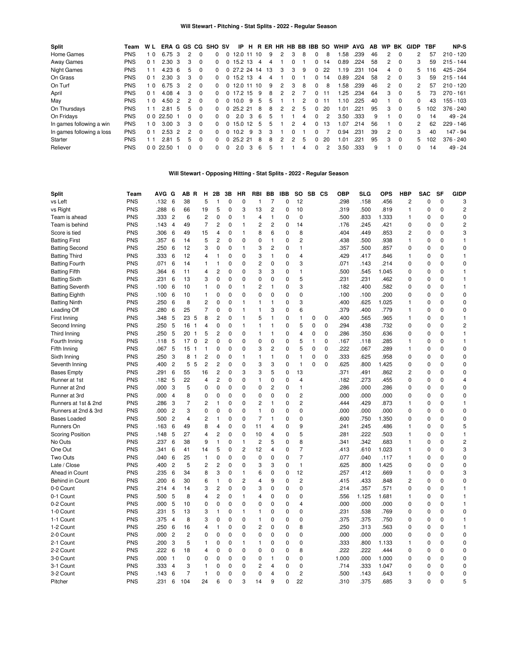| <b>Split</b>              | Team       | W L            | ERA G GS CG       |               |                |          | <b>SHO SV</b> |          | IP.          | н     |    |    |   |              |   | R ER HR HB BB IBB SO |               | <b>WHIP</b> | <b>AVG</b> | AB. | WP            | BK       | <b>GIDP</b>  | TBF | NP-S        |
|---------------------------|------------|----------------|-------------------|---------------|----------------|----------|---------------|----------|--------------|-------|----|----|---|--------------|---|----------------------|---------------|-------------|------------|-----|---------------|----------|--------------|-----|-------------|
| Home Games                | <b>PNS</b> | - 0            | 6.75              | 3             | 2              | 0        | <sup>n</sup>  | $\Omega$ | 12.0 11 10   |       |    | 9  | 2 | 3            | 8 | $\Omega$             | 8             | .58         | .239       | 46  | 2             | $\Omega$ | 2            | 57  | $210 - 120$ |
| Away Games                | <b>PNS</b> | 0 1            | 2.30              | 3             | з              | 0        | 0             |          | $0$ 15.2 13  |       | 4  | 4  |   | 0            |   | 0                    | 14            | 0.89        | .224       | 58  | 2             | $\Omega$ | 3            | 59  | $215 - 144$ |
| <b>Night Games</b>        | <b>PNS</b> | ∣ 1            | $4.23\;6$         |               | 5.             | 0        | <sup>0</sup>  |          | 0 27.2 24 14 |       |    | 13 | 3 | 3            | 9 | $\Omega$             | 22            | 1.19        | .231       | 104 | 4             | $\Omega$ | 5.           | 16  | 425 - 264   |
| On Grass                  | <b>PNS</b> | 0 <sub>1</sub> | $2.30 \text{ } 3$ |               | 3              | $\Omega$ | <sup>0</sup>  |          | $0$ 15.2 13  |       | -4 | 4  |   | <sup>0</sup> |   | $\Omega$             | 14            | 0.89        | .224       | 58  | 2             | $\Omega$ | 3            | 59  | $215 - 144$ |
| On Turf                   | <b>PNS</b> | l 0            | 6.75              | -3            | $\overline{2}$ | 0        | <sup>n</sup>  | 0        | 12.0         | 11 10 |    | 9  | 2 | 3            | 8 | $\Omega$             | 8             | .58         | .239       | 46  | 2             | $\Omega$ | 2            | 57  | $210 - 120$ |
| April                     | <b>PNS</b> | 0 <sub>1</sub> | 4.08              | 4             | 3              | $\Omega$ | <sup>n</sup>  |          | 0.17.2       | 15    | 9  | 8  | 2 | 2            |   | 0                    | 11            | l.25        | .234       | 64  | 3             | $\Omega$ | 5.           | 73  | $270 - 161$ |
| May                       | <b>PNS</b> | 0              | 4.50              | $\mathcal{P}$ | 2              | $\Omega$ | 0             |          | 0.10.0       | 9     | 5  | 5  |   |              | 2 | 0                    | 11            | 1.10        | .225       | 40  |               | $\Omega$ | 0            | 43  | $155 - 103$ |
| On Thursdays              | <b>PNS</b> | 11             | $2.81\quad5$      |               | 5              | $\Omega$ | <sup>0</sup>  |          | 0, 25.2, 21  |       | 8  | 8  | 2 | 2            | 5 | $\Omega$             | 20            | 1.01        | .221       | 95  | 3             | $\Omega$ | 5            | 102 | $376 - 240$ |
| On Fridays                | <b>PNS</b> | 0 <sub>0</sub> | 22.50 1           |               | $\Omega$       | $\Omega$ | <sup>n</sup>  | $\Omega$ | 2.0          | 3     | 6  | 5  |   |              | 4 | $\Omega$             | $\mathcal{P}$ | 3.50        | .333       | 9   |               | $\Omega$ | <sup>o</sup> | 14  | $49 - 24$   |
| In games following a win  | <b>PNS</b> | l 0            | 3.00              | 3             | 3              | $\Omega$ | <sup>n</sup>  | 0        | 15.0         | 12    | 5  | 5  |   | 2            | 4 | $\Omega$             | 13            | 1.07        | .214       | 56  |               | $\Omega$ | 2            | 62  | $229 - 146$ |
| In games following a loss | <b>PNS</b> | 0 <sub>1</sub> | $2.53 \quad 2$    |               | 2              | $\Omega$ | <sup>0</sup>  |          | 10.2         | 9     | 3  | 3  |   | <sup>0</sup> |   | 0                    |               | 0.94        | .231       | 39  | $\mathcal{P}$ | $\Omega$ | 3            | 40  | 147 - 94    |
| Starter                   | <b>PNS</b> | ∣ 1            | $2.81\quad5$      |               | 5.             | $\Omega$ | <sup>0</sup>  |          | 0, 25.2, 21  |       | 8  | 8  | 2 | 2            | 5 | $\Omega$             | 20            | 1.01        | .221       | 95  | 3             | $\Omega$ | 5.           | 102 | $376 - 240$ |
| Reliever                  | <b>PNS</b> | 00             | 22.50             |               | 0              | 0        | <sup>n</sup>  |          | 2.0          | 3     | 6  | 5  |   |              | 4 | <sup>0</sup>         |               | 3.50        | .333       | 9   |               | $\Omega$ | 0            | 14  | $49 - 24$   |

# **Will Stewart - Opposing Hitting - Stat Splits - 2022 - Regular Season**

| Split                                       | Team                     | AVG G |                     | ΑВ             | R<br>н                        | 2B                                     | 3В            | ΗR                | <b>RBI</b>              | BB           | <b>IBB</b>       | SO             | SB CS          |             | <b>OBP</b>   | <b>SLG</b>   | <b>OPS</b>    | <b>HBP</b>     | <b>SAC</b>       | SF          | <b>GIDP</b>       |
|---------------------------------------------|--------------------------|-------|---------------------|----------------|-------------------------------|----------------------------------------|---------------|-------------------|-------------------------|--------------|------------------|----------------|----------------|-------------|--------------|--------------|---------------|----------------|------------------|-------------|-------------------|
| vs Left                                     | PNS                      | .132  | 6                   | 38             | 5                             | 1                                      | 0             | $\mathbf{0}$      | $\mathbf{1}$            | 7            | $\mathbf 0$      | 12             |                |             | .298         | .158         | .456          | $\overline{c}$ | $\mathbf 0$      | 0           | 3                 |
| vs Right                                    | <b>PNS</b>               | .288  | 6                   | 66             | 19                            | 5                                      | 0             | 3                 | 13                      | 2            | 0                | 10             |                |             | .319         | .500         | .819          | 1              | $\mathbf 0$      | $\mathbf 0$ | $\overline{c}$    |
| Team is ahead                               | <b>PNS</b>               | .333  | $\overline{c}$      | 6              | $\overline{c}$                | $\mathbf 0$                            | 0             | $\overline{1}$    | 4                       | 1            | $\mathbf 0$      | $\mathbf 0$    |                |             | .500         | .833         | 1.333         | $\mathbf{1}$   | $\mathbf 0$      | $\mathbf 0$ | $\mathbf 0$       |
| Team is behind                              | <b>PNS</b>               | .143  | $\overline{4}$      | 49             | $\overline{7}$                | $\overline{c}$                         | 0             | $\overline{1}$    | $\overline{c}$          | 2            | $\mathbf 0$      | 14             |                |             | .176         | .245         | .421          | 0              | $\mathbf 0$      | $\mathbf 0$ | $\overline{c}$    |
| Score is tied                               | <b>PNS</b>               | .306  | 6                   | 49             | 15                            | $\overline{4}$                         | 0             | $\mathbf{1}$      | 8                       | 6            | $\mathbf 0$      | 8              |                |             | 404          | .449         | .853          | $\overline{c}$ | $\mathbf 0$      | $\mathbf 0$ | 3                 |
| <b>Batting First</b>                        | <b>PNS</b>               | .357  | 6                   | 14             | 5                             | $\overline{c}$                         | 0             | 0                 | 0                       | 1            | 0                | 2              |                |             | .438         | .500         | .938          | 1              | 0                | $\mathbf 0$ | $\mathbf{1}$      |
| <b>Batting Second</b>                       | <b>PNS</b>               | .250  | 6                   | 12             | 3                             | 0                                      | 0             | $\overline{1}$    | 3                       | 2            | 0                | 1              |                |             | .357         | .500         | .857          | 0              | 0                | $\mathbf 0$ | $\mathbf 0$       |
| <b>Batting Third</b>                        | <b>PNS</b>               | .333  | 6                   | 12             | 4                             | 1                                      | 0             | $\mathbf{0}$      | 3                       | 1            | 0                | 4              |                |             | 429          | .417         | .846          | 1              | $\mathbf 0$      | $\Omega$    | $\mathbf{1}$      |
| <b>Batting Fourth</b>                       | <b>PNS</b>               | .071  | 6                   | 14             | 1                             | $\mathbf{1}$                           | 0             | 0                 | $\overline{c}$          | 0            | 0                | 3              |                |             | .071         | .143         | .214          | $\Omega$       | 0                | $\Omega$    | $\Omega$          |
| <b>Batting Fifth</b>                        | <b>PNS</b>               | .364  | 6                   | 11             | 4                             | $\overline{c}$                         | 0             | $\mathbf{0}$      | 3                       | 3            | 0                | 1              |                |             | .500         | .545         | 1.045         | $\Omega$       | O                | $\Omega$    | 1                 |
| <b>Batting Sixth</b>                        | <b>PNS</b>               | .231  | 6                   | 13             | 3                             | $\mathbf 0$                            | $\Omega$      | 0                 | $\mathbf 0$             | $\Omega$     | $\Omega$         | 5              |                |             | .231         | .231         | .462          | $\Omega$       | $\mathbf 0$      | $\Omega$    | $\overline{1}$    |
| <b>Batting Seventh</b>                      | <b>PNS</b>               | .100  | 6                   | 10             | 1                             | 0                                      | 0             | $\mathbf{1}$      | $\overline{c}$          | 1            | 0                | 3              |                |             | .182         | .400         | .582          | 0              | $\mathbf 0$      | $\mathbf 0$ | $\mathbf{1}$      |
| <b>Batting Eighth</b>                       | <b>PNS</b>               | .100  | 6                   | 10             | $\mathbf{1}$                  | $\mathbf 0$                            | $\mathbf 0$   | $\mathbf 0$       | $\overline{0}$          | 0            | $\mathbf 0$      | 0              |                |             | .100         | .100         | .200          | 0              | O                | $\mathbf 0$ | $\mathbf 0$       |
| <b>Batting Ninth</b>                        | <b>PNS</b>               | .250  | 6                   | 8              | $\overline{c}$                | $\mathbf 0$                            | 0             | $\mathbf{1}$      | $\mathbf{1}$            | 1            | 0                | 3              |                |             | .400         | .625         | 1.025         | 1              | $\mathbf 0$      | $\mathbf 0$ | $\mathbf 0$       |
| Leading Off                                 | <b>PNS</b>               | .280  | 6                   | 25             | 7                             | $\mathbf 0$                            | 0             | $\mathbf{1}$      | $\mathbf{1}$            | 3            | $\mathbf 0$      | 6              |                |             | .379         | .400         | .779          | $\mathbf{1}$   | 0                | $\mathbf 0$ | $\mathbf 0$       |
| First Inning                                | <b>PNS</b>               | .348  | 5                   | 23             | 8<br>5                        | $\overline{c}$                         | 0             | $\mathbf{1}$      | 5                       | $\mathbf{1}$ | 0                | 1              | 0              | 0           | .400         | .565         | .965          | 1              | 0                | $\pmb{0}$   | $\mathbf{1}$      |
| Second Inning                               | <b>PNS</b>               | .250  | 5                   | 16             | 4<br>1                        | 0                                      | 0             | $\mathbf{1}$      | $\mathbf{1}$            | 1            | 0                | 5              | $\mathbf 0$    | $\pmb{0}$   | .294         | .438         | .732          | 0              | 0                | $\mathbf 0$ | $\overline{c}$    |
| Third Inning                                | <b>PNS</b>               | .250  | 5                   | 20             | 5<br>$\mathbf{1}$             | 2                                      | $\Omega$      | 0                 | 1                       | 1            | 0                | 4              | $\mathbf 0$    | $\mathbf 0$ | .286         | .350         | .636          | 0              | 0                | $\pmb{0}$   | $\mathbf{1}$      |
| Fourth Inning                               | <b>PNS</b>               | .118  | 5                   | 17             | $\overline{c}$<br>$\mathbf 0$ | $\mathbf 0$                            | 0             | 0                 | $\mathbf 0$             | 0            | 0                | 5              | $\overline{1}$ | $\mathbf 0$ | .167         | .118         | .285          | 1              | 0                | $\Omega$    | $\mathbf{1}$      |
| Fifth Inning                                | <b>PNS</b>               | .067  | 5                   | 15             | 1<br>$\overline{1}$           | 0                                      | 0             | 0                 | 3                       | 2            | 0                | 5              | $\mathbf 0$    | $\mathbf 0$ | .222         | .067         | .289          | 1              | $\mathbf 0$      | $\Omega$    | $\mathbf 0$       |
| Sixth Inning                                | <b>PNS</b>               | .250  | 3                   | 8              | $\overline{c}$<br>1           | 0                                      | 0             | $\mathbf{1}$      | 1                       | 1            | 0                | 1              | 0              | $\mathbf 0$ | .333         | .625         | .958          | 0              | $\mathbf 0$      | $\mathbf 0$ | $\mathbf 0$       |
| Seventh Inning                              | <b>PNS</b>               | .400  | $\overline{c}$      | 5              | $\overline{c}$<br>5           | $\overline{c}$                         | 0             | 0                 | 3                       | 3            | 0                | $\mathbf{1}$   | $\Omega$       | $\Omega$    | .625         | .800         | 1.425         | 0              | $\mathbf 0$      | $\mathbf 0$ | $\mathbf 0$       |
| <b>Bases Empty</b>                          | <b>PNS</b>               | .291  | 6                   | 55             | 16                            | $\overline{c}$                         | 0             | 3                 | 3                       | 5            | $\mathbf 0$      | 13             |                |             | .371         | .491         | .862          | $\overline{c}$ | 0                | $\mathbf 0$ | $\mathbf 0$       |
| Runner at 1st                               | <b>PNS</b>               | .182  | 5                   | 22             | 4                             | $\overline{c}$                         | 0             | $\mathbf 0$       | $\mathbf{1}$            | 0            | $\mathbf 0$      | $\overline{4}$ |                |             | .182         | .273         | .455          | 0              | $\mathbf 0$      | $\mathbf 0$ | $\overline{4}$    |
| Runner at 2nd                               | <b>PNS</b>               | .000  | 3                   | 5              | $\mathbf 0$                   | $\mathbf 0$                            | 0             | 0                 | $\mathbf 0$             | 2            | 0                | 1              |                |             | .286         | .000         | .286          | 0              | $\mathbf 0$      | $\mathbf 0$ | $\mathbf 0$       |
| Runner at 3rd                               | <b>PNS</b>               | .000  | $\overline{4}$      | 8              | 0                             | 0                                      | 0             | 0                 | 0                       | 0            | 0                | $\overline{c}$ |                |             | .000         | .000         | .000          | 0              | 0                | $\mathbf 0$ | $\mathbf 0$       |
| Runners at 1st & 2nd                        | <b>PNS</b>               | .286  | 3                   | 7              | 2                             | $\mathbf{1}$                           | 0             | 0                 | $\overline{\mathbf{c}}$ | 1            | 0                | 2              |                |             | .444         | .429         | .873          | 1              | 0                | $\mathbf 0$ | $\mathbf{1}$      |
|                                             | <b>PNS</b>               | .000  | $\overline{c}$      | 3              | $\mathbf 0$                   | 0                                      | $\Omega$      | $\mathbf 0$       | $\mathbf{1}$            | 0            | 0                | 0              |                |             | .000         | .000         | .000          | 0              | O                | $\mathbf 0$ | $\mathbf 0$       |
| Runners at 2nd & 3rd<br><b>Bases Loaded</b> | <b>PNS</b>               | .500  | $\overline{c}$      | $\overline{4}$ | $\overline{c}$                | $\mathbf{1}$                           | $\Omega$      | $\Omega$          | $\overline{7}$          | 1            | 0                | $\Omega$       |                |             | .600         | .750         | 1.350         | $\Omega$       | O                | $\Omega$    | $\Omega$          |
| Runners On                                  | <b>PNS</b>               | .163  | 6                   | 49             | 8                             | $\overline{4}$                         | $\Omega$      | 0                 | 11                      | 4            | $\Omega$         | 9              |                |             | 241          | .245         | .486          | 1              | 0                | $\Omega$    | 5                 |
|                                             | <b>PNS</b>               | .148  | 5                   | 27             | 4                             | $\overline{c}$                         | 0             | 0                 | 10                      | 4            | 0                | 5              |                |             | .281         | .222         | .503          | 1              | $\mathbf 0$      | $\mathbf 0$ | $\mathbf{1}$      |
| <b>Scoring Position</b>                     | <b>PNS</b>               | .237  | 6                   | 38             | 9                             | $\mathbf{1}$                           | 0             | $\mathbf{1}$      | $\overline{2}$          | 5            | 0                | 8              |                |             | .341         | .342         | .683          |                | 0                | $\mathbf 0$ | $\overline{c}$    |
| No Outs<br>One Out                          | <b>PNS</b>               | .341  | 6                   | 41             | 14                            | 5                                      | 0             | $\overline{c}$    | 12                      | 4            | 0                | $\overline{7}$ |                |             |              | .610         | 1.023         | 1              | $\mathbf 0$      | $\mathbf 0$ | 3                 |
| Two Outs                                    | <b>PNS</b>               | .040  | 6                   | 25             | $\mathbf{1}$                  | 0                                      | 0             | $\mathbf 0$       | $\mathbf 0$             | 0            | 0                | $\overline{7}$ |                |             | .413<br>.077 | .040         | .117          | 1<br>1         | $\mathbf 0$      | $\mathbf 0$ | 0                 |
|                                             | <b>PNS</b>               |       | $\overline{c}$      | 5              | $\overline{c}$                | $\overline{c}$                         | 0             |                   | 3                       | 3            | 0                | $\mathbf{1}$   |                |             | .625         | .800         |               |                |                  | $\mathbf 0$ | $\mathbf 0$       |
| Late / Close<br>Ahead in Count              | <b>PNS</b>               | .400  | 6                   | 34             | 8                             | 3                                      | 0             | 0<br>$\mathbf{1}$ | 6                       | 0            | $\mathbf 0$      | 12             |                |             | .257         | .412         | 1.425<br>.669 | 0<br>1         | 0<br>$\mathbf 0$ | $\mathbf 0$ | 3                 |
|                                             |                          | .235  |                     |                |                               |                                        |               |                   |                         |              |                  | $\overline{c}$ |                |             |              |              |               |                |                  | $\mathbf 0$ |                   |
| <b>Behind in Count</b>                      | <b>PNS</b><br><b>PNS</b> | .200  | 6                   | 30<br>14       | 6                             | 1<br>$\overline{c}$                    | 0<br>0        | $\overline{c}$    | 4<br>3                  | 9<br>0       | 0<br>$\mathbf 0$ | 0              |                |             | .415         | .433<br>.357 | .848          | 2<br>0         | 0<br>0           | $\mathbf 0$ | 0<br>$\mathbf{1}$ |
| 0-0 Count                                   | <b>PNS</b>               | .214  | $\overline{4}$<br>5 |                | 3<br>4                        |                                        |               | 0<br>$\mathbf{1}$ |                         | 0            | $\Omega$         | 0              |                |             | .214         |              | .571          |                |                  | $\Omega$    | $\overline{1}$    |
| 0-1 Count                                   | <b>PNS</b>               | .500  | 5                   | 8              |                               | $\overline{\mathbf{c}}$<br>$\mathbf 0$ | 0<br>$\Omega$ |                   | 4<br>$\mathbf 0$        |              | 0                |                |                |             | .556         | 1.125        | 1.681         | 1              | $\mathbf 0$      | $\mathbf 0$ | $\mathbf{1}$      |
| 0-2 Count                                   |                          | .000  |                     | 10             | 0                             |                                        |               | 0                 |                         | 0            |                  | 4              |                |             | .000         | .000         | .000          | 0              | $\mathbf 0$      |             |                   |
| 1-0 Count                                   | <b>PNS</b>               | .231  | 5                   | 13             | 3                             | $\mathbf{1}$                           | 0             | $\mathbf{1}$      | 1                       | 0            | 0                | 0              |                |             | .231         | .538         | .769          | 0              | $\mathbf 0$      | $\mathbf 0$ | $\mathbf 0$       |
| 1-1 Count                                   | <b>PNS</b>               | .375  | $\overline{4}$      | 8              | 3                             | 0                                      | 0             | $\mathbf 0$       | $\mathbf{1}$            | 0            | 0                | 0              |                |             | .375         | .375         | .750          | 0              | $\mathbf 0$      | $\mathbf 0$ | $\mathbf{1}$      |
| 1-2 Count                                   | <b>PNS</b>               | .250  | 6                   | 16             | 4                             | $\mathbf{1}$                           | 0             | 0                 | 2                       | 0            | 0                | 8              |                |             | .250         | .313         | .563          | 0              | $\mathbf 0$      | $\mathbf 0$ | $\mathbf{1}$      |
| 2-0 Count                                   | <b>PNS</b>               | .000  | $\overline{2}$      | $\overline{c}$ | $\mathbf 0$                   | $\mathbf 0$                            | 0             | 0                 | $\mathbf 0$             | $\Omega$     | 0                | 0              |                |             | .000         | .000         | .000          | 0              | $\mathbf 0$      | $\mathbf 0$ | $\mathbf 0$       |
| 2-1 Count                                   | <b>PNS</b>               | .200  | 3                   | 5              | 1                             | 0                                      | 0             | $\mathbf{1}$      | $\mathbf{1}$            | 0            | $\mathbf 0$      | 0              |                |             | .333         | .800         | 1.133         | 1              | $\mathbf 0$      | $\mathbf 0$ | $\mathbf 0$       |
| 2-2 Count                                   | <b>PNS</b>               | .222  | 6                   | 18             | 4                             | 0                                      | 0             | $\mathbf 0$       | $\mathbf 0$             | $\Omega$     | 0                | 8              |                |             | .222         | .222         | .444          | 0              | 0                | $\mathbf 0$ | 0                 |
| 3-0 Count                                   | <b>PNS</b>               | .000  | $\mathbf{1}$        | 0              | $\mathbf 0$                   | $\mathbf 0$                            | $\Omega$      | $\mathbf 0$       | $\mathbf 0$             | 1            | 0                | 0              |                |             | 1.000        | .000         | 1.000         | 0              | $\mathbf 0$      | $\mathbf 0$ | $\mathbf 0$       |
| 3-1 Count                                   | PNS                      | .333  | $\overline{4}$      | 3              | 1                             | 0                                      | 0             | 0                 | $\overline{c}$          | 4            | $\mathbf 0$      | 0              |                |             | .714         | .333         | 1.047         | 0              | 0                | $\mathbf 0$ | $\mathbf 0$       |
| 3-2 Count                                   | <b>PNS</b>               | .143  | 6                   | $\overline{7}$ | $\mathbf{1}$                  | $\Omega$                               | $\Omega$      | $\Omega$          | $\Omega$                | 4            | $\Omega$         | $\overline{c}$ |                |             | .500         | .143         | .643          | 1              | O                | $\Omega$    | $\Omega$          |
| Pitcher                                     | <b>PNS</b>               | .231  | 6                   | 104            | 24                            | 6                                      | $\Omega$      | 3                 | 14                      | 9            | $\Omega$         | 22             |                |             | .310         | 375          | .685          | 3              | 0                | $\Omega$    | 5                 |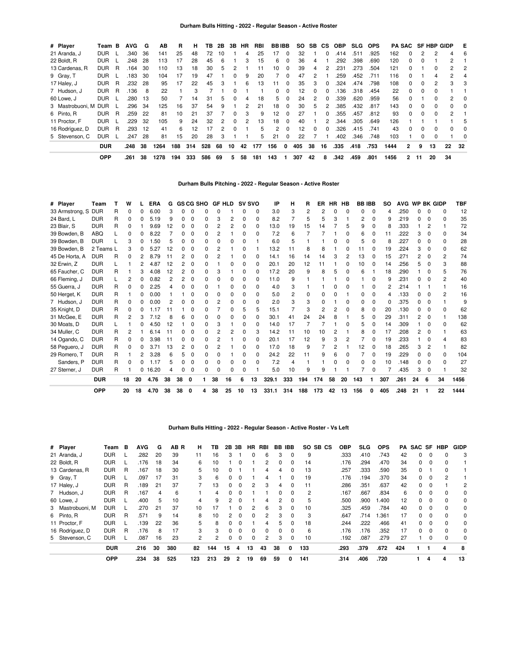| # Player             | Team       | B | <b>AVG</b> | G   | AВ   | R   | н   | ΤВ  | 2Β | 3B           | <b>HR</b> | <b>RBI</b> | <b>BBIBB</b> |          | SO. | <b>SB</b> | <b>CS</b>    | <b>OBP</b> | <b>SLG</b> | <b>OPS</b> |      |              |          | PA SAC SF HBP GIDP |               | E        |
|----------------------|------------|---|------------|-----|------|-----|-----|-----|----|--------------|-----------|------------|--------------|----------|-----|-----------|--------------|------------|------------|------------|------|--------------|----------|--------------------|---------------|----------|
| 21 Aranda, J         | <b>DUR</b> |   | .340       | 36  | 141  | 25  | 48  | 72  | 10 |              | 4         | 25         | 17           | 0        | 32  |           | $\Omega$     | .414       | .511       | .925       | 162  |              | 2        | 2                  |               | 6        |
| 22 Boldt, R          | <b>DUR</b> |   | .248       | 28  | 113  | 17  | 28  | 45  | 6  |              | 3         | 15         | 6            | 0        | 36  | 4         |              | .292       | .398       | .690       | 120  | 0            |          |                    | 2             |          |
| 13 Cardenas, R       | <b>DUR</b> | R | .164       | 30  | 110  | 13  | 18  | 30  | 5  | 2            |           | 11         | 10           | 0        | 39  | 4         |              | .231       | .273       | .504       | 121  | $\Omega$     |          | 0                  | $\mathbf{2}$  | 2        |
| 9 Gray, T            | <b>DUR</b> |   | .183       | 30  | 104  | 17  | 19  | 47  |    | 0            | 9         | 20         |              | 0        | 47  | 2         |              | .259       | .452       | .711       | 116  | <sup>0</sup> |          | 4                  | 2             | 4        |
| 17 Haley, J          | <b>DUR</b> | R | .232       | 28  | 95   | 17  | 22  | 45  | з  |              | 6         | 13         | 11           | $\Omega$ | 35  | 3         |              | .324       | .474       | .798       | 108  | 0            | 0        | 2                  | 3             | 3        |
| 7 Hudson, J          | <b>DUR</b> | R | .136       | 8   | 22   |     | 3   |     |    | O            |           |            | 0            | $\Omega$ | 12  | 0         | <sup>0</sup> | 136        | .318       | .454       | 22   | $\Omega$     | $\Omega$ | 0                  |               |          |
| 60 Lowe, J           | <b>DUR</b> |   | .280       | 13  | 50   |     | 14  | 31  | 5  | 0            | 4         | 18         | 5            | 0        | 24  | 2         |              | .339       | .620       | .959       | 56   | <sup>0</sup> |          | 0                  | 2             | $\Omega$ |
| 3 Mastrobuoni, M DUR |            |   | .296       | 34  | 125  | 16  | 37  | 54  | 9  |              | 2         | 21         | 18           | $\Omega$ | 30  | 5         |              | .385       | .432       | .817       | 143  | 0            | 0        | 0                  |               | 0        |
| 6 Pinto, R           | <b>DUR</b> | R | .259       | 22  | 81   | 10  | 21  | 37  |    | <sup>0</sup> | 3         | 9          | 12           | 0        | 27  |           | $\Omega$     | .355       | .457       | .812       | 93   | $\Omega$     | $\Omega$ | $\Omega$           | $\mathcal{P}$ |          |
| 11 Proctor, F        | <b>DUR</b> |   | .229       | -32 | 105  | 9   | 24  | 32  |    | ŋ            |           | 13         | 18           | 0        | 40  |           |              | 344        | .305       | .649       | 126  |              |          |                    |               | 5        |
| 16 Rodríguez, D      | DUR        | R | .293       | 12  | 41   | 6   | 12  | 17  | 2  | 0            |           | 5          | 2            | $\Omega$ | 12  | 0         | <sup>0</sup> | .326       | .415       | .741       | 43   | 0            | $\Omega$ | 0                  | 0             | 0        |
| 5 Stevenson, C       | <b>DUR</b> |   | .247       | 28  | 81   | 15  | 20  | 28  | 3  |              |           | 5          | 21           | $\Omega$ | 22  |           |              | .402       | .346       | .748       | 103  |              | $\Omega$ | 0                  |               | $\Omega$ |
|                      | <b>DUR</b> |   | .248       | 38  | 1264 | 188 | 314 | 528 | 68 | 10           | 42        | 177        | 156          | 0        | 405 | 38        | 16           | .335       | .418       | .753       | 1444 | 2            | 9        | 13                 | 22            | 32       |
|                      | <b>OPP</b> |   | .261       | 38  | 1278 | 194 | 333 | 586 | 69 | 5            | 58        | 181        | 143          |          | 307 | 42        | 8            | .342       | .459       | .801       | 1456 | $\mathbf{2}$ | 11       | 20                 | 34            |          |

# **Durham Bulls Pitching - 2022 - Regular Season - Active Roster**

| # Player        | Team       |   | W  |    | <b>ERA</b> | G  |    | <b>GS CG SHO</b> |    |                | GF HLD SV SVO |              |              | IP    | н   | R   | ER  |    | HR HB        | <b>BBIBB</b> |              | <b>SO</b> | AVG  |    |                | <b>WP BK GIDP</b> | <b>TBF</b> |
|-----------------|------------|---|----|----|------------|----|----|------------------|----|----------------|---------------|--------------|--------------|-------|-----|-----|-----|----|--------------|--------------|--------------|-----------|------|----|----------------|-------------------|------------|
| 33 Armstrong, S | <b>DUR</b> | R | 0  |    | 6.00       | З  |    | 0                |    | O              |               |              | 0            | 3.0   | 3   | 2   |     | O  | O            | 0            | $\Omega$     | Δ         | .250 | 0  | $\Omega$       | $\Omega$          | 12         |
| 24 Bard, L      | <b>DUR</b> | R | 0  |    | 5.19       | q  | n  | $\Omega$         | O. | 3              | 2             | <sup>0</sup> | O            | 8.2   |     | 5   |     | 3  |              | 2            | 0            | 9         | .219 | 0. | $\Omega$       | ŋ                 | 35         |
| 23 Blair, S     | <b>DUR</b> | R | 0  |    | 9.69       | 12 |    | <sup>0</sup>     | U  | 2              | 2             | O            | O            | 13.0  | 19  | 15  | 4   |    | 5            | 9            | n            | 8         | .333 |    | 2              |                   | 72         |
| 39 Bowden, B    | <b>ABQ</b> |   | 0  |    | 8<br>.22   |    |    | <sup>0</sup>     | 0  | 2              |               | 0            | O            | 7.2   | 6   |     |     |    | O            | 6            |              | 11        | .222 | 3  |                |                   | 34         |
| 39 Bowden, B    | <b>DUR</b> |   | 3  |    | .50        |    |    | 0                | 0  | O              |               | O            |              | 6.0   | 5   |     |     |    | ŋ            | 5            |              | 8         | .227 | 0  |                | <sup>0</sup>      | 28         |
| 39 Bowden, B    | 2 Teams L  |   | 3  |    | 5.27       | 12 |    | 0                | O. | 2              |               | O            |              | 13.2  | 11  | 8   |     |    |              |              |              | 19        | .224 | 3  | <sup>0</sup>   | <sup>n</sup>      | 62         |
| 45 De Horta, A  | <b>DUR</b> | R | 0  |    | 8.79       | 11 |    | 0                | U  | 2              |               |              | O            | 14.1  | 16  | 14  | 14  | 3  | 2            | 13           |              | 15        | .271 | 2  |                |                   | 74         |
| 32 Erwin, Z     | <b>DUR</b> |   |    | 2  | 4.87       | 12 |    | 0                | n  |                |               | n            | 0            | 20.1  | 20  | 12  |     |    | ŋ            | 10           | <sup>0</sup> | 14        | .256 | 5  | $\Omega$       | з                 | 88         |
| 65 Faucher, C   | <b>DUR</b> | R |    |    | 4.08       | 12 |    | $\Omega$         | n  | З              |               | O            | 0            | 17.2  | 20  | 9   |     | 5  | <sup>0</sup> | 6            |              | 18        | .290 |    |                |                   | 76         |
| 66 Fleming, J   | <b>DUR</b> |   | 2  |    | 0.82       | 2  | 2  | <sup>0</sup>     | n  | n              |               | n            | 0            | 11.0  | 9   |     |     |    | n            |              |              | 9         | .231 | U  |                |                   | 40         |
| 55 Guerra, J    | <b>DUR</b> | R | 0  |    | 2.25       |    |    | <sup>0</sup>     | O. |                | ŋ             |              | O            | 4.0   | 3   |     |     | n  |              |              |              | 2         | .214 |    |                |                   | 16         |
| 50 Herget, K    | <b>DUR</b> | R |    |    | 0.00       |    |    | 0                | O. | O              |               |              | O            | 5.0   | 2   | 0   |     | O  |              | ი            | ი            | Δ         | .133 | O. | $\Omega$       | 2                 | 16         |
| 7 Hudson, J     | <b>DUR</b> | R | 0  |    | 0.00       |    |    | 0                | 0  | $\overline{2}$ | ŋ             | 0            | 0            | 2.0   | 3   | 3   |     |    | ŋ            | 0            | 0            | 0         | .375 | 0  | $\Omega$       |                   | 9          |
| 35 Knight, D    | <b>DUR</b> | R | 0  |    | -17        |    |    | ŋ                | O. |                | n             | 5            | 5            | 15.1  |     | З   |     | 2  | ŋ            | 8            | ი            | 20        | .130 | O. | <sup>0</sup>   | n                 | 62         |
| 31 McGee, E     | <b>DUR</b> | R | 2  | з  | 7.12       |    |    | <sup>0</sup>     | n  | n              |               |              | 0            | 30.1  | 41  | 24  | 24  | 8  |              | 5            | 0            | 29        | .311 | 2  | $\Omega$       |                   | 138        |
| 30 Moats, D     | <b>DUR</b> |   |    |    | 4.50       | 12 |    | 0                | 0  | З              |               | O            | <sup>0</sup> | 14.0  | 17  |     |     |    |              | 5            |              | 14        | .309 |    | ŋ              |                   | 62         |
| 34 Muller, C    | <b>DUR</b> | R | 2  |    | 6.14       | 11 |    | <sup>0</sup>     | U  | 2              |               | n            | 3            | 14.2  | 11  | 10  | 10  | 2  |              | 8            | <sup>0</sup> | 17        | .208 | 2  |                |                   | 63         |
| 14 Ogando, C    | <b>DUR</b> | R | 0  |    | 3.98       | 11 |    | 0                | O. | 2              |               | n            | n            | 20.1  | 17  | 12  | 9   | 3  | 2            |              |              | 19        | .233 |    |                |                   | 83         |
| 58 Peguero, J   | <b>DUR</b> | R | 0  |    | 3.71       | 13 |    | 0                | O. | 2              |               | n            | 0            | 17.0  | 18  | 9   |     | 2  |              | 12           | <sup>0</sup> | 18        | .265 | 3  | $\overline{2}$ |                   | 82         |
| 29 Romero, T    | <b>DUR</b> | R |    |    | 3.28       |    |    | 0                | 0  | O              |               | O            | 0            | 24.2  | 22  | 11  |     | 6  |              |              |              | 19        | .229 | U  |                | O                 | 104        |
| Sanders, P      | <b>DUR</b> | R | 0  | ი  | .17        | 5  |    | 0                | 0  | $\Omega$       | 0             | O            | 0            | 7.2   | 4   |     |     | O  | ŋ            | 0            |              | 10        | .148 | 0  | $\Omega$       | O                 | 27         |
| 27 Sterner, J   | <b>DUR</b> | R |    |    | 0, 16.20   |    |    | 0                | 0  | O              | ŋ             | O            |              | 5.0   | 10  | 9   |     |    |              |              |              |           | .435 | 3  | 0              |                   | 32         |
|                 | <b>DUR</b> |   | 18 | 20 | 4.76       | 38 | 38 | $\mathbf 0$      |    | 38             | 16            | 6            | 13           | 329.1 | 333 | 194 | 174 | 58 | 20           | 143          |              | 307       | .261 | 24 | 6              | 34                | 1456       |
|                 | <b>OPP</b> |   | 20 | 18 | 4.70       | 38 | 38 | 0                | 4  | 38             | 25            | 10           | 13           | 331.1 | 314 | 188 | 173 | 42 | 13           | 156          | 0            | 405       | .248 | 21 |                | 22                | 1444       |

# **Durham Bulls Hitting - 2022 - Regular Season - Active Roster - Vs Left**

| # Player         | Team       | в | <b>AVG</b> | G  | AB R | н   | ΤВ  | 2В | 3В       | HR | RBI          |          | <b>BB IBB</b> | SO.<br>SB CS   | <b>OBP</b> | <b>SLG</b> | <b>OPS</b> | <b>PA</b> | SAC SF   |          | <b>HBP</b> | <b>GIDP</b> |
|------------------|------------|---|------------|----|------|-----|-----|----|----------|----|--------------|----------|---------------|----------------|------------|------------|------------|-----------|----------|----------|------------|-------------|
| 21 Aranda, J     | <b>DUR</b> |   | .282       | 20 | 39   | 11  | 16  |    |          | 0  | 6            | 3        | $\Omega$      | 9              | .333       | .410       | .743       | 42        | 0        | $\Omega$ | 0          | 3           |
| 22 Boldt, R      | <b>DUR</b> |   | .176       | 18 | 34   | 6   | 10  |    | 0        |    |              | 0        | 0             | 14             | .176       | .294       | .470       | 34        | 0        | 0        | 0          |             |
| 13 Cardenas, R   | <b>DUR</b> | R | .167       | 18 | 30   | 5   | 10  |    |          |    | 4            | 4        | $\Omega$      | 13             | .257       | .333       | .590       | 35        | $\Omega$ |          | 0          |             |
| 9 Gray, T        | <b>DUR</b> |   | .097       | 17 | 31   | 3   | 6   |    | 0        |    | 4            |          |               | 19             | .176       | .194       | .370       | 34        | 0        | 0        | 2          |             |
| 17 Haley, J      | <b>DUR</b> | R | .189       | 21 | 37   |     | 13  | 0  | $\Omega$ | 2  | 3            | 4        | $\Omega$      | 11             | .286       | .351       | .637       | 42        | $\Omega$ | $\Omega$ |            | 2           |
| 7 Hudson, J      | <b>DUR</b> | R | .167       | 4  | 6    |     | 4   | 0  | 0        |    |              | 0        | $\Omega$      | $\overline{2}$ | .167       | .667       | .834       | 6         | 0        | $\Omega$ | 0          | 0           |
| 60 Lowe, J       | <b>DUR</b> |   | .400       | 5  | 10   | 4   | 9   | 2  | $\Omega$ |    | 4            | 2        | $\Omega$      | 5              | .500       | .900       | 1.400      | 12        | 0        | 0        | 0          | 0           |
| 3 Mastrobuoni, M | DUR        |   | .270       | 21 | 37   | 10  | 17  |    | 0        | 2  | 6            | 3        | $\Omega$      | 10             | .325       | .459       | .784       | 40        | $\Omega$ | $\Omega$ | 0          | 0           |
| 6 Pinto, R       | <b>DUR</b> | R | .571       | 9  | 14   | 8   | 10  |    | 0        | 0  |              | 3        | $\Omega$      | 3              | .647       | .714       | 1.361      | 17        | 0        | $\Omega$ | 0          | $\Omega$    |
| 11 Proctor, F    | <b>DUR</b> |   | .139       | 22 | 36   | 5.  | 8   | 0  | $\Omega$ |    | 4            | 5        | $\Omega$      | 18             | .244       | .222       | .466       | 41        | $\Omega$ | $\Omega$ | $\Omega$   | $\Omega$    |
| 16 Rodríguez, D  | <b>DUR</b> | R | .176       | 8  | 17   | 3   | 3   | 0  | 0        | 0  | <sup>0</sup> | $\Omega$ | $\Omega$      | 6              | .176       | .176       | .352       | 17        | 0        | $\Omega$ | 0          | $\Omega$    |
| 5 Stevenson, C   | <b>DUR</b> |   | .087       | 16 | 23   | 2   | 2   | 0  | 0        | 0  | 2            | 3        | 0             | 10             | .192       | .087       | .279       | 27        |          | 0        | 0          | 0           |
|                  | <b>DUR</b> |   | .216       | 30 | 380  | 82  | 144 | 15 | 4        | 13 | 43           | 38       | 0             | 133            | .293       | .379       | .672       | 424       |          |          | 4          | 8           |
|                  | <b>OPP</b> |   | .234       | 38 | 525  | 123 | 213 | 29 | 2        | 19 | 69           | 59       | 0             | 141            | .314       | .406       | .720       |           |          | 4        | 4          | 13          |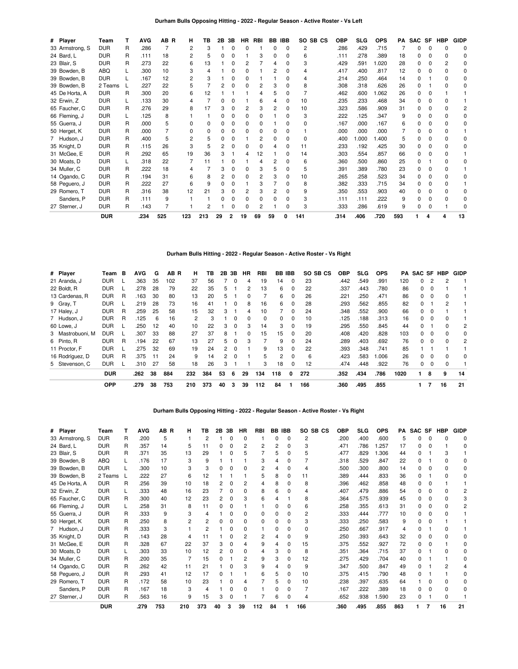## **Durham Bulls Opposing Hitting - 2022 - Regular Season - Active Roster - Vs Left**

| # Player        | Team       |   | <b>AVG</b> | AB R | н   | TВ  | 2Β | 3В | HR | <b>RBI</b> | BB | <b>IBB</b> | SO SB CS       | OBP  | <b>SLG</b> | <b>OPS</b> | PA  | <b>SAC</b> | SF | <b>HBP</b> | <b>GIDP</b> |
|-----------------|------------|---|------------|------|-----|-----|----|----|----|------------|----|------------|----------------|------|------------|------------|-----|------------|----|------------|-------------|
| 33 Armstrong, S | <b>DUR</b> | R | .286       |      | 2   | 3   |    |    | ŋ  |            | 0  | 0          | $\overline{2}$ | .286 | .429       | .715       |     | ი          | 0  |            | n           |
| 24 Bard, L      | <b>DUR</b> | R | .111       | 18   |     | 5   |    |    |    |            |    | 0          | 6              | .111 | .278       | .389       | 18  |            |    |            | n           |
| 23 Blair, S     | <b>DUR</b> | R | .273       | 22   | 6   | 13  |    |    |    |            | Δ  | 0          | 3              | .429 | .591       | 1.020      | 28  | O.         | ი  |            |             |
| 39 Bowden, B    | ABQ        |   | .300       | 10   |     | 4   |    |    |    |            |    |            |                | .417 | .400       | .817       | 12  |            |    |            |             |
| 39 Bowden, B    | <b>DUR</b> |   | .167       | 12   |     |     |    |    |    |            |    | 0          |                | .214 | .250       | .464       | 14  |            |    |            |             |
| 39 Bowden, B    | 2 Teams    |   | .227       | 22   |     |     |    |    |    |            |    |            | 8              | .308 | .318       | .626       | 26  |            |    |            |             |
| 45 De Horta, A  | <b>DUR</b> | R | .300       | 20   | 6   | 12  |    |    |    |            |    | 0          |                | .462 | .600       | 1.062      | 26  | 0          |    |            |             |
| 32 Erwin, Z     | <b>DUR</b> |   | .133       | 30   | 4   |     |    |    |    | հ          |    | 0          | 10             | .235 | .233       | .468       | 34  |            |    |            |             |
| 65 Faucher, C   | <b>DUR</b> | R | .276       | 29   | 8   | 17  |    | 0  | 2  |            | 2  | 0          | 10             | .323 | .586       | .909       | 31  | 0          | 0  |            |             |
| 66 Fleming, J   | <b>DUR</b> |   | .125       | 8    |     |     |    |    | O  |            |    | 0          | 3              | .222 | .125       | .347       | 9   |            |    |            |             |
| 55 Guerra, J    | <b>DUR</b> | R | .000       | 5    | U   | O   |    |    | O  |            |    | ŋ          |                | .167 | .000       | .167       | 6   |            |    |            | O           |
| 50 Herget, K    | <b>DUR</b> | R | .000       |      |     |     |    |    |    |            |    | ŋ          |                | .000 | .000       | .000       |     |            |    |            |             |
| 7 Hudson, J     | <b>DUR</b> | R | .400       | 5    | 2   | 5   |    |    |    |            |    | 0          | 0              | .400 | 1.000      | 1.400      |     |            |    |            |             |
| 35 Knight, D    | <b>DUR</b> | R | .115       | 26   | 3   | 5   |    |    | ŋ  |            | 4  | 0          | 11             | .233 | .192       | .425       | 30  |            |    |            |             |
| 31 McGee, E     | <b>DUR</b> | R | .292       | 65   | 19  | 36  |    |    |    | 12         |    | 0          | 14             | .303 | .554       | .857       | 66  |            |    |            |             |
| 30 Moats, D     | <b>DUR</b> |   | .318       | 22   |     | 11  |    |    |    |            |    | 0          | 6              | .360 | .500       | .860       | 25  | ი          |    |            |             |
| 34 Muller, C    | <b>DUR</b> | R | .222       | 18   |     |     |    |    |    |            |    | O          | 5              | .391 | .389       | .780       | 23  |            |    |            |             |
| 14 Ogando, C    | <b>DUR</b> | R | .194       | 31   | 6   | 8   |    | 0  | O  |            |    | 0          | 10             | .265 | .258       | .523       | 34  | 0          | 0  |            | O           |
| 58 Peguero, J   | <b>DUR</b> | R | .222       | 27   | 6   | 9   |    |    |    |            |    | 0          | 8              | .382 | .333       | .715       | 34  |            |    |            |             |
| 29 Romero, T    | <b>DUR</b> | R | .316       | 38   | 12  | 21  |    |    |    |            |    | ŋ          | 9              | .350 | .553       | .903       | 40  | O.         |    |            |             |
| Sanders, P      | <b>DUR</b> | R | .111       | 9    |     |     |    |    |    |            |    | 0          |                | .111 | .111       | .222       | 9   | n          |    |            |             |
| 27 Sterner, J   | <b>DUR</b> | R | .143       |      |     | 2   |    |    |    |            |    | 0          | 3              | .333 | .286       | .619       | 9   | 0          |    |            |             |
|                 | <b>DUR</b> |   | .234       | 525  | 123 | 213 | 29 | 2  | 19 | 69         | 59 | 0          | 141            | .314 | .406       | .720       | 593 |            |    | 4          | 13          |

# **Durham Bulls Hitting - 2022 - Regular Season - Active Roster - Vs Right**

| # Player         | Team       | в | <b>AVG</b> | G  | AB <sub>R</sub> | н              | ΤВ  | 2В             | 3B       | ΗR | <b>RBI</b> | <b>BB IBB</b> |          | SO SB CS | OBP  | <b>SLG</b> | <b>OPS</b> | PA   |   |          | <b>SAC SF HBP</b> | <b>GIDP</b> |
|------------------|------------|---|------------|----|-----------------|----------------|-----|----------------|----------|----|------------|---------------|----------|----------|------|------------|------------|------|---|----------|-------------------|-------------|
| 21 Aranda, J     | <b>DUR</b> |   | .363       | 35 | 102             | 37             | 56  |                | 0        | 4  | 19         | 14            | 0        | 23       | .442 | .549       | .991       | 120  | 0 |          | 2                 |             |
| 22 Boldt, R      | <b>DUR</b> |   | .278       | 28 | 79              | 22             | 35  | 5              |          | 2  | 13         | 6             | 0        | 22       | .337 | .443       | .780       | 86   | 0 | $\Omega$ |                   |             |
| 13 Cardenas, R   | <b>DUR</b> | R | .163       | 30 | 80              | 13             | 20  | 5              |          | 0  |            | 6             | $\Omega$ | 26       | .221 | .250       | .471       | 86   | 0 | $\Omega$ | 0                 |             |
| 9 Gray, T        | <b>DUR</b> |   | .219       | 28 | 73              | 16             | 41  |                | 0        | 8  | 16         | 6             | 0        | 28       | .293 | .562       | .855       | 82   | 0 |          | 2                 |             |
| 17 Haley, J      | <b>DUR</b> | R | .259       | 25 | 58              | 15             | 32  | 3              |          | 4  | 10         |               | $\Omega$ | 24       | .348 | .552       | .900       | 66   | 0 | $\Omega$ |                   |             |
| 7 Hudson, J      | <b>DUR</b> | R | .125       | 6  | 16              | $\overline{2}$ | 3   |                | 0        | 0  | 0          | $\Omega$      | $\Omega$ | 10       | .125 | .188       | .313       | 16   | 0 | $\Omega$ | 0                 |             |
| 60 Lowe, J       | <b>DUR</b> |   | .250       | 12 | 40              | 10             | 22  | 3              | 0        | 3  | 14         | 3             | 0        | 19       | .295 | .550       | .845       | 44   | 0 |          | 0                 | 2           |
| 3 Mastrobuoni, M | <b>DUR</b> |   | .307       | 33 | 88              | 27             | 37  | 8              |          | 0  | 15         | 15            | $\Omega$ | 20       | .408 | .420       | .828       | 103  | 0 | $\Omega$ | 0                 | 0           |
| 6 Pinto, R       | <b>DUR</b> | R | .194       | 22 | 67              | 13             | 27  | 5              | $\Omega$ | 3  |            | 9             | $\Omega$ | 24       | .289 | .403       | .692       | 76   | 0 | $\Omega$ | 0                 | 2           |
| 11 Proctor, F    | <b>DUR</b> |   | .275       | 32 | 69              | 19             | 24  | $\overline{2}$ | $\Omega$ |    | 9          | 13            | 0        | 22       | .393 | .348       | .741       | 85   |   |          |                   |             |
| 16 Rodríguez, D  | <b>DUR</b> | R | .375       | 11 | 24              | 9              | 14  | $\overline{2}$ | $\Omega$ |    | 5          | 2             | $\Omega$ | 6        | .423 | .583       | .006       | 26   | 0 | $\Omega$ | 0                 | $\Omega$    |
| 5 Stevenson, C   | <b>DUR</b> |   | .310       | 27 | 58              | 18             | 26  | 3              |          |    | 3          | 18            | $\Omega$ | 12       | .474 | .448       | .922       | 76   | 0 | $\Omega$ | 0                 |             |
|                  | <b>DUR</b> |   | .262       | 38 | 884             | 232            | 384 | 53             | 6        | 29 | 134        | 118           | 0        | 272      | .352 | .434       | .786       | 1020 |   | 8        | 9                 | 14          |
|                  | <b>OPP</b> |   | .279       | 38 | 753             | 210            | 373 | 40             | 3        | 39 | 112        | 84            |          | 166      | .360 | .495       | .855       |      |   |          | 16                | 21          |

## **Durham Bulls Opposing Hitting - 2022 - Regular Season - Active Roster - Vs Right**

| # Player        | Team       |   | <b>AVG</b> | AB R | н   | тв             | 2В | 3В | HR | RBI            | BB | <b>IBB</b> | SO.<br>SB CS | <b>OBP</b> | <b>SLG</b> | <b>OPS</b> | РA  | <b>SAC</b> | SF | <b>HBP</b> | <b>GIDP</b> |
|-----------------|------------|---|------------|------|-----|----------------|----|----|----|----------------|----|------------|--------------|------------|------------|------------|-----|------------|----|------------|-------------|
| 33 Armstrong, S | <b>DUR</b> | R | .200       | 5    |     | $\overline{2}$ |    | 0  | 0  |                | O  | $\Omega$   | 2            | .200       | .400       | .600       | 5   | U          | O  | o          |             |
| 24 Bard, L      | <b>DUR</b> | R | .357       | 14   | 5   | 11             |    | 0  | 2  | 2              |    | 0          | 3            | .471       | .786       | 1.257      | 17  | ი          |    |            |             |
| 23 Blair, S     | <b>DUR</b> | R | .371       | 35   | 13  | 29             |    | 0  | 5  |                | 5  | 0          | 5            | .477       | .829       | 1.306      | 44  | ŋ          |    | 3          |             |
| 39 Bowden, B    | ABQ        |   | .176       | 17   | 3   | 9              |    |    |    | 3              |    | 0          |              | .318       | .529       | .847       | 22  | n          |    |            |             |
| 39 Bowden, B    | <b>DUR</b> |   | .300       | 10   | 3   | 3              |    | ŋ  | ŋ  | $\overline{2}$ |    | 0          | 4            | .500       | .300       | .800       | 14  | 0          | O  |            | 0           |
| 39 Bowden, B    | 2 Teams    |   | .222       | 27   | 6   | 12             |    |    |    | 5              | 8  | 0          | 11           | .389       | .444       | .833       | 36  | 0          |    |            |             |
| 45 De Horta, A  | <b>DUR</b> | R | .256       | 39   | 10  | 18             |    | 0  | 2  | 4              |    | 0          | 8            | .396       | .462       | .858       | 48  | ი          | ŋ  |            |             |
| 32 Erwin, Z     | <b>DUR</b> |   | .333       | 48   | 16  | 23             |    | 0  | ი  | 8              |    | O          | 4            | .407       | .479       | .886       | 54  | n          |    |            |             |
| 65 Faucher, C   | <b>DUR</b> | R | .300       | 40   | 12  | 23             |    | 0  | 3  | 6              |    |            | 8            | .364       | .575       | .939       | 45  |            |    |            |             |
| 66 Fleming, J   | <b>DUR</b> |   | .258       | 31   | 8   | 11             |    | 0  |    |                |    | 0          | 6            | .258       | .355       | .613       | 31  | 0          |    |            |             |
| 55 Guerra, J    | <b>DUR</b> | R | .333       | 9    | 3   | 4              |    | 0  | ი  | 0              |    | 0          | 2            | .333       | .444       | .777       | 10  | ი          |    |            |             |
| 50 Herget, K    | <b>DUR</b> | R | .250       | 8    | 2   | 2              |    | 0  | 0  | 0              |    | 0          | 3            | .333       | .250       | .583       | 9   | ი          |    |            |             |
| 7 Hudson, J     | <b>DUR</b> | R | .333       | 3    |     | $\overline{2}$ |    | 0  | ი  |                |    | 0          | 0            | .250       | .667       | .917       |     |            |    |            |             |
| 35 Knight, D    | <b>DUR</b> | R | .143       | 28   | 4   | 11             |    | 0  | 2  | 2              |    | 0          | 9            | .250       | .393       | .643       | 32  | 0          | n  |            |             |
| 31 McGee, E     | <b>DUR</b> | R | .328       | 67   | 22  | 37             |    | 0  |    | 9              |    | 0          | 15           | .375       | .552       | .927       | 72  | ი          |    |            |             |
| 30 Moats, D     | <b>DUR</b> |   | .303       | 33   | 10  | 12             |    | 0  | ŋ  | 4              | з  | 0          | 8            | .351       | .364       | .715       | 37  | 0          |    |            |             |
| 34 Muller, C    | <b>DUR</b> | R | .200       | 35   |     | 15             |    |    | 2  | 9              | з  | 0          | 12           | .275       | .429       | .704       | 40  | n          |    |            |             |
| 14 Ogando, C    | <b>DUR</b> | R | .262       | 42   | 11  | 21             |    | o  |    | 9              |    | 0          | 9            | .347       | .500       | .847       | 49  | ი          |    |            |             |
| 58 Peguero, J   | <b>DUR</b> | R | .293       | 41   | 12  | 17             |    |    |    | 6              |    | 0          | 10           | .375       | .415       | .790       | 48  |            |    |            |             |
| 29 Romero, T    | <b>DUR</b> | R | .172       | 58   | 10  | 23             |    | 0  |    |                | 5  | 0          | 10           | .238       | .397       | .635       | 64  |            |    |            |             |
| Sanders, P      | <b>DUR</b> | R | .167       | 18   | 3   | 4              |    | 0  |    |                |    | 0          |              | .167       | .222       | .389       | 18  | ი          |    |            |             |
| 27 Sterner, J   | <b>DUR</b> | R | .563       | 16   | 9   | 15             | з  | 0  |    |                | 6  | 0          | 4            | .652       | .938       | 1.590      | 23  | ი          |    | o          |             |
|                 | <b>DUR</b> |   | .279       | 753  | 210 | 373            | 40 | 3  | 39 | 112            | 84 |            | 166          | .360       | .495       | .855       | 863 |            | 7  | 16         | 21          |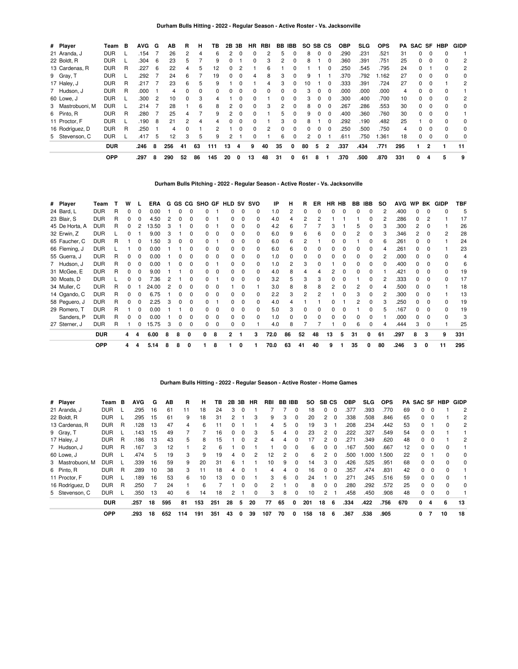| # Player         | Team       | в | <b>AVG</b> | G  | AВ  | R            | н  | ΤВ  | 2Β | 3В       | ΗR           | <b>RBI</b>   | BB           | <b>IBB</b>   | SO.            | SB CS    |              | <b>OBP</b> | <b>SLG</b> | <b>OPS</b> | PA. | SAC SF       |              | HBP          | <b>GIDP</b> |
|------------------|------------|---|------------|----|-----|--------------|----|-----|----|----------|--------------|--------------|--------------|--------------|----------------|----------|--------------|------------|------------|------------|-----|--------------|--------------|--------------|-------------|
| 21 Aranda, J     | <b>DUR</b> |   | .154       |    | 26  | 2            | 4  | 6   |    |          |              |              | 5            | 0            | 8              | $\Omega$ | $\Omega$     | .290       | .231       | .521       | 31  | 0            |              |              |             |
| 22 Boldt, R      | <b>DUR</b> |   | .304       | 6  | 23  | 5            |    | 9   |    |          | 0            | 3            | 2            | 0            | 8              |          | 0            | .360       | .391       | .751       | 25  | $\Omega$     |              |              | 2           |
| 13 Cardenas, R   | <b>DUR</b> | R | .227       | 6  | 22  | 4            | 5  | 12  |    |          |              | 6            |              |              |                |          |              | .250       | .545       | .795       | 24  | $\Omega$     |              |              | 2           |
| 9 Gray, T        | <b>DUR</b> |   | .292       |    | 24  | 6            |    | 19  |    |          | 4            | 8            | 3            | 0            |                |          |              | .370       | .792       | .162       | 27  | 0            |              |              | 0           |
| 17 Haley, J      | <b>DUR</b> | R | .217       |    | 23  | 6            | 5  | 9   |    |          |              | 4            | 3            | $\Omega$     | 10             |          | 0            | .333       | .391       | .724       | 27  | $\Omega$     | C            |              | 2           |
| 7 Hudson, J      | <b>DUR</b> | R | .000       |    | 4   | 0            | 0  | 0   |    |          | <sup>0</sup> | <sup>0</sup> | <sup>0</sup> | 0            | 3              |          | 0            | .000       | .000       | .000       | 4   | 0            |              |              |             |
| 60 Lowe, J       | <b>DUR</b> |   | .300       | 2  | 10  | <sup>0</sup> | 3  |     |    |          |              |              | 0            | $\Omega$     | 3              | 0        | 0            | .300       | .400       | .700       | 10  | 0            |              |              | 2           |
| 3 Mastrobuoni. M | <b>DUR</b> |   | .214       |    | 28  |              | 6  | 8   |    | $\Omega$ | 0            | з            | 2            | 0            | 8              | $\Omega$ | 0            | .267       | .286       | .553       | 30  | $\Omega$     | <sup>0</sup> | <sup>0</sup> | $\Omega$    |
| 6 Pinto, R       | <b>DUR</b> | R | .280       |    | 25  | 4            |    | 9   | 2  | - 0      | U            |              | 5            | <sup>0</sup> | 9              | $\Omega$ | <sup>0</sup> | .400       | .360       | .760       | 30  | <sup>0</sup> |              |              |             |
| 11 Proctor, F    | <b>DUR</b> |   | .190       | 8  | 21  |              | 4  | 4   |    |          |              |              | з            | 0            | 8              |          | 0            | .292       | .190       | .482       | 25  |              |              |              | 0           |
| 16 Rodríguez, D  | <b>DUR</b> | R | .250       |    | 4   | 0            |    |     |    | $\Omega$ | $\Omega$     | 2            | $\Omega$     | $\Omega$     | $\Omega$       | $\Omega$ | $\Omega$     | .250       | .500       | .750       | 4   | 0            |              | <sup>0</sup> | $\Omega$    |
| 5 Stevenson, C   | <b>DUR</b> |   | .417       | 5  | 12  | 3            | 5  | 9   | 2  |          | 0            |              | 6            | $\Omega$     | $\overline{2}$ | 0        |              | .611       | .750       | .361       | 18  | 0            |              |              | 0           |
|                  | <b>DUR</b> |   | .246       | -8 | 256 | 41           | 63 | 111 | 13 | 4        | 9            | 40           | 35           | 0            | 80             | 5        | 2            | .337       | .434       | .771       | 295 |              | 2            |              | 11          |
|                  | <b>OPP</b> |   | .297       | 8  | 290 | 52           | 86 | 145 | 20 | 0        | 13           | 48           | 31           | 0            | 61             | 8        |              | .370       | .500       | .870       | 331 | 0            | 4            | 5            | 9           |

# **Durham Bulls Pitching - 2022 - Regular Season - Active Roster - Vs. Jacksonville**

| # Player       | Team       |   | W            |   | ERA   | G |   |   | GS CG SHO GF HLD SV SVO |          |              |          |          | IP   | н            | R  | ER           | HR HB |              |              | BB IBB | so | <b>AVG</b> | WP BK        |          | GIDP | <b>TBF</b> |
|----------------|------------|---|--------------|---|-------|---|---|---|-------------------------|----------|--------------|----------|----------|------|--------------|----|--------------|-------|--------------|--------------|--------|----|------------|--------------|----------|------|------------|
| 24 Bard, L     | <b>DUR</b> | R | 0            | 0 | 0.00  |   |   |   |                         |          |              |          | 0        | 1.0  | 2            |    |              |       |              |              |        |    | .400       |              |          |      | 5          |
| 23 Blair, S    | <b>DUR</b> | R |              |   | 4.50  |   |   |   |                         |          |              |          | $\Omega$ | 4.0  |              |    |              |       |              |              |        |    | .286       |              |          |      | 17         |
| 45 De Horta, A | <b>DUR</b> |   |              |   | 13.50 |   |   |   |                         |          |              | 0        | 0        | 4.2  | 6            |    |              |       |              | 5            |        |    | .300       |              |          |      | 26         |
| 32 Erwin, Z    | <b>DUR</b> |   |              |   | 9.00  |   |   |   |                         | 0        |              | 0        | $\Omega$ | 6.0  | 9            |    | 6            |       |              |              |        |    | .346       |              |          | 2    | 28         |
| 65 Faucher, C  | <b>DUR</b> | R |              |   | 1.50  |   |   |   |                         |          |              | $\Omega$ | 0        | 6.0  | հ            |    |              |       |              |              |        |    | .261       |              |          |      | 24         |
| 66 Fleming, J  | <b>DUR</b> |   |              |   | 0.00  |   |   |   |                         | 0        |              | $\Omega$ | $\Omega$ | 6.0  | Բ            |    |              |       |              |              |        |    | .261       |              |          |      | 23         |
| 55 Guerra, J   | <b>DUR</b> | R | 0            | 0 | 0.00  |   |   |   |                         | $\Omega$ | <sup>0</sup> | $\Omega$ | 0        | 1.0  | <sup>0</sup> | 0  | 0            |       | <sup>0</sup> | 0            | 0      |    | .000       | 0            | $\Omega$ |      | 4          |
| 7 Hudson, J    | <b>DUR</b> | R | 0            | 0 | 0.00  |   |   |   |                         |          | <sup>0</sup> | 0        | 0        | 1.0  | 2            | 3  | 0            |       |              | 0            |        |    | .400       | 0            | 0        |      | 6          |
| 31 McGee, E    | <b>DUR</b> | R | 0            | 0 | 9.00  |   |   |   |                         | 0        |              | 0        | 0        | 4.0  | 8            |    |              |       |              |              |        |    | .421       |              |          |      | 19         |
| 30 Moats, D    | <b>DUR</b> |   | 0            |   | 7.36  |   |   |   |                         |          |              | 0        | 0        | 3.2  | 5            | 3  | 3            |       |              |              |        |    | .333       |              |          |      | 17         |
| 34 Muller, C   | <b>DUR</b> | R |              |   | 24.00 |   |   |   |                         |          |              | O        |          | 3.0  | 8            | 8  | 8            |       |              |              |        |    | .500       |              |          |      | 18         |
| 14 Ogando, C   | <b>DUR</b> | R |              |   | 6.75  |   |   |   |                         | 0        |              | 0        | $\Omega$ | 2.2  | 3            |    |              |       |              | 3            |        |    | .300       |              |          |      | 13         |
| 58 Peguero, J  | <b>DUR</b> | R |              |   | 2.25  |   |   |   |                         |          |              | $\Omega$ | 0        | 4.0  |              |    |              |       |              |              |        |    | .250       |              |          |      | 19         |
| 29 Romero, T   | <b>DUR</b> | R |              | ŋ | 0.00  |   |   |   |                         |          |              | $\Omega$ | 0        | 5.0  | З            |    |              |       |              |              |        |    | .167       |              |          |      | 19         |
| Sanders, P     | <b>DUR</b> | R | <sup>0</sup> | O | 0.00  |   |   |   |                         | $\Omega$ |              | $\Omega$ | $\Omega$ | 1.0  | <sup>0</sup> | O  | <sup>0</sup> |       | <sup>0</sup> | <sup>0</sup> |        |    | .000       | <sup>n</sup> | $\Omega$ | n    | З          |
| 27 Sterner, J  | <b>DUR</b> | R |              | 0 | 15.75 | з |   | 0 | 0                       | $\Omega$ | $\Omega$     | 0        |          | 4.0  | 8            |    |              |       | $\Omega$     | 6            |        | 4  | .444       | 3            | $\Omega$ |      | 25         |
|                | <b>DUR</b> |   |              |   | 6.00  | 8 | 8 | 0 | 0                       | 8        | 2            |          |          | 72.0 | 86           | 52 | 48           | 13    | 5            | 31           | 0      | 61 | .297       | 8            | 3        | 9    | 331        |
|                | <b>OPP</b> |   | 4            |   | 5.14  | 8 | 8 | 0 |                         | 8        |              | 0        |          | 70.0 | 63           | 41 | 40           | 9     |              | 35           | 0      | 80 | .246       | 3            | 0        | 11   | 295        |

# **Durham Bulls Hitting - 2022 - Regular Season - Active Roster - Home Games**

| # Player         | Team       | в | <b>AVG</b> | G  | AВ  | R   | н   | ΤВ  | 2Β | 3В           | ΗR | <b>RBI</b> | BB. | <b>IBB</b> | SO. | SВ             | cs       | OBP  | <b>SLG</b> | <b>OPS</b> | PA. | <b>SAC SF</b> |          | <b>HBP</b> | <b>GIDP</b> |
|------------------|------------|---|------------|----|-----|-----|-----|-----|----|--------------|----|------------|-----|------------|-----|----------------|----------|------|------------|------------|-----|---------------|----------|------------|-------------|
| 21 Aranda, J     | <b>DUR</b> |   | .295       | 16 | 61  | 11  | 18  | 24  | 3  | $\Omega$     |    |            |     | 0          | 18  |                | 0        | .377 | .393       | .770       | 69  | 0             | $\Omega$ |            | 2           |
| 22 Boldt, R      | <b>DUR</b> |   | .295       | 15 | 61  | 9   | 18  | 31  |    |              | з  | 9          | 3   | 0          | 20  | $\overline{2}$ | $\Omega$ | .338 | .508       | .846       | 65  | 0             | $\Omega$ |            |             |
| 13 Cardenas, R   | <b>DUR</b> | R | .128       | 13 | 47  | 4   | 6   | 11  |    |              |    | 4          | 5   | 0          | 19  | 3              |          | .208 | .234       | .442       | 53  |               |          | 0          | 2           |
| 9 Gray, T        | <b>DUR</b> |   | .143       | 15 | 49  |     |     | 16  |    | <sup>0</sup> | з  | 5.         | 4   | $\Omega$   | 23  | 2              | $\Omega$ | .222 | .327       | .549       | 54  | $\Omega$      | $\Omega$ |            |             |
| 17 Haley, J      | <b>DUR</b> | R | 186        | 13 | 43  | 5   | 8   | 15  |    |              | 2  | 4          | 4   | 0          | 17  | 2              | O        | .271 | .349       | .620       | 48  | 0             | $\Omega$ |            |             |
| 7 Hudson, J      | <b>DUR</b> | R | .167       | 3  | 12  |     | 2   | 6   |    | 0            |    |            |     | 0          | 6   | 0              | $\Omega$ | .167 | .500       | .667       | 12  | 0             | 0        | 0          |             |
| 60 Lowe, J       | <b>DUR</b> |   | .474       | 5  | 19  | 3   | 9   | 19  | 4  | 0            | 2  | 12         | 2   | $\Omega$   | 6   | 2              | $\Omega$ | .500 | .000       | .500       | 22  | $\Omega$      |          | 0          | 0           |
| 3 Mastrobuoni, M | <b>DUR</b> |   | .339       | 16 | 59  | 9   | 20  | 31  | 6  |              |    | 10         | 9   | 0          | 14  | 3              | $\Omega$ | .426 | .525       | .951       | 68  | 0             | 0        | 0          | $\Omega$    |
| 6 Pinto, R       | <b>DUR</b> | R | .289       | 10 | 38  | 3   | 11  | 18  | 4  | $\Omega$     |    | 4          | 4   | $\Omega$   | 16  | 0              | $\Omega$ | 357  | .474       | .831       | 42  | $\Omega$      | $\Omega$ | 0          |             |
| 11 Proctor, F    | <b>DUR</b> |   | .189       | 16 | 53  | 6   | 10  | 13  |    | $\Omega$     |    | 3          | 6   | $\Omega$   | 24  |                | $\Omega$ | .271 | .245       | .516       | 59  | $\Omega$      | $\Omega$ | 0          |             |
| 16 Rodríguez, D  | <b>DUR</b> | R | .250       |    | 24  |     | 6   |     |    |              | 0  | 2          |     | 0          | 8   |                | $\Omega$ | .280 | .292       | .572       | 25  | 0             | $\Omega$ | 0          | $\Omega$    |
| 5 Stevenson, C   | <b>DUR</b> |   | .350       | 13 | 40  | 6   | 14  | 18  |    |              | 0  | 3          | 8   | 0          | 10  | 2              |          | .458 | .450       | .908       | 48  | $\Omega$      | 0        | $\Omega$   |             |
|                  | <b>DUR</b> |   | .257       | 18 | 595 | 81  | 153 | 251 | 28 | 5            | 20 | 77         | 65  | 0          | 201 | 18             | 6        | .334 | .422       | .756       | 670 | 0             | 4        | 6          | 13          |
|                  | <b>OPP</b> |   | .293       | 18 | 652 | 114 | 191 | 351 | 43 | 0            | 39 | 107        | 70  | 0          | 158 | 18             | 6        | .367 | .538       | .905       |     | 0             |          | 10         | 18          |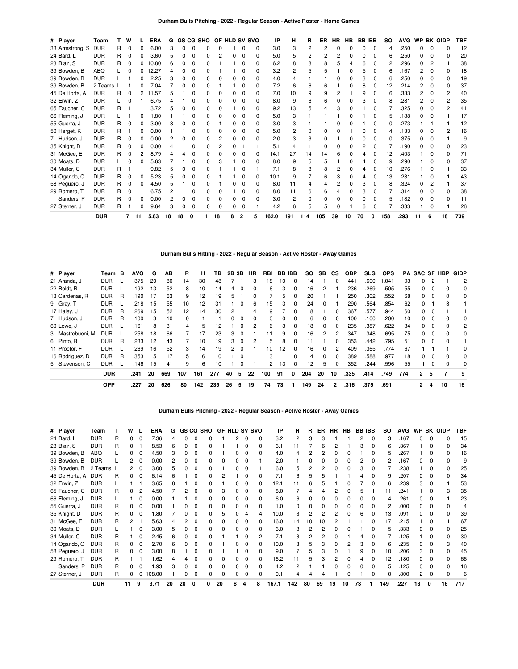| # Player        | Team       |    | w |    | <b>ERA</b> | G  |    |              | GS CG SHO |    | <b>GF HLD SV SVO</b> |              |              | IP    | н   | R   | ER  | HR | HB | <b>BB IBB</b> |              | so  | AVG  | <b>WP</b> |   | <b>BK GIDP</b> | <b>TBF</b> |
|-----------------|------------|----|---|----|------------|----|----|--------------|-----------|----|----------------------|--------------|--------------|-------|-----|-----|-----|----|----|---------------|--------------|-----|------|-----------|---|----------------|------------|
| 33 Armstrong, S | <b>DUR</b> |    |   |    | 6.00       |    |    |              |           | ი  |                      |              | 0            | 3.0   | 3   |     | 2   |    |    | በ             | $\Omega$     | 4   | .250 |           |   |                | 12         |
| 24 Bard, L      | <b>DUR</b> | R. |   |    | 3.60       |    |    |              |           |    |                      | $\Omega$     | <sup>0</sup> | 5.0   |     | 2   | 2   |    |    |               | O            | հ   | .250 |           |   |                | 20         |
| 23 Blair, S     | <b>DUR</b> | R  | 0 | 0  | 10.80      |    |    | 0            |           |    |                      |              | 0            | 6.2   | 8   | 8   |     |    |    |               | 0            | 2   | .296 | ი         |   |                | 38         |
| 39 Bowden, B    | ABQ        |    |   |    | 12.27      |    |    | <sup>0</sup> |           |    |                      |              | 0            | 3.2   |     |     |     |    |    |               | 0            | հ   | .167 |           |   |                | 18         |
| 39 Bowden, B    | <b>DUR</b> |    |   | 0  | 2.25       |    |    |              |           |    | n                    | 0            | 0            | 4.0   |     |     |     |    |    |               | 0            | հ   | .250 |           |   | n              | 19         |
| 39 Bowden, B    | 2 Teams    |    |   |    | 7.04       |    |    | 0            |           |    |                      |              | 0            | 7.2   | 6   | 6   | 6   |    |    |               | 0            | 12  | .214 |           |   |                | 37         |
| 45 De Horta, A  | <b>DUR</b> | R  |   | 2  | .57<br>-11 |    |    |              |           | O  | 0                    | 0            | 0            | 7.0   | 10  | 9   |     |    |    | g             | 0            | հ   | .333 | 2         |   |                | 40         |
| 32 Erwin, Z     | <b>DUR</b> |    |   |    | 6.75       |    |    |              |           | n  | n.                   |              | <sup>0</sup> | 8.0   | 9   | 6   |     |    |    |               | 0            |     | .281 |           |   |                | 35         |
| 65 Faucher, C   | <b>DUR</b> | R  |   |    | 3.72       |    |    |              | 0         | o  |                      | 0            | <sup>0</sup> | 9.2   | 13  | 5   |     |    |    |               | O            |     | .325 |           |   |                | 41         |
| 66 Fleming, J   | <b>DUR</b> |    |   |    | .80        |    |    |              |           |    |                      |              | 0            | 5.0   | з   |     |     |    |    |               | <sup>0</sup> | 5   | .188 |           |   |                | 17         |
| 55 Guerra, J    | <b>DUR</b> | R  | 0 | 0  | 3.00       |    | n  |              | n         |    | 0                    | <sup>0</sup> | 0            | 3.0   | 3   |     |     |    |    |               | O            | n   | .273 |           |   |                | 12         |
| 50 Herget, K    | <b>DUR</b> | R  |   | ŋ  | 0.00       |    |    |              |           |    |                      |              | 0            | 5.0   | 2   | O.  |     |    |    |               | O            |     | .133 |           |   |                | 16         |
| 7 Hudson, J     | <b>DUR</b> | R  |   |    | 0.00       |    |    |              |           |    | 0                    | 0            | O            | 2.0   |     |     | o   |    |    |               | 0            | n   | .375 |           |   |                | q          |
| 35 Knight, D    | <b>DUR</b> | R  |   |    | 0.00       |    |    |              |           |    |                      |              |              | 5.1   |     |     |     |    |    |               |              |     | .190 |           |   |                | 23         |
| 31 McGee, E     | <b>DUR</b> | R  |   |    | 8.79       |    |    |              |           |    | n.                   |              | 0            | 14.1  | 27  | 14  | 14  |    |    |               |              | 12  | .403 |           |   |                | 71         |
| 30 Moats, D     | <b>DUR</b> |    |   |    | 5.63       |    |    | C            | ŋ         |    |                      | $\Omega$     | 0            | 8.0   | 9   | 5   |     |    |    |               | 0            | 9   | .290 |           | 0 |                | 37         |
| 34 Muller, C    | <b>DUR</b> | R  |   |    | 9.82       |    |    |              |           |    |                      |              |              | 7.1   |     |     |     |    |    |               | O            | 10  | .276 |           |   |                | 33         |
| 14 Ogando, C    | <b>DUR</b> | R  |   |    | 5.23       |    |    | C            |           |    |                      |              | 0            | 10.1  | 9   |     | 6   |    |    |               | 0            | 13  | .231 |           |   |                | 43         |
| 58 Peguero, J   | <b>DUR</b> | R  |   |    | 4.50       |    |    |              |           |    | n                    |              | 0            | 8.0   | 11  |     |     |    |    |               | 0            | 8   | .324 |           |   |                | 37         |
| 29 Romero, T    | <b>DUR</b> | R  |   |    | 6.75       |    |    |              |           | O  |                      | $\Omega$     | 0            | 8.0   | 11  | 6   | 6   |    |    |               | 0            |     | .314 |           |   |                | 38         |
| Sanders, P      | <b>DUR</b> | R  |   | ŋ  | 0.00       |    | O. | n            |           | O  | n.                   |              | <sup>0</sup> | 3.0   | 2   | U   |     |    |    |               | 0            | 5   | .182 |           |   | n              | 11         |
| 27 Sterner, J   | <b>DUR</b> | R  |   | 0  | 9.64       |    | O. | <sup>0</sup> | 0         | 0  | 0                    | $\Omega$     |              | 4.2   | 6   | 5   | 5   |    |    | 6             | 0            |     | .333 |           | 0 |                | 26         |
|                 | <b>DUR</b> |    |   | 11 | 5.83       | 18 | 18 |              |           | 18 |                      |              |              | 162.0 | 191 | 114 | 105 | 39 | 10 | 70            |              | 158 | .293 | 11        | 6 | 18             | 739        |

# **Durham Bulls Hitting - 2022 - Regular Season - Active Roster - Away Games**

| # Player         | Team       | B | <b>AVG</b> | G  | AB  | R        | н   | ΤВ  | 2Β | 3В           | ΗR       | RBI      | BВ | <b>IBB</b> | SO.             | SB.      | СS           | <b>OBP</b> | SLG. | <b>OPS</b> | PA. | <b>SAC SF</b> |          | HBP          | <b>GIDP</b> |
|------------------|------------|---|------------|----|-----|----------|-----|-----|----|--------------|----------|----------|----|------------|-----------------|----------|--------------|------------|------|------------|-----|---------------|----------|--------------|-------------|
| 21 Aranda, J     | <b>DUR</b> |   | .375       | 20 | 80  | 14       | 30  | 48  |    |              | 3        | 18       | 10 | $\Omega$   | 14              |          |              | .441       | .600 | .041       | 93  | 0             |          |              | 2           |
| 22 Boldt, R      | <b>DUR</b> |   | .192       | 13 | 52  | 8        | 10  | 14  | 4  | $\Omega$     | $\Omega$ | 6        | 3  | $\Omega$   | 16              | 2        |              | .236       | .269 | .505       | 55  | 0             | $\Omega$ | O            | 0           |
| 13 Cardenas, R   | <b>DUR</b> | R | .190       | 17 | 63  | 9        | 12  | 19  | 5  |              | $\Omega$ |          | 5. | 0          | 20              |          |              | .250       | .302 | .552       | 68  | 0             | $\Omega$ |              | 0           |
| 9 Gray, T        | <b>DUR</b> |   | .218       | 15 | 55  | 10       | 12  | 31  |    | <sup>0</sup> | 6        | 15       | 3  | $\Omega$   | 24              | 0        |              | .290       | 564  | .854       | 62  | 0             |          | з            |             |
| 17 Haley, J      | <b>DUR</b> | R | .269       | 15 | 52  | 12       | 14  | 30  | 2  |              | 4        | 9        |    | $\Omega$   | 18              |          | <sup>0</sup> | .367       | 577  | .944       | 60  | 0             | $\Omega$ |              |             |
| 7 Hudson, J      | <b>DUR</b> | R | .100       | 3  | 10  | $\Omega$ |     |     |    | <sup>0</sup> | 0        | $\Omega$ | 0  | $\Omega$   | 6               | $\Omega$ |              | .100       | .100 | .200       | 10  | 0             | 0        |              | 0           |
| 60 Lowe, J       | <b>DUR</b> |   | .161       | 8  | 31  | 4        | 5   | 12  |    | <sup>0</sup> | 2        | 6        | 3  | $\Omega$   | 18              | $\Omega$ | <sup>0</sup> | .235       | .387 | .622       | 34  | 0             | $\Omega$ | 0            | 2           |
| 3 Mastrobuoni, M | DUR        |   | .258       | 18 | 66  |          | 17  | 23  | 3  | $\Omega$     |          | 11       | 9  | $\Omega$   | 16              | 2        |              | .347       | .348 | .695       | 75  | <sup>0</sup>  | $\Omega$ | <sup>0</sup> | 0           |
| 6 Pinto, R       | <b>DUR</b> | R | .233       | 12 | 43  |          | 10  | 19  | 3  | <sup>0</sup> |          | 5        | 8  |            | 11              |          |              | .353       | .442 | .795       | 51  | <sup>0</sup>  | 0        |              |             |
| 11 Proctor, F    | <b>DUR</b> |   | .269       | 16 | 52  | 3        | 14  | 19  |    | $^{\circ}$   |          | 10       | 12 | $\Omega$   | 16              | $\Omega$ | 2            | .409       | .365 | .774       | 67  |               |          |              | 0           |
| 16 Rodríguez, D  | <b>DUR</b> | R | .353       | 5  | 17  | 5        | 6   | 10  |    |              |          | 3        |    | $\Omega$   | 4               | 0        | U            | .389       | 588  | .977       | 18  | 0             | 0        | O            | $\Omega$    |
| 5 Stevenson, C   | <b>DUR</b> |   | 146        | 15 | 41  | 9        | 6   | 10  |    |              |          | 2        | 13 | 0          | 12 <sup>2</sup> | 5        |              | .352       | .244 | .596       | 55  |               | 0        |              | 0           |
|                  | <b>DUR</b> |   | .241       | 20 | 669 | 107      | 161 | 277 | 40 | 5            | 22       | 100      | 91 | 0          | 204             | 20       | 10           | .335       | .414 | .749       | 774 | 2             | 5        |              | 9           |
|                  | <b>OPP</b> |   | .227       | 20 | 626 | 80       | 142 | 235 | 26 | 5            | 19       | 74       | 73 |            | 149             | 24       | 2            | .316       | .375 | .691       |     | 2             | 4        | 10           | 16          |

## **Durham Bulls Pitching - 2022 - Regular Season - Active Roster - Away Games**

| # Player       | Team       |   | w  |              | ERA    | G  |    |   | GS CG SHO |    | <b>GF HLD SV SVO</b> |   |   | IP    | н   | R  | ER | HR | <b>HB</b> |    | <b>BB IBB</b> | <b>SO</b> | <b>AVG</b> | <b>WP</b> |              | <b>BK GIDP</b> | <b>TBF</b> |
|----------------|------------|---|----|--------------|--------|----|----|---|-----------|----|----------------------|---|---|-------|-----|----|----|----|-----------|----|---------------|-----------|------------|-----------|--------------|----------------|------------|
| 24 Bard, L     | <b>DUR</b> | R |    |              | 7.36   |    |    |   |           |    | 2                    | C | n | 3.2   | 2   |    |    |    |           |    |               | 3         | .167       |           |              |                | 15         |
| 23 Blair, S    | <b>DUR</b> | R |    |              | 8.53   |    |    |   |           |    |                      |   |   | 6.    |     |    |    |    |           |    |               |           | 367        |           |              |                | 34         |
| 39 Bowden, B   | ABQ        |   |    |              | 4.50   | з  |    |   |           |    |                      |   |   | 4.0   |     |    |    |    |           |    |               |           | .267       |           |              |                | 16         |
| 39 Bowden, B   | <b>DUR</b> |   |    |              | 0.00   |    |    |   |           |    |                      |   |   | 2.0   |     |    |    |    |           |    |               |           | .167       |           |              |                |            |
| 39 Bowden, B   | 2 Teams I  |   |    |              | 3.00   | h  |    |   |           |    |                      |   |   | 6.0   | 5   |    |    |    |           |    |               |           | .238       |           |              |                | 25         |
| 45 De Horta, A | <b>DUR</b> | R | 0  |              | 6.14   |    |    |   |           |    |                      |   |   | 7.1   | հ   |    |    |    |           |    |               |           | .207       |           |              |                | 34         |
| 32 Erwin, Z    | <b>DUR</b> |   |    |              | 3.65   | 8  |    | Ω |           |    |                      |   |   | 12.1  | 11  |    |    |    |           |    |               | 6         | .239       |           | <sup>0</sup> |                | 53         |
| 65 Faucher, C  | <b>DUR</b> | R |    |              | 4.50   |    |    |   |           |    |                      |   |   | 8.0   |     |    |    |    |           |    |               | 11        | .241       |           |              |                | 35         |
| 66 Fleming, J  | <b>DUR</b> |   |    |              | 0.00   |    |    |   |           |    |                      |   |   | 6.0   | 6   |    |    |    |           |    |               |           | .261       |           |              |                | 23         |
| 55 Guerra, J   | <b>DUR</b> | R |    |              | 0.00   |    |    |   |           |    |                      |   |   | 1.0   |     |    |    |    |           |    |               |           | .000       |           |              |                |            |
| 35 Knight, D   | <b>DUR</b> | R | 0  | 0            | 1.80   |    |    | Ω |           |    |                      |   |   | 10.0  | 3   |    |    |    |           |    |               | 13        | .091       |           |              |                | 39         |
| 31 McGee, E    | <b>DUR</b> | R |    |              | 5.63   |    |    |   |           |    |                      |   |   | 16.0  | 14  | 10 |    |    |           |    |               | 17        | .215       |           |              |                | 67         |
| 30 Moats, D    | <b>DUR</b> |   |    |              | 3.00   |    |    |   |           |    |                      |   |   | 6.0   | 8   |    |    |    |           |    |               |           | .333       |           |              |                | 25         |
| 34 Muller, C   | <b>DUR</b> | R |    |              | 2.45   |    |    |   |           |    |                      |   |   | 7.1   |     |    |    |    |           |    |               |           | .125       |           |              |                | 30         |
| 14 Ogando, C   | <b>DUR</b> | R |    | <sup>0</sup> | 2.70   |    |    |   |           |    |                      |   |   | 10.0  |     |    |    |    |           |    |               |           | .235       |           |              |                | 40         |
| 58 Peguero, J  | <b>DUR</b> | R |    |              | 3.00   | 8  |    |   |           |    |                      |   |   | 9.0   |     |    |    |    |           |    |               | 10        | .206       |           |              |                | 45         |
| 29 Romero, T   | <b>DUR</b> |   |    |              | 1.62   |    |    |   |           |    |                      |   |   | 16.2  |     |    |    |    |           |    |               | 12        | .180       |           |              |                | 66         |
| Sanders, P     | <b>DUR</b> | R |    |              | 1.93   |    |    |   |           |    |                      |   |   | 4.2   | 2   |    |    |    |           |    |               |           | .125       |           |              |                | 16         |
| 27 Sterner, J  | <b>DUR</b> | R | 0  |              | 108.00 |    |    |   |           |    |                      |   |   | 0.7   |     |    |    |    |           |    |               |           | .800       |           |              |                | 6          |
|                | <b>DUR</b> |   | 11 |              | 3.71   | 20 | 20 |   | ŋ.        | 20 | 8                    |   | 8 | 167.1 | 142 | 80 | 69 | 19 | 10        | 73 |               | 149       | .227       | 13        |              | 16             | 717        |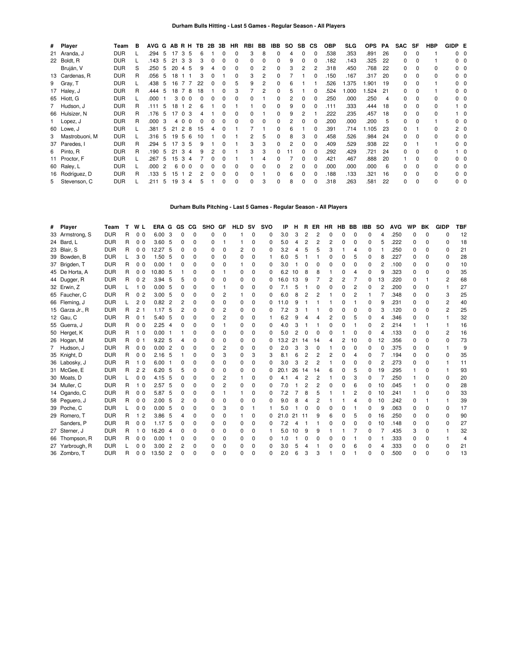|   | # Player        | Team       | в  | AVG G |     |    | AB R H               | TB. | 2B | 3В           | <b>HR</b>    | RBI | BB | IBB | SO.            | SB.          | <b>CS</b>    | <b>OBP</b> | <b>SLG</b> | <b>OPS</b> | <b>PA</b> | <b>SAC</b> | SF       | <b>HBP</b> | GIDP E |                |
|---|-----------------|------------|----|-------|-----|----|----------------------|-----|----|--------------|--------------|-----|----|-----|----------------|--------------|--------------|------------|------------|------------|-----------|------------|----------|------------|--------|----------------|
|   | 21 Aranda, J    | <b>DUR</b> |    | .294  | 5   | 17 | 3 <sup>1</sup><br>-5 | 6   |    | $\Omega$     | 0            | 3   | 8  | 0   | 4              | 0            | 0            | .538       | .353       | .891       | 26        | $\Omega$   | $\Omega$ |            |        | 0 <sub>0</sub> |
|   | 22 Boldt, R     | <b>DUR</b> |    | .143  | 5   | 21 | -3<br>3              |     | 0  | 0            | 0            | 0   |    | 0   | 9              | 0            |              | .182       | .143       | .325       | 22        | 0          | $\Omega$ |            |        | 00             |
|   | Bruján, V       | <b>DUR</b> | S  | .250  | 5   | 20 | 5<br>4               | 9   |    | $\Omega$     | 0            | 0   |    | 0   | 3              | 2            |              | .318       | .450       | .768       | 22        | 0          | $\Omega$ | 0          |        | 0 <sub>0</sub> |
|   | 13 Cardenas, R  | <b>DUR</b> | R  | .056  | -5  | 18 |                      | 3   |    |              | 0            | 3   |    | 0   |                |              |              | .150       | .167       | .317       | 20        | 0          | $\Omega$ | 0          |        | 0 <sub>0</sub> |
|   | 9 Gray, T       | <b>DUR</b> |    | .438  | - 5 | 16 | $\overline{7}$       | 22  |    | $\Omega$     | 5            | 9   |    | 0   | 6              |              |              | 526        | 1.375      | .901       | 19        | $\Omega$   |          |            |        | 0 <sub>0</sub> |
|   | 17 Haley, J     | <b>DUR</b> | R  | .444  | -5  | 18 | 8                    | 18  |    | $\Omega$     | 3            |     |    | 0   | 5              |              | $\Omega$     | .524       | 1.000      | .524       | -21       | $\Omega$   |          |            |        | 0 <sub>0</sub> |
|   | 65 Hiott, G     | <b>DUR</b> |    | .000  |     | 3  | $\Omega$<br>$\Omega$ | 0   |    | 0            | <sup>0</sup> | 0   |    | 0   | $\overline{2}$ | 0            | <sup>0</sup> | .250       | .000       | .250       | 4         | $\Omega$   | 0        | 0          |        | 0 <sub>0</sub> |
|   | 7 Hudson, J     | <b>DUR</b> | R  | .111  | 5   | 18 | 2                    |     |    | O            |              |     |    | 0   | 9              | ŋ            |              | .111       | .333       | .444       | 18        | 0          | $\Omega$ | 0          |        | 10             |
|   | 66 Hulsizer, N  | <b>DUR</b> | R  | .176  | -5  | 17 | 3<br>$\Omega$        |     |    | <sup>0</sup> | <sup>0</sup> | 0   |    | 0   | 9              | 2            |              | 222        | .235       | .457       | 18        | 0          | $\Omega$ | 0          |        | $1\quad 0$     |
|   | Lopez, J        | <b>DUR</b> | R  | .000  | 3   | 40 | $\Omega$             |     |    | O            | <sup>0</sup> | 0   |    | 0   | 2              |              |              | 200        | .000       | .200       | 5         | 0          | $\Omega$ |            |        | 0 <sub>0</sub> |
|   | 60 Lowe, J      | <b>DUR</b> |    | .381  | 5   | 21 | 2<br>8               | 15  | 4  | O            |              |     |    | 0   | 6              |              | O            | .391       | .714       | .105       | 23        | 0          |          | 0          |        | 2 <sub>0</sub> |
| 3 | Mastrobuoni, M  | <b>DUR</b> |    | .316  | 5   | 19 | -5<br>6              | 10  |    | O            |              | 2   | 5  | 0   | 8              | 3            | <sup>0</sup> | .458       | .526       | .984       | 24        | 0          | $\Omega$ | 0          |        | 0 <sub>0</sub> |
|   | 37 Paredes, I   | <b>DUR</b> | R  | .294  | 5   | 17 | 3<br>5               | 9   |    | <sup>0</sup> |              | 3   | 3  | 0   | 2              | <sup>0</sup> | $\Omega$     | .409       | .529       | .938       | 22        | 0          |          |            |        | 0 <sub>0</sub> |
| 6 | Pinto, R        | <b>DUR</b> | R. | .190  | 5   | 21 | 3<br>-4              | 9   |    | 0            |              | 3   | 3  | 0   | 11             | 0            | O            | .292       | .429       | .721       | 24        | $\Omega$   | $\Omega$ | 0          |        | 10             |
|   | 11 Proctor, F   | <b>DUR</b> |    | .267  | 5   | 15 | 3<br>4               |     | 0  | 0            |              |     | 4  | 0   |                | 0            | $\Omega$     | .421       | .467       | 888.       | 20        |            | $\Omega$ | 0          |        | 0 <sub>0</sub> |
|   | 60 Raley, L     | <b>DUR</b> |    | .000  | 2   | 6  | $\Omega$<br>$\Omega$ | 0   | 0  | $\Omega$     | 0            | 0   |    | 0   | 2              | 0            | $\Omega$     | .000       | .000       | .000       | 6         | 0          | $\Omega$ | 0          |        | 0 <sub>0</sub> |
|   | 16 Rodríguez, D | <b>DUR</b> | R  | .133  | 5   | 15 | 2                    |     | 0  | $\Omega$     | $\Omega$     | 0   |    | 0   | 6              | 0            | 0            | .188       | .133       | .321       | 16        | 0          | $\Omega$ | 0          |        | 0 <sub>0</sub> |
|   | 5 Stevenson, C  | <b>DUR</b> |    | .211  | 5   | 19 | 3<br>4               | 5   |    | 0            | 0            | 0   | 3  | 0   | 8              |              | <sup>0</sup> | .318       | .263       | .581       | 22        | 0          | $\Omega$ | $\Omega$   |        | $0\quad 0$     |

# **Durham Bulls Pitching - Last 5 Games - Regular Season - All Players**

| # Player        | Team       |   | W <sub>L</sub> | ERA G             |                | GS | CG.          | <b>SHO</b>   | GF           | <b>HLD</b> | <b>SV</b>    | <b>SVO</b> | IP   | н  | R              | ER             | HR       | HB       | <b>BB</b>      | <b>IBB</b> | <b>SO</b> | <b>AVG</b> | <b>WP</b>    | BK           | <b>GIDP</b>    | <b>TBF</b> |
|-----------------|------------|---|----------------|-------------------|----------------|----|--------------|--------------|--------------|------------|--------------|------------|------|----|----------------|----------------|----------|----------|----------------|------------|-----------|------------|--------------|--------------|----------------|------------|
| 33 Armstrong, S | <b>DUR</b> | R | 0 <sub>0</sub> | 6.00              | -3             | O  | 0            | 0            | $\Omega$     |            | 0            | 0          | 3.0  | 3  | 2              | 2              | ŋ        | $\Omega$ | $\Omega$       | 0          | 4         | .250       | 0            | $\Omega$     | $\Omega$       | 12         |
| 24 Bard, L      | <b>DUR</b> | R | 0 <sub>0</sub> | 3.60              | - 5            | 0  | 0            | 0            | 1            |            | $\Omega$     | 0          | 5.0  | 4  | 2              | 2              | 2        | 0        | $\Omega$       | 0          | 5         | .222       | 0            | 0            | 0              | 18         |
| 23 Blair, S     | <b>DUR</b> | R | 0 <sub>0</sub> | 12.27 5           |                | 0  | $\Omega$     | 0            | 0            | 2          | $\Omega$     | 0          | 3.2  | 4  | 5              | 5              | 3        |          | 4              | $\Omega$   |           | .250       | 0            | O            | $\Omega$       | 21         |
| 39 Bowden, B    | <b>DUR</b> |   | 30             | 1.50              | -5             | O  | $\Omega$     | O            | $\Omega$     | $\Omega$   | <sup>0</sup> | 1          | 6.0  | 5  |                |                | 0        | 0        | 5              | 0          | 8         | .227       | 0            | O            | $\Omega$       | 28         |
| 37 Brigden, T   | <b>DUR</b> | R | 0 <sub>0</sub> | 0.00              | -1             | ŋ  | <sup>0</sup> | O            | <sup>0</sup> |            | U            | 0          | 3.0  |    | <sup>0</sup>   | 0              | O        | O        | $\Omega$       | 0          | 2         | .100       | 0            | O            | 0              | 10         |
| 45 De Horta, A  | <b>DUR</b> | R | 0 <sub>0</sub> | 10.80 5           |                |    | 0            | <sup>0</sup> |              | 0          | 0            | 0          | 6.2  | 10 | 8              | 8              |          | ŋ        | 4              | 0          | 9         | .323       | <sup>0</sup> | O            | <sup>0</sup>   | 35         |
| 44 Dugger, R    | <b>DUR</b> | R | 0 <sub>2</sub> | 3.94              | -5             | 5  | 0            | 0            | 0            | 0          | $\Omega$     | 0          | 16.0 | 13 | 9              |                | 2        | 2        |                | 0          | 13        | .220       | 0            |              | $\overline{2}$ | 68         |
| 32 Erwin, Z     | <b>DUR</b> |   | 1 <sub>0</sub> | 0.005             |                | 0  | $\Omega$     | 0            |              | 0          | <sup>0</sup> | O          | 7.1  | 5  |                | 0              | $\Omega$ | $\Omega$ | $\overline{2}$ | $\Omega$   | 2         | .200       | 0            | O            |                | 27         |
| 65 Faucher, C   | <b>DUR</b> | R | 0 <sub>2</sub> | 3.00              | -5             | 0  | 0            | 0            | 2            |            | 0            | 0          | 6.0  | 8  | 2              | 2              |          | 0        | $\overline{2}$ | 1          | 7         | .348       | 0            | O            | 3              | 25         |
| 66 Fleming, J   | <b>DUR</b> |   | 20             | 0.82              | $\overline{c}$ | 2  | $\Omega$     | O            | <sup>0</sup> | 0          | $\Omega$     | O          | 11.0 | 9  |                |                |          | O        |                | 0          | 9         | .231       | 0            | O            | 2              | 40         |
| 15 Garza Jr., R | <b>DUR</b> | R | 2 <sub>1</sub> | 1.17              | -5             | 2  | $\Omega$     | <sup>0</sup> | 2            | 0          | <sup>0</sup> | O          | 7.2  | 3  |                |                | O        | O        | 0              | 0          | 3         | .120       | <sup>0</sup> | <sup>0</sup> | 2              | 25         |
| 12 Gau, C       | <b>DUR</b> | R | 0 <sub>1</sub> | 5.40              | -5             | 0  | 0            | 0            | 2            | 0          | 0            |            | 6.2  | 9  | Δ              | Δ              | 2        | 0        | 5              | $\Omega$   | 4         | .346       | 0            | O            |                | 32         |
| 55 Guerra, J    | <b>DUR</b> | R | 0 <sub>0</sub> | 2.25              | $\overline{4}$ | 0  | 0            | 0            |              | 0          | 0            | 0          | 4.0  | 3  |                |                | 0        | 0        |                | 0          | 2         | .214       |              |              |                | 16         |
| 50 Herget, K    | <b>DUR</b> | R | 1 <sub>0</sub> | 0.00              | - 1            |    | 0            | O            | ŋ            | 0          | <sup>0</sup> | 0          | 5.0  |    | 0              | 0              | 0        |          | $\Omega$       | $\Omega$   | 4         | .133       | 0            | O            | $\overline{2}$ | 16         |
| 26 Hogan, M     | <b>DUR</b> | R | 0 <sub>1</sub> | 9.22              | -5             | Δ  | <sup>0</sup> | O            | <sup>0</sup> | 0          | <sup>0</sup> | O          | 13.2 | 21 | 14             | 14             | 4        | 2        | 10             | 0          | 12        | .356       | <sup>0</sup> | O            | O              | 73         |
| 7 Hudson, J     | <b>DUR</b> | R | 0 <sub>0</sub> | 0.00              | -2             | 0  | 0            | <sup>0</sup> | 2            | 0          | <sup>0</sup> | 0          | 2.0  | 3  | 3              | 0              | 1        | 0        | $\Omega$       | 0          | 0         | .375       | 0            | 0            |                | 9          |
| 35 Knight, D    | <b>DUR</b> | R | 0 <sub>0</sub> | 2.16              | -5             |    | 0            | O            | 3            | 0          | 3            | 3          | 8.1  | 6  | 2              | 2              | 2        | 0        | 4              | 0          | 7         | .194       | 0            | 0            | O              | 35         |
| 36 Labosky, J   | <b>DUR</b> | R | 1 <sub>0</sub> | 6.00              | - 1            | 0  | $\Omega$     | 0            | 0            | 0          | 0            | 0          | 3.0  | 3  | 2              | 2              |          | $\Omega$ | 0              | $\Omega$   | 2         | .273       | 0            | 0            |                | 11         |
| 31 McGee, E     | <b>DUR</b> | R | 22             | 6.20              | -5             | 5  | $\Omega$     | O            | $\Omega$     | 0          | <sup>0</sup> | O          | 20.1 | 26 | 14             | 14             | 6        | O        | 5              | 0          | 19        | .295       |              | n            |                | 93         |
| 30 Moats, D     | <b>DUR</b> |   | 0 <sub>0</sub> | 4.15              | -5             | ŋ  | 0            | 0            | 2            |            | 0            | 0          | 4.1  | 4  | $\overline{2}$ | 2              |          | 0        | 3              | 0          |           | .250       |              | n            | 0              | 20         |
| 34 Muller, C    | <b>DUR</b> | R | 1 <sub>0</sub> | 2.57 <sub>5</sub> |                | 0  | 0            | <sup>0</sup> | 2            | 0          | <sup>0</sup> | 0          | 7.0  |    | $\overline{2}$ | 2              | 0        | 0        | 6              | 0          | 10        | .045       |              | O            | <sup>0</sup>   | 28         |
| 14 Ogando, C    | <b>DUR</b> | R | 0 <sub>0</sub> | 5.87              | -5             | 0  | 0            | O            |              |            | 0            | 0          | 7.2  |    | 8              | 5              |          |          | 2              | 0          | 10        | .241       |              | O            | O              | 33         |
| 58 Peguero, J   | <b>DUR</b> | R | 0 <sub>0</sub> | 2.00, 5           |                | 2  | $\Omega$     | 0            | <sup>0</sup> | 0          | U            | 0          | 9.0  | 8  | Δ              | $\overline{c}$ |          |          |                | 0          | 10        | .242       | 0            |              |                | 39         |
| 39 Poche, C     | <b>DUR</b> |   | 0 <sub>0</sub> | 0.00              | -5             | ŋ  | 0            | 0            | 3            | 0          |              |            | 5.0  |    | 0              | 0              | 0        | 0        |                | 0          | 9         | .063       | 0            | O            | 0              | 17         |
| 29 Romero, T    | <b>DUR</b> | R | 1 <sub>2</sub> | 3.86              | -5             | Δ  | 0            | 0            | 0            |            | 0            | O          | 21.0 | 21 | 11             | 9              | 6        | O        | 5              | 0          | 16        | .250       | 0            | O            | 0              | 90         |
| Sanders, P      | <b>DUR</b> | R | 0 <sub>0</sub> | 1.17              | 5              |    | 0            | 0            | ŋ            | 0          | 0            | 0          | 7.2  |    |                |                | 0        | 0        | 0              | 0          | 10        | .148       | 0            | O            | <sup>0</sup>   | 27         |
| 27 Sterner, J   | <b>DUR</b> | R | 10             | 16.20             | -4             | 0  | 0            | 0            | 0            | 0          | 0            |            | 5.0  | 10 | 9              | 9              |          |          |                | 0          | 7         | .435       | 3            | 0            |                | 32         |
| 66 Thompson, R  | <b>DUR</b> | R | 0 <sub>0</sub> | 0.00              | - 1            | O  | $\Omega$     | 0            | <sup>0</sup> | 0          | 0            | 0          | 1.0  |    | O              | 0              | 0        | 0        |                | 0          |           | .333       | 0            | O            |                | 4          |
| 27 Yarbrough, R | <b>DUR</b> |   | 0 <sub>0</sub> | 3.00              | $\overline{2}$ | 2  | 0            | 0            | $\Omega$     | 0          | 0            | 0          | 3.0  | 5  | 4              |                | 0        | 0        | 6              | 0          | 4         | .333       | 0            | 0            | 0              | 21         |
| 36 Zombro, T    | <b>DUR</b> | R | 0 <sub>0</sub> | 13.50             | $\overline{2}$ | n  | $\Omega$     | $\Omega$     | $\Omega$     | $\Omega$   | $\Omega$     | O          | 2.0  | 6  | 3              | 3              |          | $\Omega$ |                | 0          | $\Omega$  | .500       | $\Omega$     | $\Omega$     | $\Omega$       | 13         |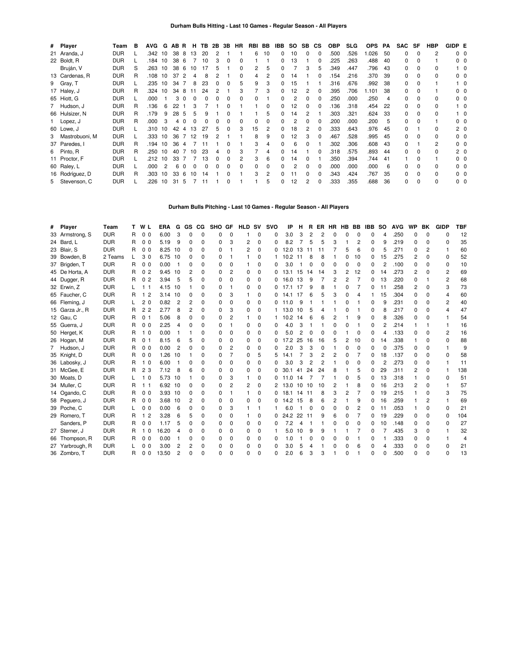| # Player         | Team       | в | <b>AVG</b> | G  | AB R |          | н.           | TB. |   | 2B 3B | <b>HR</b> | RBI | BB | <b>IBB</b>   | <b>SO</b> | <b>SB</b>    | <b>CS</b>    | <b>OBP</b> | <b>SLG</b> | <b>OPS</b> | PA | <b>SAC</b> | SF           | <b>HBP</b>     | GIDP E |                |
|------------------|------------|---|------------|----|------|----------|--------------|-----|---|-------|-----------|-----|----|--------------|-----------|--------------|--------------|------------|------------|------------|----|------------|--------------|----------------|--------|----------------|
| 21 Aranda, J     | <b>DUR</b> |   | .342       | 10 | 38   | 8        | 13           | 20  | 2 |       |           | 6   | 10 | 0            | 10        | $\Omega$     | 0            | .500       | .526       | 1.026      | 50 | $\Omega$   | $\Omega$     | $\overline{2}$ |        | 0 <sub>0</sub> |
| 22 Boldt, R      | <b>DUR</b> |   | .184       | 10 | 38   | 6        |              | 10  | 3 | 0     | $\Omega$  |     |    | 0            | 13        |              | 0            | .225       | .263       | .488       | 40 | $\Omega$   | 0            |                |        | $0\quad 0$     |
| Bruján, V        | <b>DUR</b> | S | .263       | 10 | 38   | 6        | 10           | 17  | 5 |       | 0         | 2   | 5  | 0            |           | 3            | 5            | .349       | .447       | .796       | 43 | 0          |              | 0              |        | 10             |
| 13 Cardenas, R   | <b>DUR</b> | R | .108       | 10 | 37   | 2        | 4            | 8   |   |       | 0         | 4   | 2  |              | 14        |              | 0            | .154       | .216       | .370       | 39 | 0          |              | $\Omega$       |        | n n            |
| 9 Gray, T        | <b>DUR</b> |   | .235       | 10 | 34   |          | 8            | 23  | 0 | 0     | 5         | 9   | 3  |              | 15        |              |              | .316       | .676       | .992       | 38 | 0          |              |                |        | 10             |
| 17 Haley, J      | <b>DUR</b> | R | .324       | 10 | 34   | -8       |              | 24  |   |       | 3         |     | 3  | 0            | 12        |              |              | .395       | .706       | 1.101      | 38 | 0          |              |                |        | $0\quad 0$     |
| 65 Hiott, G      | <b>DUR</b> |   | .000       |    |      | $\Omega$ | <sup>0</sup> |     |   |       |           | 0   |    |              |           |              |              | .250       | .000       | .250       | 4  | 0          |              | 0              |        | 0 <sub>0</sub> |
| 7 Hudson, J      | <b>DUR</b> | R | .136       |    |      |          |              |     |   |       |           |     | 0  |              | 12        |              |              | .136       | .318       | .454       | 22 | $\Omega$   |              | $\Omega$       |        | 10             |
| 66 Hulsizer, N   | <b>DUR</b> | R | .179       |    | 28   | 5        | 5            | 9   |   |       |           |     | 5  |              | 14        |              |              | .303       | .321       | .624       | 33 | O.         |              | $\Omega$       |        | 10             |
| 1 Lopez, J       | <b>DUR</b> | R | .000       |    |      | $\Omega$ |              |     |   | ი     | 0         | 0   | 0  | <sup>0</sup> | 2         | 0            |              | .200       | .000       | .200       | 5  | $\Omega$   |              |                |        | 0 <sub>0</sub> |
| 60 Lowe, J       | <b>DUR</b> |   | .310       | 10 | 42   | 4        | 13           | 27  | 5 |       | 3         | 15  | 2  |              | 18        |              |              | .333       | .643       | .976       | 45 | 0          |              | $\Omega$       |        | 2 <sub>0</sub> |
| 3 Mastrobuoni, M | <b>DUR</b> |   | .333       | 10 | 36   |          | 12           | 19  | 2 |       |           | 8   | 9  |              | 12        | З            |              | .467       | .528       | .995       | 45 | 0          |              | $\Omega$       |        | 0 <sub>0</sub> |
| 37 Paredes. I    | <b>DUR</b> | R | .194       | 10 | 36   | 4        |              |     |   |       |           | 3   |    | O            | 6         |              |              | .302       | .306       | .608       | 43 | $\Omega$   |              | $\overline{2}$ |        | 0 <sub>0</sub> |
| 6 Pinto, R       | <b>DUR</b> | R | .250       | 10 | 40   |          | 10           | 23  | 4 | U     | з         |     | 4  | O            | 14        |              |              | .318       | .575       | .893       | 44 | $\Omega$   |              | $\Omega$       |        | 2 0            |
| 11 Proctor, F    | <b>DUR</b> |   | .212       | 10 | 33   |          |              | 13  | 0 | U     | 2         | 3   | 6  | 0            | 14        | <sup>0</sup> |              | .350       | .394       | .744       | 41 |            | <sup>0</sup> |                |        | $0\quad 0$     |
| 60 Raley, L      | <b>DUR</b> |   | .000       |    | 6    | $\Omega$ | 0            | 0   | 0 | 0     | $\Omega$  | 0   | 0  | 0            | 2         | 0            | 0            | .000       | .000       | .000       | 6  | $\Omega$   |              | $\Omega$       |        | $0\quad 0$     |
| 16 Rodríguez, D  | <b>DUR</b> | R | .303       | 10 | 33   | 6        | 10           | 14  |   | 0     |           | 3   | 2  | $\Omega$     | 11        | 0            | <sup>0</sup> | .343       | .424       | .767       | 35 | 0          | 0            | $\Omega$       |        | 0 <sub>0</sub> |
| 5 Stevenson, C   | <b>DUR</b> |   | .226       | 10 | 31   | 5        |              |     |   | 0     |           |     | 5  | 0            | 12        | 2            | 0            | .333       | .355       | .688       | 36 | 0          | 0            | $\Omega$       |        | $0\quad 0$     |

# **Durham Bulls Pitching - Last 10 Games - Regular Season - All Players**

| # | Player          | Team       | т  | WL             | <b>ERA</b> | G              | GS             | CG.          | SHO GF |          | <b>HLD</b> | <b>SV</b> | <b>SVO</b> | IP     | н               | R        | ER. | <b>HR</b> | HB BB    |          | <b>IBB</b>   | <b>SO</b> | <b>AVG</b> | WP       | ΒK             | <b>GIDP</b>    | <b>TBF</b> |
|---|-----------------|------------|----|----------------|------------|----------------|----------------|--------------|--------|----------|------------|-----------|------------|--------|-----------------|----------|-----|-----------|----------|----------|--------------|-----------|------------|----------|----------------|----------------|------------|
|   | 33 Armstrong, S | <b>DUR</b> | R  | 0 <sub>0</sub> | 6.00       | 3              | $\Omega$       | $\Omega$     | 0      | $\Omega$ |            | $\Omega$  | $\Omega$   | 3.0    | 3               | 2        | 2   | 0         | $\Omega$ | 0        | 0            |           | .250       | $\Omega$ | $\Omega$       | $\Omega$       | 12         |
|   | 24 Bard, L      | <b>DUR</b> | R  | 0 <sub>0</sub> | 5.19       | 9              | $\Omega$       | 0            | 0      | 3        | 2          | 0         | 0          | 8.2    | 7               | 5        | 5   | 3         |          | 2        | 0            | 9         | .219       | 0        | 0              | O              | 35         |
|   | 23 Blair, S     | <b>DUR</b> | R. | 0 <sub>0</sub> | 8.25       | 10             | 0              | 0            | 0      |          | 2          | 0         | 0          | 12.0   | 13              | -11      | 11  |           | 5        | 6        | 0            | 5         | .271       | 0        | 2              |                | 60         |
|   | 39 Bowden, B    | 2 Teams    | L. | 30             | 6.75       | 10             | 0              | 0            | 0      |          | 1          | 0         | 1          | 10.2   | -11             | 8        | 8   |           | 0        | 10       | 0            | 15        | .275       | 2        | 0              | 0              | 52         |
|   | 37 Brigden, T   | <b>DUR</b> | R  | 0 <sub>0</sub> | 0.00       |                | 0              | O            | 0      | 0        |            | 0         | 0          | 3.0    |                 | $\Omega$ | O   | 0         | 0        | $\Omega$ | 0            | 2         | .100       | 0        | $\Omega$       | 0              | 10         |
|   | 45 De Horta, A  | <b>DUR</b> | R  | 0 <sub>2</sub> | 9.45       | 10             | 2              | <sup>0</sup> | 0      | 2        | $\Omega$   | $\Omega$  | 0          | 13.1   | 15              | -14      | 14  | 3         | 2        | 12       |              | 14        | .273       | 2        | $\Omega$       | $\overline{2}$ | 69         |
|   | 44 Dugger, R    | <b>DUR</b> | R  | 0 <sub>2</sub> | 3.94       | -5             | 5              | 0            | 0      | 0        | $\Omega$   | 0         | 0          | 16.0   | 13              | 9        |     | 2         | 2        | 7        | 0            | 13        | .220       | $\Omega$ |                | 2              | 68         |
|   | 32 Erwin, Z     | <b>DUR</b> |    | 1 1            | 4.15       | 10             |                | 0            | 0      |          | 0          | 0         | 0          | 17.1   | 17              | 9        | 8   |           | 0        | 7        | 0            | 11        | .258       | 2        | $\Omega$       | 3              | 73         |
|   | 65 Faucher, C   | <b>DUR</b> | R  | 1 <sub>2</sub> | 3.14       | 10             | 0              | <sup>0</sup> | 0      | 3        | 1          | 0         | 0          | 14.1   | 17              | 6        | 5   | 3         | O        | 4        |              | 15        | .304       | $\Omega$ | $\Omega$       | 4              | 60         |
|   | 66 Fleming, J   | <b>DUR</b> |    | 2 <sub>0</sub> | 0.82       | 2              | 2              | O            | 0      | 0        | 0          | 0         | 0          | 11.0   | 9               |          |     |           | O        |          | 0            | 9         | .231       | 0        | $\Omega$       | 2              | 40         |
|   | 15 Garza Jr., R | <b>DUR</b> | R  | 2 <sub>2</sub> | 2.77       | 8              | $\overline{2}$ | <sup>0</sup> | 0      | 3        | $\Omega$   | $\Omega$  |            | 13.0   | 10              | 5        |     |           | 0        |          | 0            | 8         | .217       | 0        | 0              | $\Delta$       | 47         |
|   | 12 Gau, C       | <b>DUR</b> | R. | 0 <sub>1</sub> | 5.06       | 8              | $\Omega$       | 0            | 0      | 2        |            | 0         |            | 10.2   | 14              | 6        | հ   | 2         |          | 9        | 0            | 8         | .326       | 0        | $\Omega$       |                | 54         |
|   | 55 Guerra, J    | <b>DUR</b> | R  | 0 <sub>0</sub> | 2.25       | $\overline{4}$ | $\Omega$       | 0            | 0      |          | 0          | $\Omega$  | 0          | 4.0    | 3               |          |     | 0         | 0        |          | 0            | 2         | .214       |          |                |                | 16         |
|   | 50 Herget, K    | <b>DUR</b> | R  | 10             | 0.00       |                |                | O            | 0      | 0        | 0          | 0         | 0          | 5.0    | 2               | $\Omega$ | 0   | 0         |          | 0        | 0            | Δ         | .133       | 0        | 0              | 2              | 16         |
|   | 26 Hogan, M     | <b>DUR</b> | R. | 0 <sub>1</sub> | 8.15       | 6              | 5              | O            | 0      | 0        | 0          | 0         | 0          | 17.2   | 25              | 16       | 16  | 5         | 2        | 10       | 0            | 14        | .338       |          | 0              | O              | 88         |
|   | 7 Hudson, J     | <b>DUR</b> | R  | 0 <sub>0</sub> | 0.00       | 2              | $\Omega$       | O            | 0      | 2        | 0          | 0         | 0          | 2.0    | 3               | 3        | 0   |           | 0        | 0        | 0            |           | .375       | 0        | $\Omega$       |                | 9          |
|   | 35 Knight, D    | <b>DUR</b> | R  | 0 <sub>0</sub> | 1.26       | 10             |                | 0            | 0      |          | 0          | 5         | 5          | 14.1   |                 | 3        | 2   | 2         | $\Omega$ | 7        | 0            | 18        | .137       | 0        | 0              | $\Omega$       | 58         |
|   | 36 Labosky, J   | <b>DUR</b> | R  | 1 <sub>0</sub> | 6.00       |                | $\Omega$       | <sup>0</sup> | 0      | 0        | 0          | 0         | 0          | 3.0    | 3               | 2        | 2   |           | 0        | 0        | 0            | 2         | .273       | 0        | 0              |                | 11         |
|   | 31 McGee, E     | <b>DUR</b> | R  | 2 <sub>3</sub> | 7.12       | 8              | 6              | 0            | 0      | 0        | 0          | 0         | 0          | 30.1   | 41              | 24       | 24  | 8         |          | 5        | 0            | 29        | .311       | 2        | 0              |                | 138        |
|   | 30 Moats, D     | <b>DUR</b> |    | 10             | 5.73 10    |                |                | 0            | 0      | 3        |            | 0         | 0          | 11.0   | 14              |          |     |           | 0        | 5        | 0            | 13        | .318       |          | 0              | 0              | 51         |
|   | 34 Muller, C    | <b>DUR</b> | R  | 11             | 6.92 10    |                | 0              | 0            | 0      | 2        | 2          | 0         |            | 2 13.0 | 10 <sup>1</sup> | -10      | 10  | 2         |          | 8        | ი            | 16        | .213       | 2        | 0              |                | 57         |
|   | 14 Ogando, C    | <b>DUR</b> | R  | 0 <sub>0</sub> | 3.93 10    |                | 0              | <sup>0</sup> | 0      |          |            | 0         | 0          | 18.1   | 14              | -11      | 8   | 3         | 2        | 7        | 0            | 19        | .215       |          | $\Omega$       | 3              | 75         |
|   | 58 Peguero, J   | <b>DUR</b> | R  | 0 <sub>0</sub> | 3.68 10    |                | $\overline{c}$ | 0            | 0      | 0        | 0          | $\Omega$  | 0          | 14.2   | 15              | 8        | հ   | 2         |          | 9        | 0            | 16        | .259       |          | $\overline{2}$ |                | 69         |
|   | 39 Poche, C     | <b>DUR</b> |    | 0 <sub>0</sub> | 0.00       | 6              | 0              | 0            | 0      | 3        | 1          |           |            | 6.0    | -1              | $\Omega$ | 0   | 0         | 0        | 2        | 0            | 11        | .053       |          | 0              | $\Omega$       | 21         |
|   | 29 Romero, T    | <b>DUR</b> | R  | 1 <sub>2</sub> | 3.28       | 6              | 5              | 0            | 0      | 0        |            | 0         | 0          | 24.2   | 22              | 11       | 9   | 6         | $\Omega$ | 7        | 0            | 19        | .229       | 0        | $\Omega$       | 0              | 104        |
|   | Sanders, P      | <b>DUR</b> | R  | 0 <sub>0</sub> | 1.17       | 5              | $\Omega$       | 0            | 0      | 0        | 0          | 0         | 0          | 7.2    | 4               |          |     | 0         | 0        | 0        | 0            | 10        | .148       | 0        | 0              | $\Omega$       | 27         |
|   | 27 Sterner, J   | <b>DUR</b> | R  | 1 <sub>0</sub> | 16.20      | 4              | $\Omega$       | O            | 0      | 0        | 0          | 0         |            | 5.0    | 10              | 9        | 9   |           |          |          | 0            |           | .435       | 3        | 0              |                | 32         |
|   | 66 Thompson, R  | <b>DUR</b> | R  | 0 <sub>0</sub> | 0.00       |                | 0              | <sup>0</sup> | 0      | 0        | 0          | $\Omega$  | 0          | 1.0    |                 | 0        | O   | 0         | O        |          | 0            |           | .333       | 0        | 0              |                | 4          |
|   | 27 Yarbrough, R | <b>DUR</b> |    | 0 <sub>0</sub> | 3.00       | 2              | $\overline{2}$ | $\Omega$     | 0      | 0        | 0          | $\Omega$  | 0          | 3.0    | 5               | 4        |     | 0         | 0        | 6        | 0            | Δ         | .333       | 0        | 0              | 0              | 21         |
|   | 36 Zombro, T    | <b>DUR</b> | R  | 0 <sub>0</sub> | 13.50      | $\overline{2}$ | $\Omega$       | $\Omega$     | 0      | $\Omega$ | 0          | $\Omega$  | 0          | 2.0    | 6               | 3        | 3   |           | O        |          | <sup>0</sup> | U         | .500       | 0        | $\Omega$       | $\Omega$       | 13         |
|   |                 |            |    |                |            |                |                |              |        |          |            |           |            |        |                 |          |     |           |          |          |              |           |            |          |                |                |            |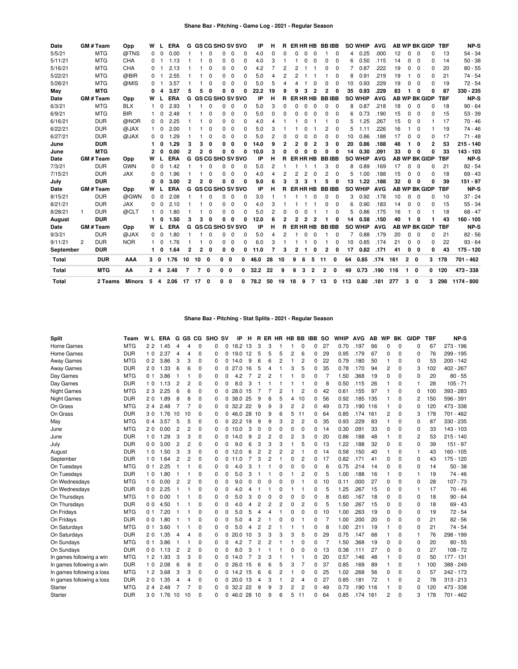| Date      |                | <b>GM#Team</b> | Opp        | w            |              | <b>ERA</b> |                |              | <b>G GS CG SHO SV SVO</b> |              |             |              | IP   | н              | R              | ER HR HB |                |                | <b>BBIBB</b> |              |     | <b>SO WHIP</b> | <b>AVG</b> |     |              |             | <b>AB WP BK GIDP</b> | <b>TBF</b> | NP-S        |
|-----------|----------------|----------------|------------|--------------|--------------|------------|----------------|--------------|---------------------------|--------------|-------------|--------------|------|----------------|----------------|----------|----------------|----------------|--------------|--------------|-----|----------------|------------|-----|--------------|-------------|----------------------|------------|-------------|
| 5/5/21    |                | <b>MTG</b>     | @TNS       | 0            |              | 0.00       |                |              |                           | <sup>0</sup> | O           |              | 4.0  | $\Omega$       |                |          |                |                |              | 0            | 4   | 0.25           | .000       | 12  | U            | $\Omega$    |                      | 13         | $54 - 34$   |
| 5/11/21   |                | <b>MTG</b>     | CHA        | 0            |              | 1.13       |                |              | 0                         | $\Omega$     | $\mathbf 0$ | $\Omega$     | 4.0  | 3              |                |          |                | $\Omega$       | 0            | $\Omega$     | 6   | 0.50           | .115       | 14  | $\Omega$     | $\Omega$    | 0                    | 14         | $50 - 38$   |
| 5/16/21   |                | <b>MTG</b>     | <b>CHA</b> | 0            |              | 2.13       |                |              | 0                         | 0            | $\Omega$    | $\Omega$     | 4.2  |                |                |          |                |                | 0            | $\Omega$     |     | 0.87           | .222       | 19  | $\Omega$     | $\Omega$    | 0                    | 20         | $80 - 55$   |
| 5/22/21   |                | <b>MTG</b>     | @BIR       | 0            |              | 2.55       |                |              | 0                         | 0            | $\Omega$    | n            | 5.0  | 4              | $\overline{c}$ | 2        |                |                |              | $\Omega$     | 8   | 0.91           | .219       | 19  |              | $\Omega$    | 0                    | 21         | 74 - 54     |
| 5/28/21   |                | <b>MTG</b>     | @MIS       | 0            |              | 3.57       |                |              | 0                         | 0            | $\Omega$    | O            | 5.0  | 5              | Δ              |          |                |                |              | 0            | 10  | 0.93           | .229       | 19  | U            | $\Omega$    | 0                    | 19         | $72 - 54$   |
| May       |                | <b>MTG</b>     |            | o            |              | 3.57       | 5              | 5            | O                         | O            | 0           | ŋ            | 22.2 | 19             | 9              | q        | 3              | 2              | $\mathbf{2}$ | 0            | 35  | 0.93           | .229       | 83  |              | $\Omega$    | 0                    | 87         | 330 - 235   |
| Date      |                | <b>GM#Team</b> | Opp        | W            |              | <b>ERA</b> |                |              | G GS CG SHO SV SVO        |              |             |              | IP   | н              | R.             | ER HR HB |                |                |              | <b>BBIBB</b> |     | <b>SO WHIP</b> | <b>AVG</b> |     |              |             | <b>AB WP BK GIDP</b> | <b>TBF</b> | NP-S        |
| 6/3/21    |                | <b>MTG</b>     | <b>BLX</b> |              |              | 2.93       |                |              | 0                         | $\Omega$     | $\Omega$    | $\Omega$     | 5.0  | 3              | 0              |          |                |                | 0            | $\mathbf 0$  | 8   | 0.87           | .218       | 18  | 0            | $\Omega$    | O                    | 18         | $90 - 64$   |
| 6/9/21    |                | <b>MTG</b>     | <b>BIR</b> |              | O            | 2.48       |                |              | 0                         | 0            | 0           | $\Omega$     | 5.0  | 0              | 0              | O        |                | 0              | 0            | 0            | 6   | 0.73           | .190       | 15  | 0            | 0           | O                    | 15         | $53 - 39$   |
| 6/16/21   |                | <b>DUR</b>     | @NOR       | 0            | $\Omega$     | 2.25       |                |              | 0                         | 0            | $\Omega$    | $\Omega$     | 4.0  | 4              |                |          |                |                |              | $\Omega$     | 5   | 1.25           | .267       | 15  | 0            | $\Omega$    |                      | 17         | $70 - 46$   |
| 6/22/21   |                | <b>DUR</b>     | @JAX       |              | $\Omega$     | 2.00       |                |              | 0                         | 0            | 0           | O            | 5.0  | 3              |                |          |                |                | 2            | $\Omega$     | 5   | 1.11           | .226       | 16  |              | $\Omega$    |                      | 19         | 74 - 46     |
| 6/27/21   |                | <b>DUR</b>     | @JAX       | 0            | $\Omega$     | 1.29       |                |              | 0                         | 0            | $\Omega$    | O            | 5.0  | 2              | 0              |          |                | $\Omega$       | 0            | $\Omega$     | 10  | 0.86           | .188       | 17  | 0            | $\Omega$    | 0                    | 17         | $71 - 48$   |
| June      |                | <b>DUR</b>     |            |              |              | 1.29       | 3              | 3            | 0                         | 0            | 0           | ŋ            | 14.0 | 9              | 2              |          | ŋ              | 2              | 3            | 0            | 20  | 0.86           | .188       | 48  | 1            | 0           | 2                    | 53         | $215 - 140$ |
| June      |                | <b>MTG</b>     |            |              |              | 0.00       | $\mathbf{2}$   | $\mathbf{2}$ | O                         | 0            | O           |              | 10.0 | з              | O              |          |                | $\Omega$       | 0            | 0            | 14  | 0.30           | .091       | 33  | 0            | $\Omega$    | O                    | 33         | 143 - 103   |
| Date      |                | <b>GM#Team</b> | Opp        | w            |              | <b>ERA</b> |                |              | <b>G GS CG SHO SV SVO</b> |              |             |              | IP   | н              | R              | ER HR HB |                |                | <b>BBIBB</b> |              |     | <b>SO WHIP</b> | <b>AVG</b> |     |              |             | <b>AB WP BK GIDP</b> | <b>TBF</b> | NP-S        |
| 7/3/21    |                | <b>DUR</b>     | <b>GWN</b> | 0            |              | 1.42       |                |              | 0                         | $\Omega$     | $\mathbf 0$ | $\Omega$     | 5.0  | $\overline{2}$ |                |          |                |                | 3            | 0            | 8   | 0.89           | .169       | 17  | $\mathbf 0$  | $\mathbf 0$ | 0                    | 21         | $82 - 54$   |
| 7/15/21   |                | <b>DUR</b>     | <b>JAX</b> | <sup>0</sup> |              | 1.96       |                |              |                           | 0            | $\mathbf 0$ | <sup>0</sup> | 4.0  | 4              | $\overline{c}$ | 2        | $\overline{2}$ | $\Omega$       | 2            | $\mathbf 0$  | 5   | 1.00           | .188       | 15  | $\Omega$     | $\Omega$    | O                    | 18         | $69 - 43$   |
| July      |                | <b>DUR</b>     |            | O            |              | 3.00       | $\mathbf{2}$   | 2            | O                         | 0            | O           | Ω            | 9.0  | 6              |                |          |                |                | 5            | 0            | 13  | 1.22           | .188       | 32  | 0            | O           | Ω                    | 39         | $151 - 97$  |
| Date      |                | GM # Team      | Opp        | w            |              | <b>ERA</b> |                |              | G GS CG SHO SV SVO        |              |             |              | IP   | н              | R              | ER HR HB |                |                |              | <b>BBIBB</b> |     | <b>SO WHIP</b> | <b>AVG</b> |     |              |             | <b>AB WP BK GIDP</b> | <b>TBF</b> | NP-S        |
| 8/15/21   |                | <b>DUR</b>     | @GWN       | 0            | $\Omega$     | 2.08       |                |              | <sup>0</sup>              | 0            | $\Omega$    | $\Omega$     | 3.0  |                |                |          |                | O              | $\Omega$     | $\Omega$     | 3   | 0.92           | .178       | 10  | 0            | $\Omega$    | O                    | 10         | $37 - 24$   |
| 8/21/21   |                | <b>DUR</b>     | <b>JAX</b> | 0            | $\Omega$     | 2.10       |                |              |                           | 0            | $\Omega$    | n            | 4.0  | 3              |                |          |                |                | U            | $\Omega$     | 6   | 0.90           | .183       | 14  | O            | $\Omega$    | O                    | 15         | $55 - 34$   |
| 8/28/21   | 1              | <b>DUR</b>     | @CLT       |              |              | 1.80       |                |              | 0                         | 0            | 0           | O            | 5.0  | $\overline{2}$ | 0              |          |                |                |              | 0            | 5   | 0.86           | .175       | 16  |              | 0           |                      | 18         | $68 - 47$   |
| August    |                | <b>DUR</b>     |            |              |              | 1.50       | з              | з            | O                         | 0            | 0           | O            | 12.0 | 6              | 2              |          | 2              | 2              |              | 0            | 14  | 0.58           | .150       | 40  |              | O           |                      | 43         | 160 - 105   |
| Date      |                | <b>GM#Team</b> | Opp        | W            |              | <b>ERA</b> |                |              | G GS CG SHO SV SVO        |              |             |              | IP   | н              | R.             | ER HR HB |                |                | <b>BBIBB</b> |              |     | <b>SO WHIP</b> | <b>AVG</b> |     |              |             | <b>AB WP BK GIDP</b> | <b>TBF</b> | NP-S        |
| 9/3/21    |                | <b>DUR</b>     | @JAX       | 0            | 0            | 1.80       |                |              | 0                         | 0            | $\Omega$    | $\Omega$     | 5.0  | 4              | 2              |          |                |                |              | $\Omega$     |     | 0.88           | .179       | 20  | 0            | $\Omega$    | 0                    | 21         | $82 - 56$   |
| 9/11/21   | $\overline{c}$ | <b>DUR</b>     | <b>NOR</b> |              | <sup>0</sup> | 1.76       |                |              | 0                         | 0            | $\Omega$    | $\Omega$     | 6.0  | 3              |                |          |                | $\Omega$       |              | 0            | 10  | 0.85           | .174       | 21  | 0            | $\Omega$    | 0                    | 22         | $93 - 64$   |
| September |                | <b>DUR</b>     |            |              | O            | 1.64       | 2              | 2            | 0                         | 0            | 0           | O            | 11.0 | 7              | 3              | 2        |                | 0              | 2            | 0            | 17  | 0.82           | .171       | 41  | 0            | 0           | 0                    | 43         | 175 - 120   |
| Total     |                | <b>DUR</b>     | AAA        | 30           |              | 1.76       | 10             | 10           | 0                         | 0            | 0           | 0            | 46.0 | 28             | 10             | 9        | 6              | 5              | 11           | 0            | 64  | 0.85           | .174       | 161 | $\mathbf{2}$ | 0           | 3                    | 178        | 701 - 462   |
| Total     |                | <b>MTG</b>     | AA         | 24           |              | 2.48       | $\overline{7}$ | 7            | 0                         | $0\quad 0$   |             | 0            | 32.2 | 22             | 9              | 9        | 3              | $\overline{2}$ | 2            | 0            | 49  | 0.73           | .190       | 116 | 1.           | 0           |                      | 0, 120     | 473 - 338   |
| Total     |                | 2 Teams        | Minors     | 5 4          |              | 2.06 17 17 |                |              | 0                         | 0            | 0           | 0            | 78.2 | 50             | 19             | 18       | 9              | 7              | 13           | 0            | 113 | 0.80           | .181       | 277 | 3            | $\mathbf 0$ | 3                    | 298        | 1174 - 800  |

## **Shane Baz - Pitching - Stat Splits - 2021 - Regular Season**

| <b>Split</b>              | Team       | W L            | <b>ERA</b>          | G              | GS CG          |          | <b>SHO</b> | <b>SV</b> | IP          | н              | R.             | ER HR    |          | HB BB |          | <b>IBB</b> | <b>SO</b> | <b>WHIP</b> | <b>AVG</b> | AB  | WP       | BK          | <b>GIDP</b> | <b>TBF</b> | <b>NP-S</b>   |
|---------------------------|------------|----------------|---------------------|----------------|----------------|----------|------------|-----------|-------------|----------------|----------------|----------|----------|-------|----------|------------|-----------|-------------|------------|-----|----------|-------------|-------------|------------|---------------|
| Home Games                | <b>MTG</b> | 22             | 1.45                | 4              | 4              | 0        | 0          | 0         | 18.2        | 13             | 3              | 3        |          |       | 0        | 0          | 27        | 0.70        | .197       | 66  | 0        | $\mathbf 0$ | 0           | 67         | $273 - 196$   |
| Home Games                | <b>DUR</b> | 10             | 2.37                | 4              | 4              | 0        | 0          | 0         | 19.0        | 12             | 5              | 5        | 5        | 2     | 6        | 0          | 29        | 0.95        | .179       | 67  | 0        | 0           | 0           | 76         | 299 - 195     |
| <b>Away Games</b>         | <b>MTG</b> | 0 <sub>2</sub> | 3.86                | 3              | 3              | 0        | 0          | 0         | 14.0        | 9              | 6              | 6        | 2        |       | 2        | 0          | 22        | 0.79        | .180       | 50  | 1        | 0           | 0           | 53         | $200 - 142$   |
| <b>Away Games</b>         | <b>DUR</b> | 20             | .33<br>$\mathbf{1}$ | 6              | 6              | 0        | 0          | 0         | 27.0        | 16             | 5              | 4        |          | 3     | 5        | 0          | 35        | 0.78        | .170       | 94  | 2        | 0           | 3           | 102        | 402 - 267     |
| Day Games                 | <b>MTG</b> | 0 <sub>1</sub> | 3.86                |                |                | 0        | 0          | 0         | 4.2         | 7              | 2              | 2        |          |       | 0        | 0          | 7         | 1.50        | .368       | 19  | 0        | 0           | 0           | 20         | $80 - 55$     |
| Day Games                 | <b>DUR</b> | 10             | 1.13                | $\overline{2}$ | $\overline{c}$ | 0        | 0          | 0         | 8.0         | 3              |                |          |          |       |          | 0          | 8         | 0.50        | .115       | 26  |          | 0           |             | 28         | $105 - 71$    |
| <b>Night Games</b>        | <b>MTG</b> | 23             | 2.25                | 6              | 6              | 0        | 0          | 0         | 28.0        | 15             | 7              |          | 2        |       | 2        | 0          | 42        | 0.61        | .155       | 97  |          | $\mathbf 0$ | 0           | 100        | 393 - 283     |
| <b>Night Games</b>        | <b>DUR</b> | 20             | 1.89                | 8              | 8              | 0        | 0          | 0         | 38.0        | -25            | 9              | 8        | 5        | 4     | 10       | 0          | 56        | 0.92        | .185       | 135 |          | 0           | 2           | 150        | 596 - 391     |
| On Grass                  | <b>MTG</b> | 24             | 2.<br>.48           | $\overline{7}$ | 7              | 0        | 0          | 0         | 32.2 22     |                | 9              | 9        | 3        | 2     | 2        | 0          | 49        | 0.73        | .190       | 116 | 1        | 0           | 0           | 120        | 473 - 338     |
| On Grass                  | <b>DUR</b> | 30             | 1.76                | 10             | 10             | 0        | 0          | 0         | 46.0        | 28             | 10             | 9        | 6        | 5     | 11       | 0          | 64        | 0.85        | .174       | 161 | 2        | 0           | 3           | 178        | 701<br>$-462$ |
| May                       | <b>MTG</b> | 0 <sub>4</sub> | 3.57                | 5              | 5              | 0        | 0          | 0         | 22.2        | 19             | 9              | 9        | 3        | 2     | 2        | 0          | 35        | 0.93        | .229       | 83  |          | 0           | 0           | 87         | 330 - 235     |
| June                      | <b>MTG</b> | 20             | 0.00                | $\overline{2}$ | 2              | 0        | 0          | 0         | 10.0        | 3              | 0              | $\Omega$ | 0        | 0     | 0        | 0          | 14        | 0.30        | .091       | 33  | 0        | 0           | 0           | 33         | 143 - 103     |
| June                      | <b>DUR</b> | 10             | 1.29                | 3              | 3              | 0        | 0          | 0         | 14.0        | 9              | 2              | 2        | 0        | 2     | 3        | 0          | 20        | 0.86        | .188       | 48  | 1        | 0           | 2           | 53         | $215 - 140$   |
| July                      | <b>DUR</b> | 0 <sub>0</sub> | 3.00                | $\overline{c}$ | 2              | $\Omega$ | 0          | 0         | 9.0         | 6              | 3              | 3        | 3        |       | 5        | 0          | 13        | 1.22        | .188       | 32  | $\Omega$ | $\Omega$    | $\Omega$    | 39         | $151 - 97$    |
| August                    | <b>DUR</b> | 1 <sub>0</sub> | 1.50                | 3              | 3              | 0        | 0          | 0         | 12.0        | 6              | $\overline{2}$ | 2        | 2        | 2     |          | 0          | 14        | 0.58        | .150       | 40  |          | 0           | 1           | 43         | $160 - 105$   |
| September                 | <b>DUR</b> | 10             | 1.64                | 2              | 2              | 0        | 0          | 0         | 11.0        |                | 3              | 2        |          | 0     | 2        | 0          | 17        | 0.82        | .171       | 41  | 0        | 0           | 0           | 43         | $175 - 120$   |
| On Tuesdays               | <b>MTG</b> | 01             | 2.<br>25            | -1             |                | 0        | 0          | 0         | 4.0         | 3              |                |          | 0        | 0     | 0        | 0          | 6         | 0.75        | .214       | 14  | 0        | 0           | 0           | 14         | $50 - 38$     |
| On Tuesdays               | <b>DUR</b> | 10             | 1.80                | -1             |                | 0        | 0          | 0         | 5.0         | 3              | -1             |          | 0        |       | 2        | 0          | 5         | 1.00        | .188       | 16  | 1        | 0           | $\mathbf 1$ | 19         | 74 - 46       |
| On Wednesdays             | <b>MTG</b> | 10             | 0.00                | 2              | 2              | 0        | 0          | 0         | 9.0         | 0              | $\Omega$       | 0        | 0        | 0     |          | 0          | 10        | 0.11        | .000       | 27  | 0        | 0           | 0           | 28         | $107 - 73$    |
| On Wednesdays             | <b>DUR</b> | 0 <sub>0</sub> | 2.25                |                |                | 0        | 0          | 0         | 4.0         | 4              |                |          | 0        |       |          | 0          | 5         | 1.25        | .267       | 15  | 0        | 0           | 1           | 17         | $70 - 46$     |
| On Thursdays              | <b>MTG</b> | 1 <sub>0</sub> | 0.00                |                |                | 0        | 0          | 0         | 5.0         | 3              | 0              | $\Omega$ | $\Omega$ | 0     | 0        | 0          | 8         | 0.60        | .167       | 18  | 0        | 0           | 0           | 18         | $90 - 64$     |
| On Thursdays              | <b>DUR</b> | 0 <sub>0</sub> | 4.50                |                |                | 0        | 0          | 0         | 4.0         | 4              | 2              | 2        | 2        | 0     | 2        | 0          | 5         | 1.50        | .267       | 15  | 0        | 0           | $\Omega$    | 18         | $69 - 43$     |
| On Fridays                | <b>MTG</b> | 0 <sub>1</sub> | 7.20                |                |                | 0        | 0          | 0         | 5.0         | 5              | 4              | 4        |          | 0     | 0        | 0          | 10        | 1.00        | .263       | 19  | 0        | 0           | 0           | 19         | $72 - 54$     |
| On Fridays                | <b>DUR</b> | 00             | 1.80                |                |                | 0        | 0          | 0         | 5.0         | 4              | 2              |          | 0        | 0     |          | 0          | 7         | 1.00        | .200       | 20  | 0        | 0           | 0           | 21         | $82 - 56$     |
| On Saturdays              | <b>MTG</b> | 0 <sub>1</sub> | 3.60                | -1             |                | $\Omega$ | 0          | 0         | 5.0         | 4              | $\overline{2}$ | 2        |          |       |          | 0          | 8         | 1.00        | .211       | 19  | 1        | $\Omega$    | $\Omega$    | 21         | $74 - 54$     |
| On Saturdays              | <b>DUR</b> | 20             | 1.35                | 4              | 4              | $\Omega$ | 0          | 0         | 20.0        | 10             | 3              | 3        | 3        | 3     | 5        | 0          | 29        | 0.75        | .147       | 68  |          | 0           | 1           | 76         | 298 - 199     |
| On Sundays                | <b>MTG</b> | 0 <sub>1</sub> | 3.86                | -1             |                | 0        | 0          | 0         | 4.2         |                | $\overline{2}$ | 2        |          |       | 0        | 0          | 7         | 1.50        | .368       | 19  | 0        | 0           | 0           | 20         | $80 - 55$     |
| On Sundays                | <b>DUR</b> | 0 <sub>0</sub> | 1.13                | 2              | 2              | $\Omega$ | 0          | 0         | 8.0         | 3              |                |          |          | 0     | $\Omega$ | 0          | 13        | 0.38        | .111       | 27  | $\Omega$ | $\Omega$    | $\Omega$    | 27         | $108 - 72$    |
| In games following a win  | <b>MTG</b> | 12             | 1.93                | 3              | 3              | 0        | 0          | 0         | 14.0        | $\overline{7}$ | 3              | 3        |          |       |          | 0          | 20        | 0.57        | .146       | 48  |          | 0           | 0           | 50         | $177 - 131$   |
| In games following a win  | <b>DUR</b> | 10             | 2.08                | 6              | 6              | 0        | 0          | 0         | 26.0        | 15             | 6              | 6        | 5        | 3     | 7        | 0          | 37        | 0.85        | .169       | 89  |          | 0           | 1           | 100        | 388 - 249     |
| In games following a loss | <b>MTG</b> | 12             | 3.68                | 3              | 3              | 0        | 0          |           | $0$ 14.2 15 |                | 6              | 6        | 2        |       | 0        | 0          | 25        | 1.02        | .268       | 56  | 0        | 0           | 0           | 57         | 242 - 173     |
| In games following a loss | <b>DUR</b> | 20             | 1.35                | 4              | 4              | 0        | 0          | 0         | 20.0        | -13            | 4              | 3        |          | 2     | 4        | $\Omega$   | 27        | 0.85        | .181       | 72  |          | 0           | 2           | 78         | $313 - 213$   |
| Starter                   | <b>MTG</b> | 24             | 2<br>48             | $\overline{7}$ |                | 0        | 0          | 0         | 32.2        | 22             | 9              | 9        | 3        | 2     | 2        | 0          | 49        | 0.73        | .190       | 116 |          | 0           | 0           | 120        | 473 - 338     |
| Starter                   | <b>DUR</b> | 30             | 1.76                | 10             | 10             | $\Omega$ | $\Omega$   | 0         | 46.0 28     |                | 10             | 9        | 6        | 5     | 11       | $\Omega$   | 64        | 0.85        | .174       | 161 | 2        | $\Omega$    | 3           | 178        | 701 - 462     |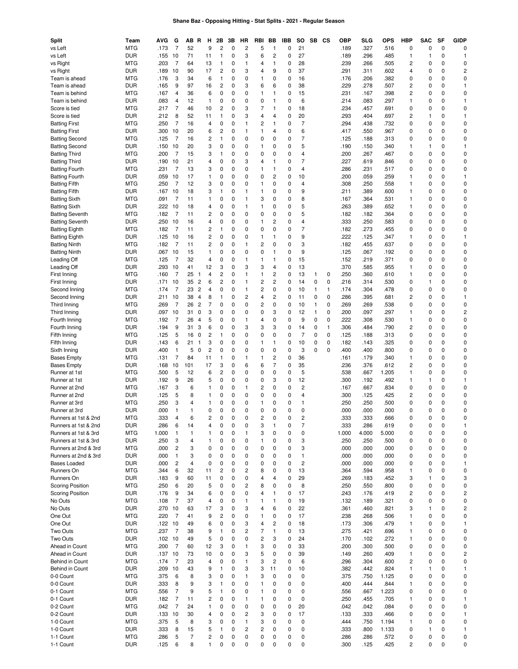## **Shane Baz - Opposing Hitting - Stat Splits - 2021 - Regular Season**

| Split                                         | Team                     | AVG               | G                      | AВ<br>R                                      | н                              | 2Β                             | 3В          | ΗR                         | RBI                     | ВB                           | IBB      | so                          | SB                | CS                | <b>OBP</b>   | SLG          | OPS          | HBP                 | SAC      | SF       | GIDP                    |
|-----------------------------------------------|--------------------------|-------------------|------------------------|----------------------------------------------|--------------------------------|--------------------------------|-------------|----------------------------|-------------------------|------------------------------|----------|-----------------------------|-------------------|-------------------|--------------|--------------|--------------|---------------------|----------|----------|-------------------------|
| vs Left<br>vs Left                            | <b>MTG</b><br><b>DUR</b> | .173              | $\overline{7}$         | 52<br>71                                     | 9<br>11                        | $\overline{c}$<br>$\mathbf{1}$ | 0<br>0      | $\overline{2}$<br>3        | 5<br>6                  | 1<br>$\overline{c}$          | 0<br>0   | 21<br>27                    |                   |                   | .189<br>.189 | .327<br>.296 | .516<br>.485 | 0                   | 0<br>1   | 0<br>0   | 0<br>1                  |
| vs Right                                      | <b>MTG</b>               | .155 10<br>.203   | $\overline{7}$         | 64                                           | 13                             | 1                              | 0           | $\mathbf{1}$               | 4                       | $\mathbf{1}$                 | 0        | 28                          |                   |                   | .239         | .266         | .505         | 1<br>$\overline{c}$ | 0        | 0        | 0                       |
| vs Right                                      | <b>DUR</b>               | .189 10           |                        | 90                                           | 17                             | $\overline{c}$                 | 0           | 3                          | 4                       | 9                            | 0        | 37                          |                   |                   | .291         | .311         | .602         | 4                   | 0        | 0        | $\overline{\mathbf{c}}$ |
| Team is ahead                                 | <b>MTG</b>               | .176              | 3                      | 34                                           | 6                              | 1                              | 0           | $\mathbf 0$                | 1                       | 0                            | 0        | 16                          |                   |                   | .176         | .206         | .382         | 0                   | 0        | 0        | 0                       |
| Team is ahead                                 | <b>DUR</b>               | .165              | 9                      | 97                                           | 16                             | $\overline{c}$                 | 0           | 3                          | 6                       | 6                            | 0        | 38                          |                   |                   | .229         | .278         | .507         | 2                   | 0        | 0        | 1                       |
| Team is behind                                | <b>MTG</b>               | .167              | 4                      | 36                                           | 6                              | 0                              | 0           | 0                          | 1                       | 1                            | 0        | 15                          |                   |                   | .231         | .167         | .398         | 2                   | 0        | 0        | 0                       |
| Team is behind                                | <b>DUR</b>               | .083              | 4                      | 12                                           | $\mathbf{1}$                   | 0                              | 0           | 0                          | 0                       | $\mathbf{1}$                 | 0        | 6                           |                   |                   | .214         | .083         | .297         | 1                   | 0        | 0        | 1                       |
| Score is tied                                 | <b>MTG</b>               | .217              | $\overline{7}$         | 46                                           | 10                             | $\overline{c}$                 | 0           | 3                          | 7                       | $\mathbf{1}$                 | 0        | 18                          |                   |                   | .234         | .457         | .691         | 0                   | 0        | 0        | 0                       |
| Score is tied                                 | <b>DUR</b>               | .212              | 8                      | 52                                           | 11                             | 1                              | 0           | 3                          | 4                       | 4                            | 0        | 20                          |                   |                   | .293         | .404         | .697         | $\overline{c}$      | 1        | 0        | 1                       |
| <b>Batting First</b>                          | <b>MTG</b>               | .250              | $\overline{7}$         | 16                                           | 4                              | 0                              | 0           | $\mathbf{1}$               | 2                       | $\mathbf{1}$                 | 0        | $\overline{7}$              |                   |                   | .294         | .438         | .732         | 0                   | 0        | 0        | 0                       |
| <b>Batting First</b>                          | <b>DUR</b>               | .300 10           |                        | 20                                           | 6                              | 2                              | 0           | 1                          | 1                       | 4                            | 0        | 6                           |                   |                   | .417         | .550         | .967         | 0                   | 0        | 0        | 0                       |
| <b>Batting Second</b>                         | <b>MTG</b>               | .125              | 7                      | 16                                           | $\overline{c}$                 | 1                              | 0           | 0                          | 0                       | $\mathbf 0$                  | 0        | $\overline{7}$              |                   |                   | .125         | .188         | .313         | 0                   | 0        | 0        | 0                       |
| <b>Batting Second</b>                         | <b>DUR</b>               | .150 10           |                        | 20                                           | 3                              | 0                              | 0           | 0                          | 1                       | 0                            | 0        | 5                           |                   |                   | .190         | .150         | .340         | 1                   | 1        | 0        | 1                       |
| <b>Batting Third</b>                          | <b>MTG</b>               | .200              | 7                      | 15                                           | 3                              | 1                              | 0           | 0                          | 0                       | 0                            | 0        | 4                           |                   |                   | .200         | .267         | .467         | 0                   | 0        | 0        | 0                       |
| <b>Batting Third</b><br><b>Batting Fourth</b> | <b>DUR</b><br><b>MTG</b> | .190 10<br>.231   | 7                      | 21<br>13                                     | 4<br>3                         | 0<br>0                         | 0<br>0      | 3<br>0                     | 4<br>1                  | $\mathbf{1}$<br>1            | 0<br>0   | $\overline{7}$<br>4         |                   |                   | .227<br>.286 | .619<br>.231 | .846<br>.517 | 0<br>0              | 0<br>0   | 0<br>0   | 0<br>0                  |
| <b>Batting Fourth</b>                         | <b>DUR</b>               | .059 10           |                        | 17                                           | $\mathbf{1}$                   | 0                              | 0           | 0                          | 0                       | $\overline{c}$               | 0        | 10                          |                   |                   | .200         | .059         | .259         | 1                   | 0        | 0        | 1                       |
| <b>Batting Fifth</b>                          | <b>MTG</b>               | .250              | 7                      | 12                                           | 3                              | 0                              | 0           | 0                          | 1                       | $\mathbf 0$                  | 0        | 4                           |                   |                   | .308         | .250         | .558         | 1                   | 0        | 0        | 0                       |
| <b>Batting Fifth</b>                          | <b>DUR</b>               | .167 10           |                        | 18                                           | 3                              | 1                              | 0           | 1                          | 1                       | $\mathbf 0$                  | 0        | 9                           |                   |                   | .211         | .389         | .600         | 1                   | 0        | 0        | 0                       |
| <b>Batting Sixth</b>                          | <b>MTG</b>               | .091              | 7                      | 11                                           | $\mathbf{1}$                   | 0                              | 0           | $\mathbf{1}$               | 3                       | 0                            | 0        | 8                           |                   |                   | .167         | .364         | .531         | 1                   | 0        | 0        | 0                       |
| <b>Batting Sixth</b>                          | <b>DUR</b>               | .222 10           |                        | 18                                           | 4                              | 0                              | 0           | $\mathbf{1}$               | 1                       | 0                            | 0        | 5                           |                   |                   | .263         | .389         | .652         | 1                   | 0        | 0        | 0                       |
| <b>Batting Seventh</b>                        | <b>MTG</b>               | .182              | 7                      | 11                                           | $\overline{c}$                 | 0                              | 0           | 0                          | 0                       | 0                            | 0        | 5                           |                   |                   | .182         | .182         | .364         | 0                   | 0        | 0        | 0                       |
| <b>Batting Seventh</b>                        | <b>DUR</b>               | .250 10           |                        | 16                                           | 4                              | 0                              | 0           | 0                          | 1                       | $\overline{c}$               | 0        | $\overline{4}$              |                   |                   | .333         | .250         | .583         | 0                   | 0        | 0        | 0                       |
| <b>Batting Eighth</b>                         | <b>MTG</b>               | .182              | $\overline{7}$         | 11                                           | $\overline{c}$                 | 1                              | 0           | 0                          | 0                       | 0                            | 0        | $\overline{7}$              |                   |                   | .182         | .273         | .455         | 0                   | 0        | 0        | 0                       |
| <b>Batting Eighth</b>                         | <b>DUR</b>               | $.125$ 10         |                        | 16                                           | $\overline{c}$                 | 0                              | 0           | 0                          | 1                       | $\mathbf{1}$                 | 0        | 9                           |                   |                   | .222         | .125         | .347         | 1                   | 0        | 0        | $\mathbf{1}$            |
| <b>Batting Ninth</b>                          | <b>MTG</b>               | .182              | 7                      | 11                                           | $\overline{c}$                 | 0                              | 0           | $\mathbf{1}$               | $\overline{\mathbf{c}}$ | 0                            | 0        | 3                           |                   |                   | .182         | .455         | .637         | 0                   | 0        | 0        | 0                       |
| <b>Batting Ninth</b>                          | <b>DUR</b>               | .067 10           |                        | 15                                           | $\mathbf{1}$                   | 0                              | 0           | $\mathbf 0$                | 0                       | $\mathbf{1}$                 | 0        | 9                           |                   |                   | .125         | .067         | .192         | 0                   | 0        | 0        | 0                       |
| Leading Off                                   | <b>MTG</b>               | .125              | 7                      | 32                                           | $\overline{4}$                 | 0                              | 0           | $\mathbf{1}$               | 1                       | 1                            | 0        | 15                          |                   |                   | .152         | .219         | .371         | 0                   | 0        | 0        | 0                       |
| Leading Off                                   | <b>DUR</b>               | .293 10           |                        | 41                                           | 12                             | 3                              | 0           | 3                          | 3                       | 4                            | 0        | 13                          |                   |                   | .370         | .585         | .955         | 1                   | 0        | 0        | 0                       |
| First Inning                                  | <b>MTG</b>               | .160              | 7                      | 25<br>-1                                     | 4                              | $\overline{c}$                 | 0           | $\mathbf{1}$               | 1                       | $\overline{c}$               | 0        | 13                          | 1                 | 0                 | .250         | .360         | .610         | 1                   | 0        | 0        | 0                       |
| First Inning                                  | <b>DUR</b>               | .171              | 10                     | 35<br>$\overline{2}$                         | 6                              | $\overline{c}$                 | 0           | $\mathbf{1}$               | 2                       | $\overline{c}$               | 0        | 14                          | 0                 | 0                 | .216         | .314         | .530         | 0                   | 1        | 0<br>0   | 0                       |
| Second Inning<br>Second Inning                | <b>MTG</b><br><b>DUR</b> | .174<br>.211      | 7<br>10                | 23<br>$\overline{c}$<br>38<br>$\overline{4}$ | 4<br>8                         | 0<br>1                         | 0<br>0      | $\mathbf{1}$<br>2          | 2<br>4                  | 0<br>$\overline{c}$          | 0<br>0   | 10<br>11                    | $\mathbf{1}$<br>0 | $\mathbf{1}$<br>0 | .174<br>.286 | .304<br>.395 | .478<br>.681 | 0<br>2              | 0<br>0   | 0        | 0<br>1                  |
| Third Inning                                  | <b>MTG</b>               | .269              | 7                      | $\overline{c}$<br>26                         | $\overline{7}$                 | 0                              | 0           | 0                          | 2                       | 0                            | 0        | 10                          | $\mathbf{1}$      | 0                 | .269         | .269         | .538         | 0                   | 0        | 0        | 0                       |
| Third Inning                                  | <b>DUR</b>               | .097              | 10                     | 31<br>0                                      | 3                              | 0                              | 0           | 0                          | 0                       | 3                            | 0        | 12                          | $\mathbf{1}$      | 0                 | .200         | .097         | .297         | 1                   | 0        | 0        | $\overline{c}$          |
| Fourth Inning                                 | MTG                      | .192              | 7                      | 26<br>4                                      | 5                              | 0                              | 0           | $\mathbf{1}$               | 4                       | 0                            | 0        | 9                           | 0                 | $\mathbf 0$       | .222         | .308         | .530         | 1                   | 0        | 0        | 0                       |
| Fourth Inning                                 | <b>DUR</b>               | .194              | 9                      | 31<br>3                                      | 6                              | 0                              | 0           | 3                          | 3                       | 3                            | 0        | 14                          | 0                 | $\mathbf{1}$      | .306         | .484         | .790         | 2                   | 0        | 0        | 0                       |
| Fifth Inning                                  | <b>MTG</b>               | .125              | 5                      | 16<br>0                                      | $\overline{c}$                 | 1                              | 0           | 0                          | 0                       | 0                            | 0        | $\overline{7}$              | 0                 | $\mathbf 0$       | .125         | .188         | .313         | 0                   | 0        | 0        | 0                       |
| Fifth Inning                                  | <b>DUR</b>               | .143              | 6                      | 21<br>-1                                     | 3                              | 0                              | 0           | 0                          | 1                       | $\mathbf{1}$                 | 0        | 10                          | 0                 | 0                 | .182         | .143         | .325         | 0                   | 0        | 0        | 0                       |
| Sixth Inning                                  | <b>DUR</b>               | .400              | 1                      | 5<br>0                                       | $\overline{c}$                 | 0                              | 0           | 0                          | 0                       | 0                            | 0        | 3                           | 0                 | $\mathbf 0$       | .400         | .400         | .800         | 0                   | 0        | 0        | 0                       |
| <b>Bases Empty</b>                            | <b>MTG</b>               | .131              | $\overline{7}$         | 84                                           | 11                             | 1                              | 0           | $\mathbf{1}$               | 1                       | $\overline{c}$               | 0        | 36                          |                   |                   | .161         | .179         | .340         | 1                   | 0        | 0        | 0                       |
| <b>Bases Empty</b>                            | <b>DUR</b>               | .168              | 10                     | 101                                          | 17                             | 3                              | 0           | 6                          | 6                       | $\overline{7}$               | 0        | 35                          |                   |                   | .236         | .376         | .612         | 2                   | 0        | 0        | 0                       |
| Runner at 1st                                 | <b>MTG</b>               | .500              | 5                      | 12                                           | 6                              | 2                              | 0           | 0                          | 0                       | $\mathbf 0$                  | 0        | 5                           |                   |                   | .538         | .667         | 1.205        | 1                   | 0        | $\Omega$ | 0                       |
| Runner at 1st                                 | <b>DUR</b>               | .192              | 9                      | 26                                           | 5                              | 0                              | 0           | 0                          | 0                       | 3                            | 0        | 12                          |                   |                   | .300         | .192         | .492         | 1                   | 1        | 0        | 1                       |
| Runner at 2nd                                 | <b>MTG</b>               | .167              | 3                      | 6                                            | $\mathbf{1}$                   | 0                              | 0           | $\mathbf{1}$               | 2                       | $\mathbf 0$                  | 0        | $\overline{c}$              |                   |                   | .167         | .667         | .834         | 0                   | 0        | 0        | 0                       |
| Runner at 2nd                                 | <b>DUR</b>               | .125              | 5                      | 8                                            | 1                              | 0                              | 0           | 0                          | 0                       | 0                            | 0        | 4                           |                   |                   | .300         | .125         | .425         | 2                   | 0        | 0        | 0                       |
| Runner at 3rd                                 | <b>MTG</b><br><b>DUR</b> | .250<br>.000      | 3<br>1                 | 4<br>1                                       | $\mathbf{1}$<br>0              | 0<br>0                         | 0<br>0      | $\mathbf 0$<br>$\mathbf 0$ | 1<br>0                  | $\mathbf 0$<br>$\mathbf 0$   | 0<br>0   | $\mathbf{1}$<br>$\mathbf 0$ |                   |                   | .250<br>.000 | .250<br>.000 | .500<br>.000 | 0<br>0              | 0<br>0   | 0<br>0   | 0<br>$\mathbf 0$        |
| Runner at 3rd<br>Runners at 1st & 2nd         | <b>MTG</b>               | .333              | $\boldsymbol{\Lambda}$ | 6                                            | 2                              | $\Omega$                       | $\Omega$    | $\Omega$                   | 2                       | $\Omega$                     | $\Omega$ | 2                           |                   |                   | .333         | .333         | .666         | $\Omega$            | $\Omega$ | $\Omega$ | 0                       |
| Runners at 1st & 2nd                          | <b>DUR</b>               | .286              | 6                      | 14                                           | 4                              | 0                              | $\mathbf 0$ | 0                          | 3                       | $\mathbf{1}$                 | 0        | $\overline{7}$              |                   |                   | .333         | .286         | .619         | 0                   | 0        | 0        | 1                       |
| Runners at 1st & 3rd                          | <b>MTG</b>               | 1.000             | 1                      | 1                                            | 1                              | 0                              | 0           | 1                          | 3                       | 0                            | 0        | 0                           |                   |                   | 1.000        | 4.000        | 5.000        | 0                   | 0        | 0        | 0                       |
| Runners at 1st & 3rd                          | <b>DUR</b>               | .250              | 3                      | 4                                            | $\mathbf{1}$                   | 0                              | 0           | 0                          | 1                       | 0                            | 0        | 3                           |                   |                   | .250         | .250         | .500         | 0                   | 0        | 0        | 0                       |
| Runners at 2nd & 3rd                          | <b>MTG</b>               | .000              | $\overline{c}$         | 3                                            | $\mathbf 0$                    | 0                              | 0           | $\mathbf 0$                | 0                       | $\mathbf 0$                  | 0        | 3                           |                   |                   | .000         | .000         | .000         | 0                   | 0        | 0        | 0                       |
| Runners at 2nd & 3rd                          | <b>DUR</b>               | .000              | 1                      | 3                                            | 0                              | 0                              | 0           | 0                          | 0                       | 0                            | 0        | $\mathbf{1}$                |                   |                   | .000         | .000         | .000         | 0                   | 0        | 0        | 0                       |
| <b>Bases Loaded</b>                           | <b>DUR</b>               | .000              | $\overline{c}$         | 4                                            | $\mathbf 0$                    | 0                              | 0           | 0                          | 0                       | $\mathbf 0$                  | 0        | $\overline{c}$              |                   |                   | .000         | .000         | .000         | 0                   | 0        | 0        | 1                       |
| Runners On                                    | <b>MTG</b>               | .344              | 6                      | 32                                           | 11                             | 2                              | 0           | 2                          | 8                       | 0                            | 0        | 13                          |                   |                   | .364         | .594         | .958         | 1                   | 0        | 0        | 0                       |
| Runners On                                    | <b>DUR</b>               | .183              | 9                      | 60                                           | 11                             | 0                              | 0           | 0                          | 4                       | 4                            | 0        | 29                          |                   |                   | .269         | .183         | .452         | 3                   | 1        | 0        | 3                       |
| <b>Scoring Position</b>                       | <b>MTG</b>               | .250              | 6                      | 20                                           | 5                              | 0                              | 0           | $\overline{c}$             | 8                       | 0                            | 0        | 8                           |                   |                   | .250         | .550         | .800         | 0                   | 0        | 0        | 0                       |
| <b>Scoring Position</b>                       | <b>DUR</b>               | .176              | 9                      | 34                                           | 6                              | 0                              | 0           | 0                          | 4                       | 1                            | 0        | 17                          |                   |                   | .243         | .176         | .419         | 2                   | 0        | 0        | $\overline{\mathbf{c}}$ |
| No Outs                                       | <b>MTG</b>               | .108              | $\overline{7}$         | 37                                           | 4                              | 0                              | 0           | 1                          | 1                       | 1                            | 0        | 19                          |                   |                   | .132         | .189         | .321         | 0                   | 0        | 0        | 0                       |
| No Outs                                       | <b>DUR</b>               | .270 10           |                        | 63                                           | 17                             | 3                              | 0           | 3                          | 4<br>1                  | 6                            | 0        | 22                          |                   |                   | .361         | .460         | .821         | 3                   | 1        | 0<br>0   | $\overline{\mathbf{c}}$ |
| One Out<br>One Out                            | <b>MTG</b><br><b>DUR</b> | .220<br>$.122$ 10 | -7                     | 41<br>49                                     | 9<br>6                         | 2<br>0                         | 0<br>0      | 0<br>3                     | 4                       | 0<br>$\overline{\mathbf{c}}$ | 0<br>0   | 17<br>18                    |                   |                   | .238<br>.173 | .268<br>.306 | .506<br>.479 | 1<br>1              | 0<br>0   | 0        | 0<br>1                  |
| Two Outs                                      | <b>MTG</b>               | .237              | $\overline{7}$         | 38                                           | 9                              | 1                              | 0           | 2                          | 7                       | $\mathbf{1}$                 | 0        | 13                          |                   |                   | .275         | .421         | .696         | 1                   | 0        | 0        | 0                       |
| Two Outs                                      | <b>DUR</b>               | $.102$ 10         |                        | 49                                           | 5                              | 0                              | 0           | 0                          | 2                       | 3                            | 0        | 24                          |                   |                   | .170         | .102         | .272         | 1                   | 0        | 0        | 0                       |
| Ahead in Count                                | <b>MTG</b>               | .200              | $\overline{7}$         | 60                                           | 12                             | 3                              | 0           | 1                          | 3                       | 0                            | 0        | 33                          |                   |                   | .200         | .300         | .500         | 0                   | 0        | 0        | 0                       |
| Ahead in Count                                | <b>DUR</b>               | .137 10           |                        | 73                                           | 10                             | 0                              | 0           | 3                          | 5                       | 0                            | 0        | 39                          |                   |                   | .149         | .260         | .409         | 1                   | 0        | 0        | $\overline{\mathbf{c}}$ |
| Behind in Count                               | <b>MTG</b>               | .174              | $\overline{7}$         | 23                                           | 4                              | 0                              | 0           | $\mathbf{1}$               | 3                       | $\overline{c}$               | 0        | 6                           |                   |                   | .296         | .304         | .600         | 2                   | 0        | 0        | 0                       |
| Behind in Count                               | <b>DUR</b>               | .209 10           |                        | 43                                           | 9                              | 1                              | 0           | 3                          | 3                       | 11                           | 0        | 10                          |                   |                   | .382         | .442         | .824         | 1                   | 1        | 0        | $\mathbf{1}$            |
| 0-0 Count                                     | <b>MTG</b>               | .375              | 6                      | 8                                            | 3                              | 0                              | 0           | $\mathbf{1}$               | 3                       | 0                            | 0        | 0                           |                   |                   | .375         | .750         | 1.125        | 0                   | 0        | 0        | 0                       |
| 0-0 Count                                     | <b>DUR</b>               | .333              | 8                      | 9                                            | 3                              | 1                              | 0           | 0                          | 1                       | 0                            | 0        | 0                           |                   |                   | .400         | .444         | .844         | 1                   | 0        | 0        | 0                       |
| 0-1 Count                                     | MTG                      | .556              | $\overline{7}$         | 9                                            | 5                              | $\mathbf{1}$                   | 0           | 0                          | $\mathbf{1}$            | 0                            | 0        | 0                           |                   |                   | .556         | .667         | 1.223        | 0                   | 0        | 0        | 0                       |
| 0-1 Count                                     | <b>DUR</b>               | .182              | $\overline{7}$         | 11                                           | $\overline{c}$                 | 0                              | 0           | $\mathbf{1}$               | 1                       | 0                            | 0        | $\pmb{0}$                   |                   |                   | .250         | .455         | .705         | 1                   | 0        | 0        | $\mathbf{1}$            |
| 0-2 Count                                     | <b>MTG</b>               | .042              | $\overline{7}$         | 24                                           | $\mathbf{1}$                   | 0                              | 0           | 0                          | 0                       | 0                            | 0        | 20                          |                   |                   | .042         | .042         | .084         | 0                   | 0        | 0        | 0                       |
| 0-2 Count                                     | <b>DUR</b>               | .133 10           |                        | 30                                           | 4                              | 0                              | 0           | $\overline{c}$             | 3                       | 0                            | 0        | 17                          |                   |                   | .133         | .333         | .466         | 0                   | 0        | 0        | $\mathbf{1}$            |
| 1-0 Count                                     | <b>MTG</b>               | .375              | 5                      | 8                                            | 3                              | 0                              | 0           | $\mathbf{1}$               | 3                       | 0                            | 0        | 0                           |                   |                   | .444         | .750         | 1.194        | 1                   | 0        | 0        | 0                       |
| 1-0 Count                                     | <b>DUR</b>               | .333              | 8                      | 15                                           | 5                              | 1                              | 0           | $\overline{c}$             | 2                       | 0                            | 0        | 0                           |                   |                   | .333         | .800         | 1.133        | 0                   | 1        | 0        | $\mathbf{1}$            |
| 1-1 Count<br>1-1 Count                        | <b>MTG</b><br><b>DUR</b> | .286<br>.125      | 5<br>6                 | $\overline{7}$<br>8                          | $\overline{c}$<br>$\mathbf{1}$ | 0<br>0                         | 0<br>0      | 0<br>0                     | 0<br>0                  | 0<br>0                       | 0<br>0   | $\pmb{0}$<br>0              |                   |                   | .286<br>.300 | .286<br>.125 | .572<br>.425 | 0<br>2              | 0<br>0   | 0<br>0   | 0<br>0                  |
|                                               |                          |                   |                        |                                              |                                |                                |             |                            |                         |                              |          |                             |                   |                   |              |              |              |                     |          |          |                         |